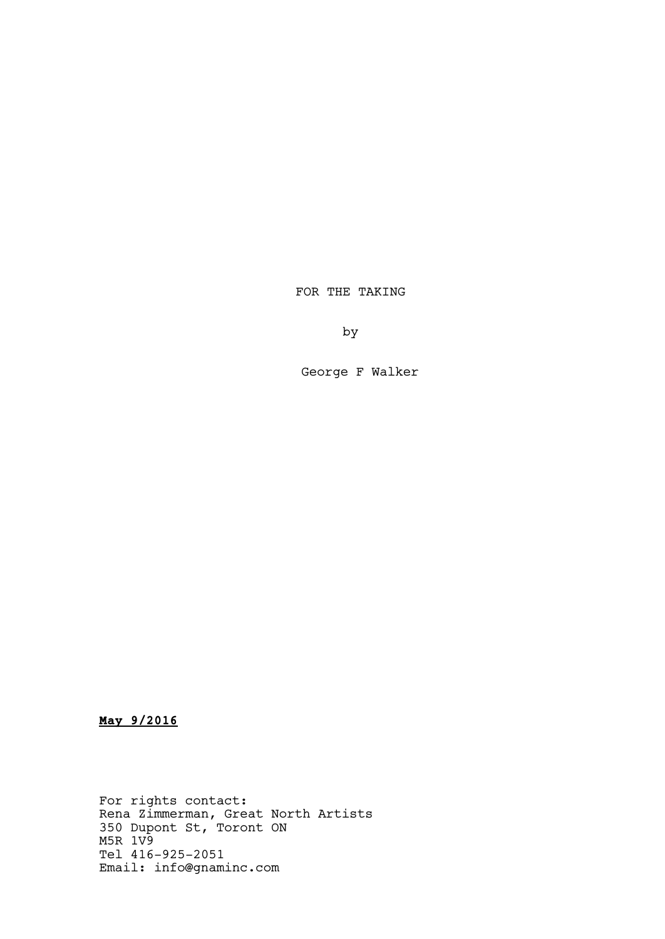FOR THE TAKING

by

George F Walker

**May 9/2016**

For rights contact: Rena Zimmerman, Great North Artists 350 Dupont St, Toront ON M5R 1V9 Tel 416-925-2051 Email: info@gnaminc.com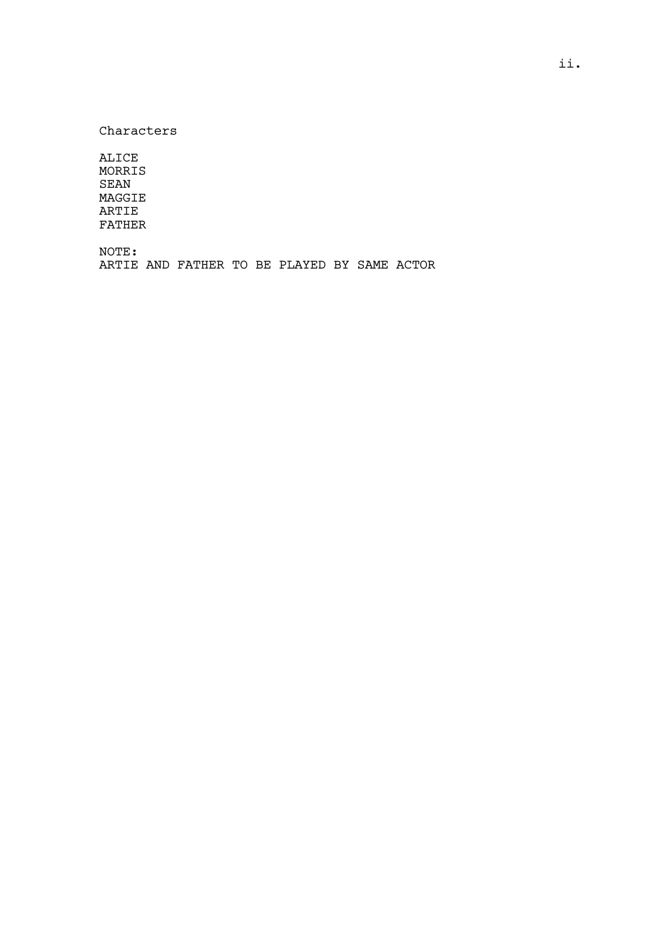Characters

ALICE MORRIS SEAN MAGGIE ARTIE FATHER

NOTE:

ARTIE AND FATHER TO BE PLAYED BY SAME ACTOR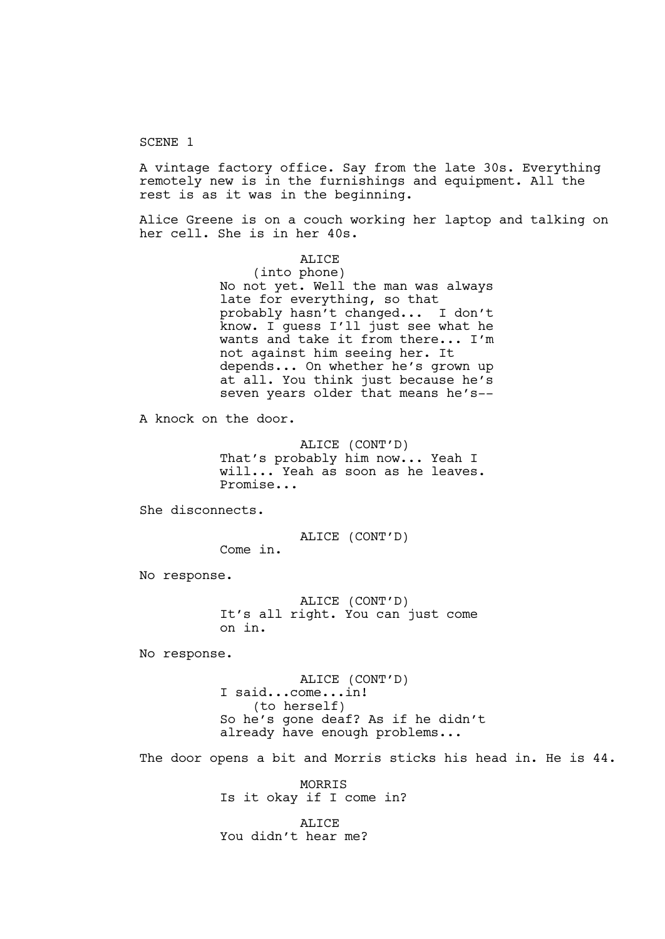### SCENE 1

A vintage factory office. Say from the late 30s. Everything remotely new is in the furnishings and equipment. All the rest is as it was in the beginning.

Alice Greene is on a couch working her laptop and talking on her cell. She is in her 40s.

> ALICE (into phone) No not yet. Well the man was always late for everything, so that probably hasn't changed... I don't know. I guess I'll just see what he wants and take it from there... I'm not against him seeing her. It depends... On whether he's grown up at all. You think just because he's seven years older that means he's--

A knock on the door.

ALICE (CONT'D) That's probably him now... Yeah I will... Yeah as soon as he leaves. Promise...

She disconnects.

ALICE (CONT'D)

Come in.

No response.

ALICE (CONT'D) It's all right. You can just come on in.

No response.

ALICE (CONT'D) I said...come...in! (to herself) So he's gone deaf? As if he didn't already have enough problems...

The door opens a bit and Morris sticks his head in. He is 44.

MORRIS Is it okay if I come in?

ALICE You didn't hear me?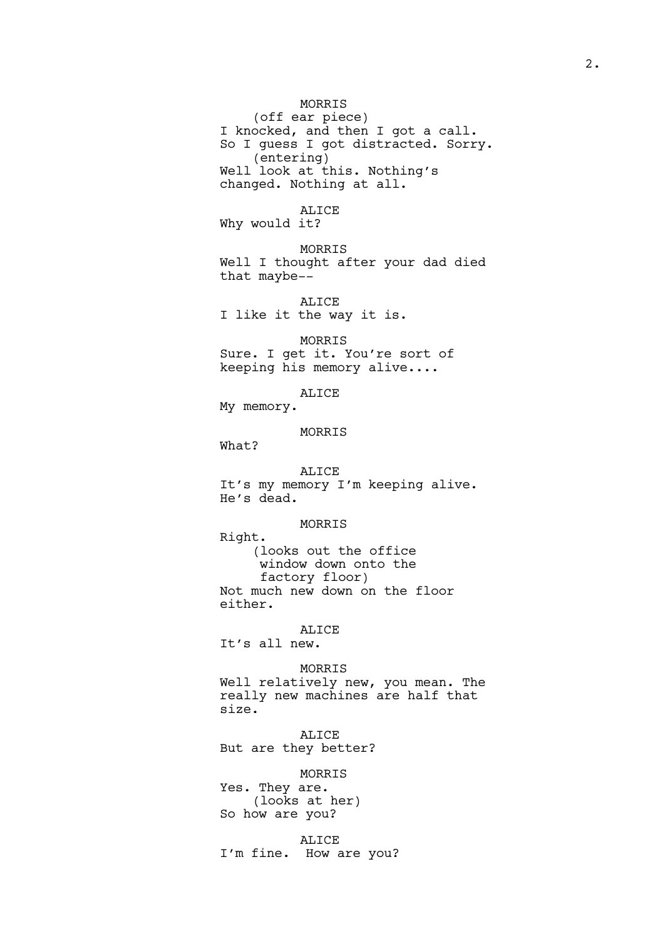# MORRIS

(off ear piece) I knocked, and then I got a call. So I guess I got distracted. Sorry. (entering) Well look at this. Nothing's changed. Nothing at all.

ALICE

Why would it?

MORRIS Well I thought after your dad died that maybe--

ALICE I like it the way it is.

MORRIS Sure. I get it. You're sort of keeping his memory alive....

ALICE

My memory.

MORRIS

What?

ALICE It's my memory I'm keeping alive. He's dead.

MORRIS

Right. (looks out the office window down onto the factory floor) Not much new down on the floor either.

### ALICE

It's all new.

MORRIS

Well relatively new, you mean. The really new machines are half that size.

ALICE But are they better?

MORRIS

Yes. They are. (looks at her) So how are you?

ALICE I'm fine. How are you?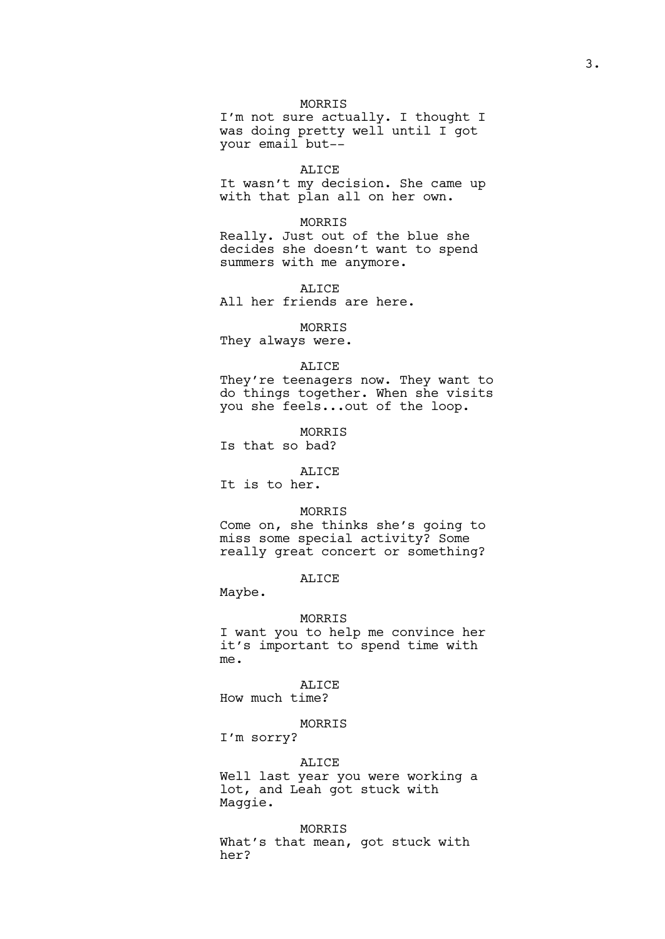# MORRIS

I'm not sure actually. I thought I was doing pretty well until I got your email but--

### ALICE

It wasn't my decision. She came up with that plan all on her own.

# MORRIS

Really. Just out of the blue she decides she doesn't want to spend summers with me anymore.

ALICE

All her friends are here.

#### MORRIS

They always were.

#### ALICE

They're teenagers now. They want to do things together. When she visits you she feels...out of the loop.

MORRIS Is that so bad?

#### ALICE

It is to her.

# MORRIS

Come on, she thinks she's going to miss some special activity? Some really great concert or something?

# ALICE

Maybe.

#### MORRIS

I want you to help me convince her it's important to spend time with me.

#### ALICE

How much time?

# MORRIS

I'm sorry?

#### ALICE

Well last year you were working a lot, and Leah got stuck with Maggie.

#### MORRIS

What's that mean, got stuck with her?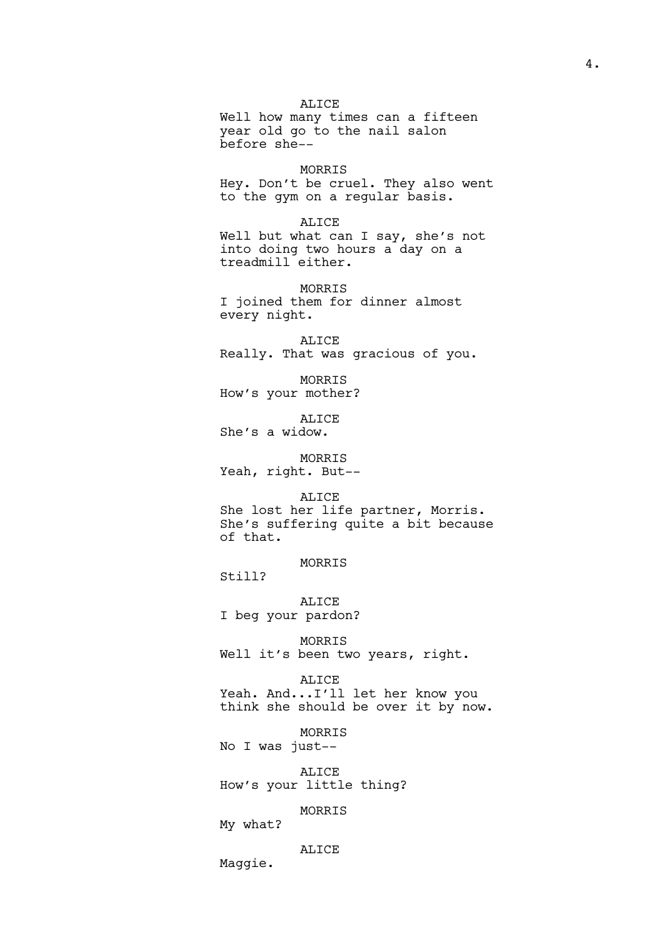ALICE Well how many times can a fifteen year old go to the nail salon before she--

MORRIS Hey. Don't be cruel. They also went to the gym on a regular basis.

ALICE Well but what can I say, she's not into doing two hours a day on a treadmill either.

MORRIS I joined them for dinner almost every night.

ALICE Really. That was gracious of you.

MORRIS How's your mother?

ALICE She's a widow.

MORRIS Yeah, right. But--

ALICE She lost her life partner, Morris. She's suffering quite a bit because of that.

MORRIS

Still?

ALICE I beg your pardon?

MORRIS Well it's been two years, right.

ALICE Yeah. And...I'll let her know you think she should be over it by now.

MORRIS No I was just--

ALICE How's your little thing?

MORRIS

My what?

ALICE

Maggie.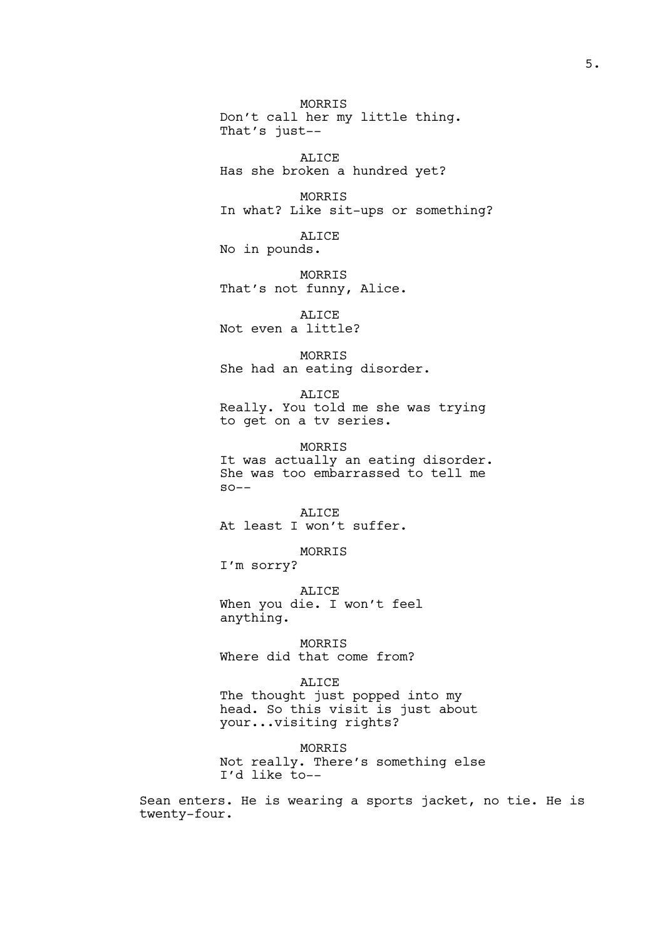MORRIS Don't call her my little thing. That's just-- ALICE Has she broken a hundred yet? MORRIS In what? Like sit-ups or something? ALICE No in pounds. MORRIS That's not funny, Alice. ALICE Not even a little? MORRIS She had an eating disorder. ALICE Really. You told me she was trying to get on a tv series. MORRIS It was actually an eating disorder. She was too embarrassed to tell me  $SO - -$ ALICE At least I won't suffer. MORRIS I'm sorry? ALICE When you die. I won't feel anything. MORRIS Where did that come from? ALICE The thought just popped into my head. So this visit is just about your...visiting rights?

MORRIS Not really. There's something else I'd like to--

Sean enters. He is wearing a sports jacket, no tie. He is twenty-four.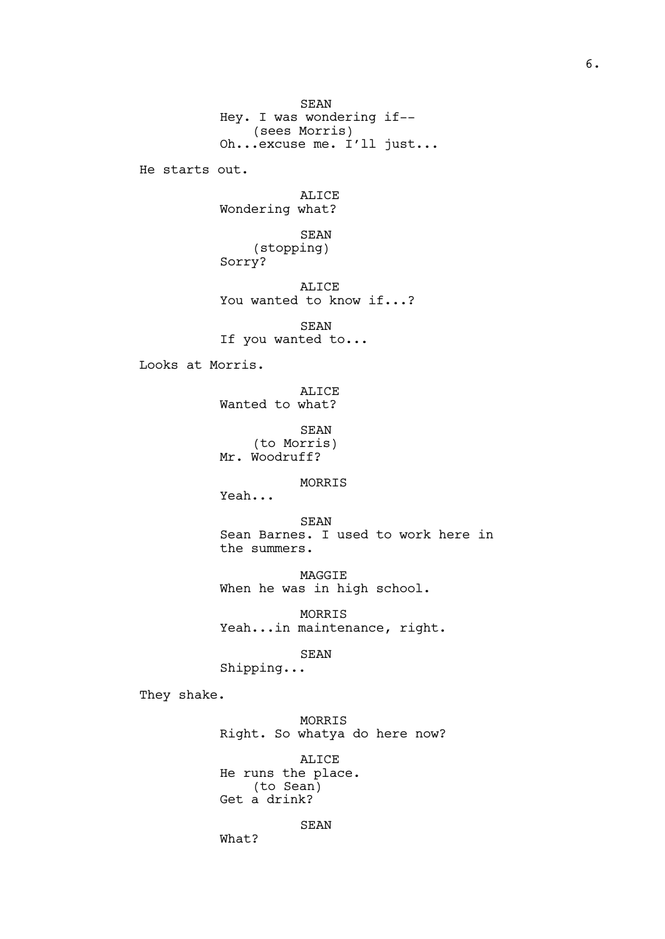SEAN Hey. I was wondering if--<br>(sees Morris) (sees Morris) Oh...excuse me. I'll just... He starts out. ALICE Wondering what? SEAN (stopping) Sorry? ALICE You wanted to know if...? SEAN If you wanted to... Looks at Morris. ALICE Wanted to what? SEAN (to Morris) Mr. Woodruff? MORRIS Yeah... SEAN Sean Barnes. I used to work here in the summers. MAGGIE When he was in high school. MORRIS Yeah...in maintenance, right. SEAN Shipping... They shake. MORRIS Right. So whatya do here now? ALICE He runs the place. (to Sean)

Get a drink? SEAN

What?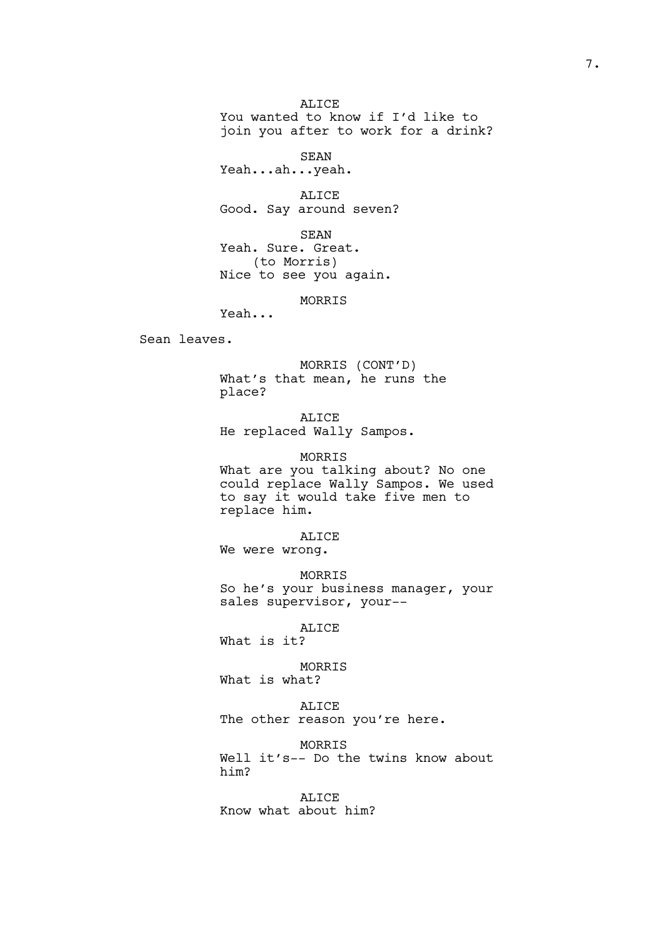ALICE You wanted to know if I'd like to join you after to work for a drink?

SEAN Yeah...ah...yeah.

ALICE Good. Say around seven?

SEAN Yeah. Sure. Great. (to Morris) Nice to see you again.

MORRIS

Yeah...

Sean leaves.

MORRIS (CONT'D) What's that mean, he runs the place?

ALICE He replaced Wally Sampos.

MORRIS What are you talking about? No one could replace Wally Sampos. We used to say it would take five men to replace him.

ALICE We were wrong.

MORRIS So he's your business manager, your sales supervisor, your--

ALICE

What is it?

MORRIS What is what?

ALICE The other reason you're here.

MORRIS

Well it's-- Do the twins know about him?

ALICE Know what about him?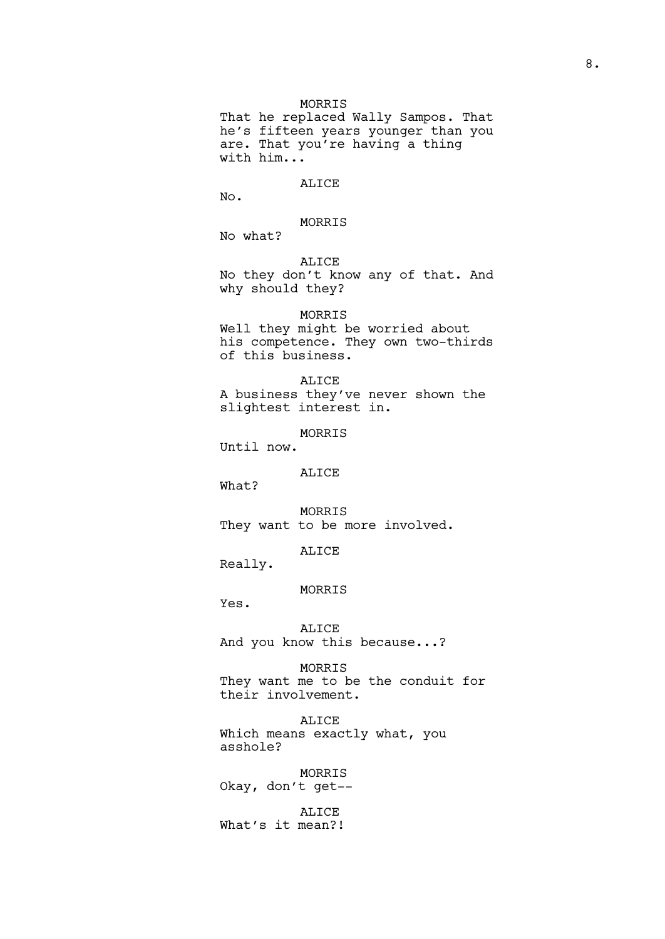# MORRIS

That he replaced Wally Sampos. That he's fifteen years younger than you are. That you're having a thing with him...

# ALICE

No.

# MORRIS

No what?

ALICE No they don't know any of that. And why should they?

# MORRIS

Well they might be worried about his competence. They own two-thirds of this business.

#### ALICE

A business they've never shown the slightest interest in.

### MORRIS

Until now.

# ALICE

What?

MORRIS They want to be more involved.

# ALICE

Really.

# MORRIS

Yes.

# ALICE

And you know this because...?

# MORRIS

They want me to be the conduit for their involvement.

#### ALICE

Which means exactly what, you asshole?

MORRIS Okay, don't get--

# ALICE What's it mean?!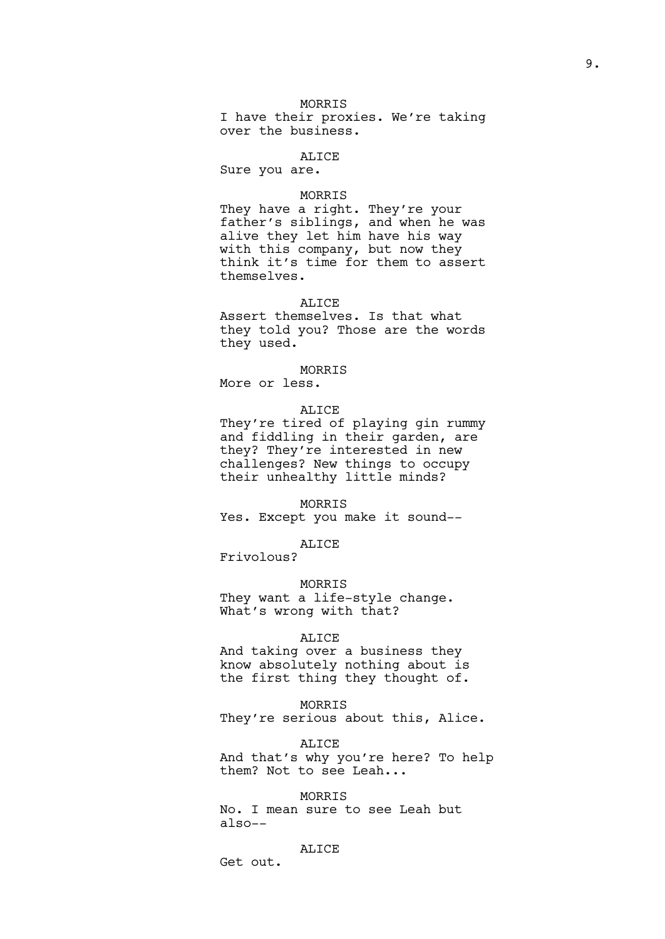# MORRIS

I have their proxies. We're taking over the business.

# ALICE

Sure you are.

#### MORRIS

They have a right. They're your father's siblings, and when he was alive they let him have his way with this company, but now they think it's time for them to assert themselves.

# ALICE

Assert themselves. Is that what they told you? Those are the words they used.

#### MORRIS

More or less.

# ALICE

They're tired of playing gin rummy and fiddling in their garden, are they? They're interested in new challenges? New things to occupy their unhealthy little minds?

MORRIS Yes. Except you make it sound--

ALICE

Frivolous?

# MORRIS

They want a life-style change. What's wrong with that?

#### ALICE

And taking over a business they know absolutely nothing about is the first thing they thought of.

# MORRIS

They're serious about this, Alice.

# ALICE

And that's why you're here? To help them? Not to see Leah...

# MORRIS

No. I mean sure to see Leah but also--

# ALICE

Get out.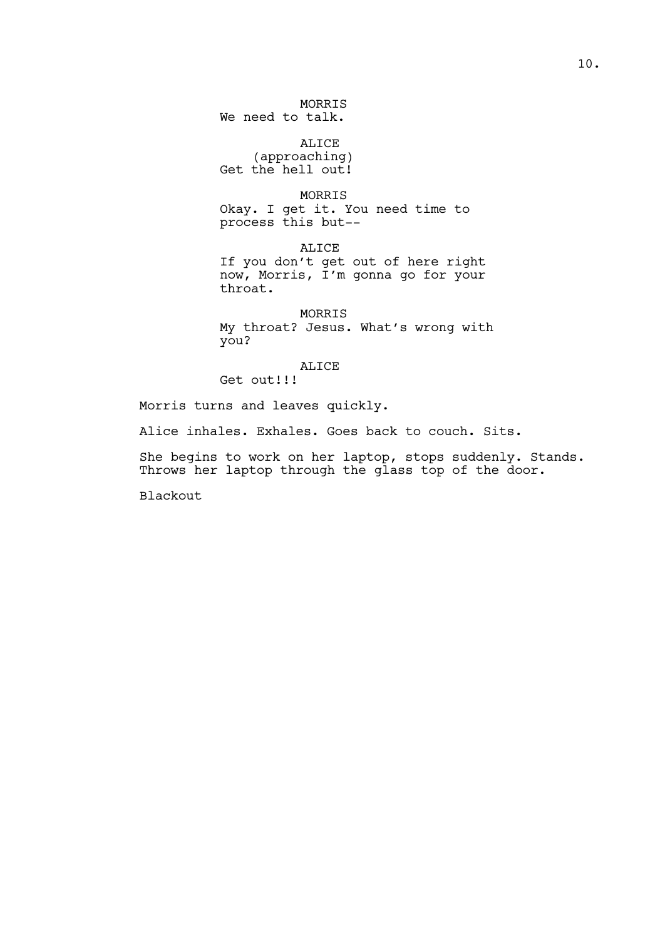MORRIS We need to talk.

ALICE (approaching) Get the hell out!

MORRIS Okay. I get it. You need time to process this but--

ALICE If you don't get out of here right now, Morris, I'm gonna go for your throat.

MORRIS My throat? Jesus. What's wrong with you?

ALICE

Get out!!!

Morris turns and leaves quickly.

Alice inhales. Exhales. Goes back to couch. Sits.

She begins to work on her laptop, stops suddenly. Stands. Throws her laptop through the glass top of the door.

Blackout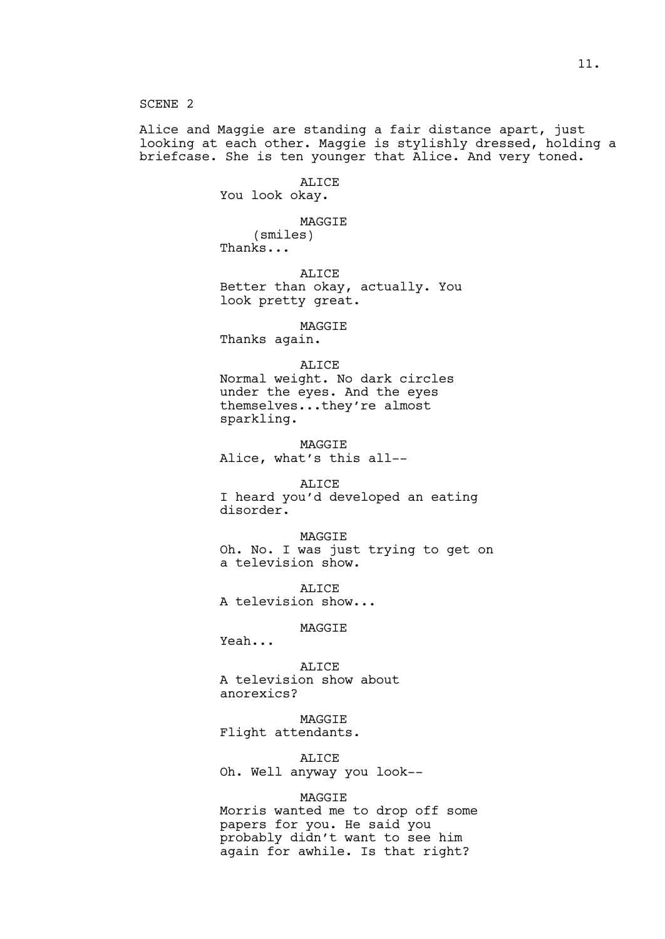SCENE 2

Alice and Maggie are standing a fair distance apart, just looking at each other. Maggie is stylishly dressed, holding a briefcase. She is ten younger that Alice. And very toned.

ALICE

You look okay.

MAGGIE

(smiles) Thanks...

ALICE Better than okay, actually. You look pretty great.

MAGGIE Thanks again.

#### ALICE

Normal weight. No dark circles under the eyes. And the eyes themselves...they're almost sparkling.

MAGGIE Alice, what's this all--

ALICE I heard you'd developed an eating disorder.

MAGGIE Oh. No. I was just trying to get on a television show.

ALICE A television show...

# MAGGIE

Yeah...

ALICE A television show about anorexics?

MAGGIE Flight attendants.

ALICE Oh. Well anyway you look--

#### MAGGIE

Morris wanted me to drop off some papers for you. He said you probably didn't want to see him again for awhile. Is that right?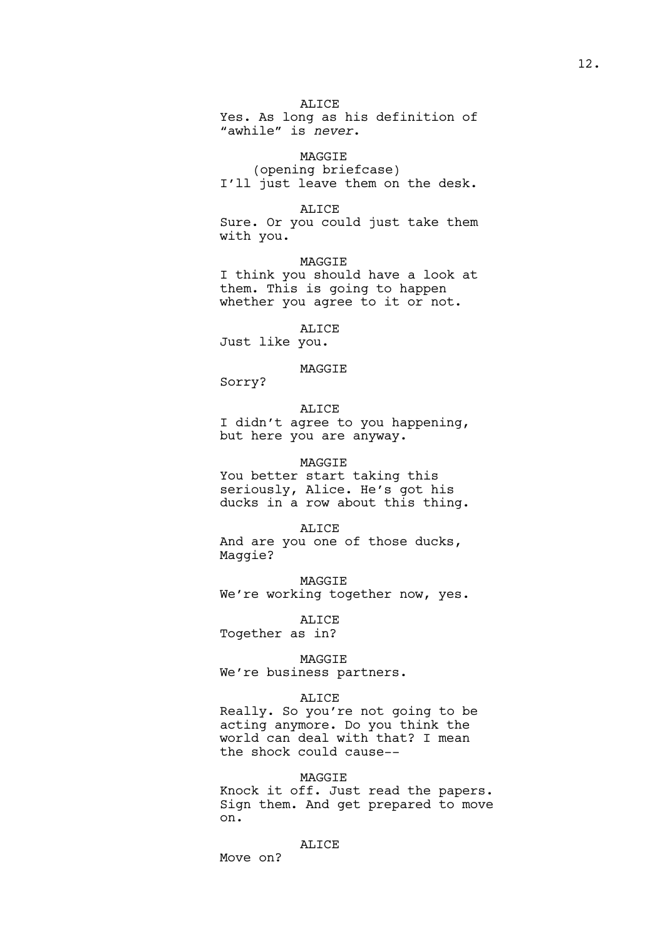ALICE

Yes. As long as his definition of "awhile" is *never*.

# MAGGIE

(opening briefcase) I'll just leave them on the desk.

### ALICE

Sure. Or you could just take them with you.

MAGGIE I think you should have a look at them. This is going to happen whether you agree to it or not.

ALICE

Just like you.

# MAGGIE

Sorry?

ALICE

I didn't agree to you happening, but here you are anyway.

## MAGGIE

You better start taking this seriously, Alice. He's got his ducks in a row about this thing.

#### ALICE

And are you one of those ducks, Maggie?

MAGGIE We're working together now, yes.

ALICE Together as in?

MAGGIE

We're business partners.

# ALICE

Really. So you're not going to be acting anymore. Do you think the world can deal with that? I mean the shock could cause--

# MAGGIE

Knock it off. Just read the papers. Sign them. And get prepared to move on.

#### ALICE

Move on?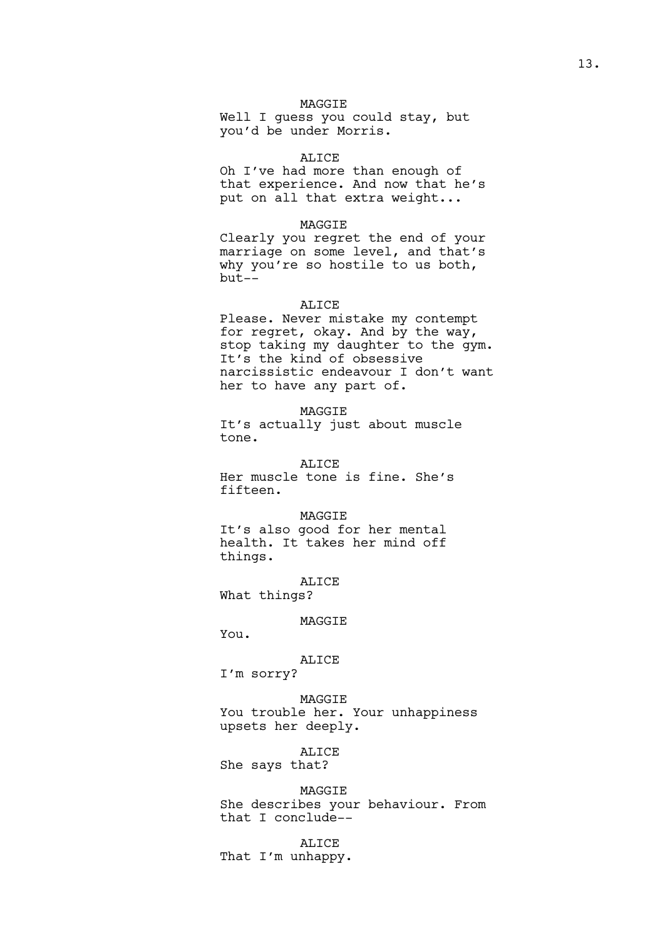Well I guess you could stay, but you'd be under Morris.

#### ALICE

Oh I've had more than enough of that experience. And now that he's put on all that extra weight...

# MAGGIE

Clearly you regret the end of your marriage on some level, and that's why you're so hostile to us both, but--

## ALICE

Please. Never mistake my contempt for regret, okay. And by the way, stop taking my daughter to the gym. It's the kind of obsessive narcissistic endeavour I don't want her to have any part of.

MAGGIE

It's actually just about muscle tone.

ALICE Her muscle tone is fine. She's fifteen.

### MAGGIE

It's also good for her mental health. It takes her mind off things.

ALICE What things?

#### MAGGIE

You.

#### ALICE

I'm sorry?

MAGGIE You trouble her. Your unhappiness upsets her deeply.

ALICE

She says that?

## MAGGIE

She describes your behaviour. From that I conclude--

ALICE That I'm unhappy.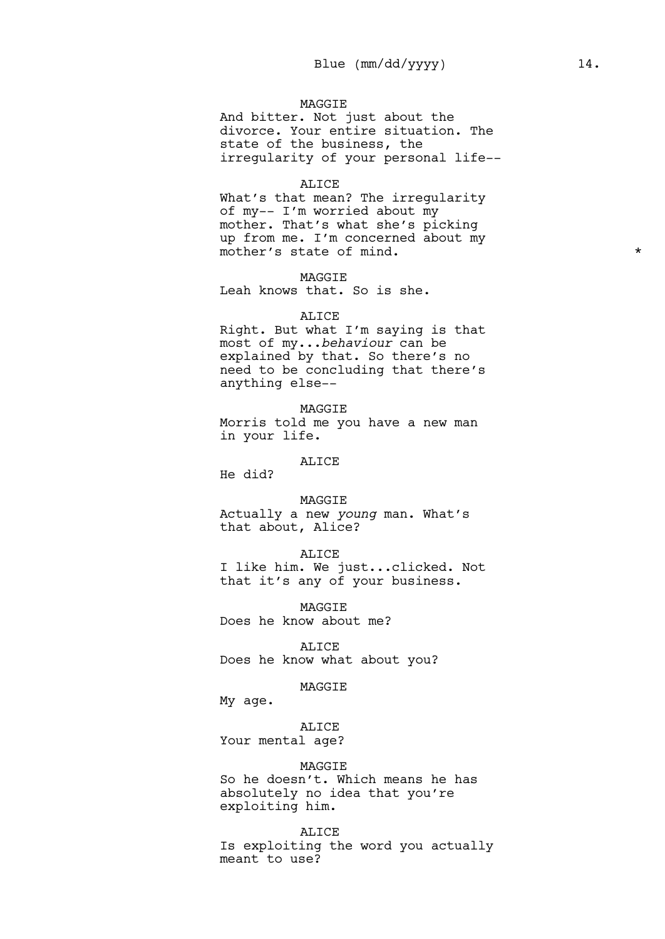And bitter. Not just about the divorce. Your entire situation. The state of the business, the irregularity of your personal life--

#### ALICE

What's that mean? The irregularity of my-- I'm worried about my mother. That's what she's picking up from me. I'm concerned about my mother's state of mind.  $\star$ 

MAGGIE

Leah knows that. So is she.

#### ALICE

Right. But what I'm saying is that most of my...*behaviour* can be explained by that. So there's no need to be concluding that there's anything else--

MAGGIE Morris told me you have a new man in your life.

# ALICE

He did?

MAGGIE

Actually a new *young* man. What's that about, Alice?

#### ALICE

I like him. We just...clicked. Not that it's any of your business.

MAGGIE Does he know about me?

ALICE Does he know what about you?

# MAGGIE

My age.

# ALICE

Your mental age?

### MAGGIE

So he doesn't. Which means he has absolutely no idea that you're exploiting him.

#### ALICE

Is exploiting the word you actually meant to use?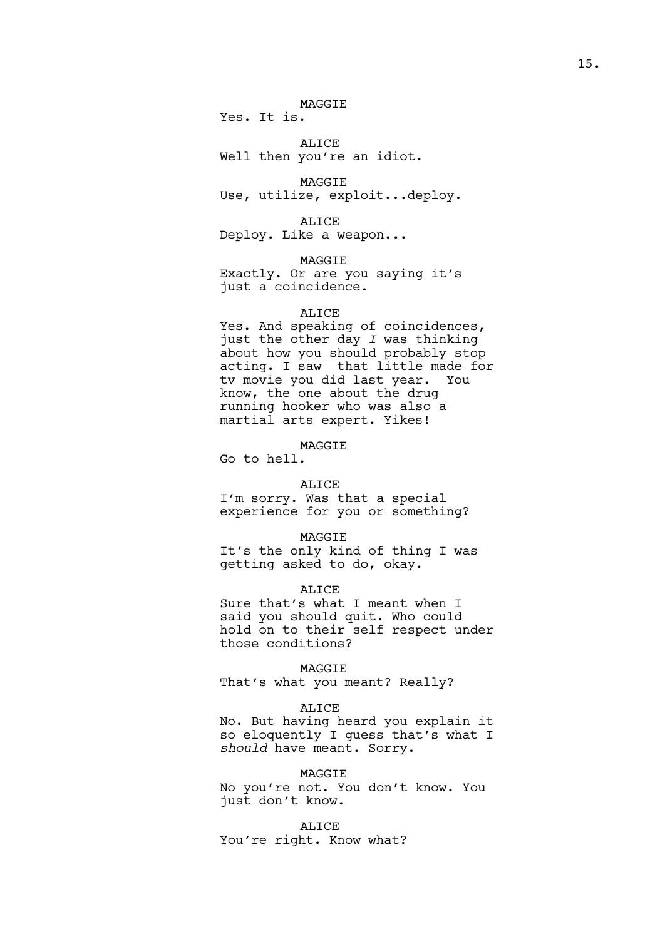Yes. It is.

ALICE Well then you're an idiot.

MAGGIE Use, utilize, exploit...deploy.

ALICE Deploy. Like a weapon...

MAGGIE

Exactly. Or are you saying it's just a coincidence.

# ALICE

Yes. And speaking of coincidences, just the other day *I* was thinking about how you should probably stop acting. I saw that little made for tv movie you did last year. You know, the one about the drug running hooker who was also a martial arts expert. Yikes!

MAGGIE

Go to hell.

#### ALICE

I'm sorry. Was that a special experience for you or something?

#### MAGGIE

It's the only kind of thing I was getting asked to do, okay.

#### ALICE

Sure that's what I meant when I said you should quit. Who could hold on to their self respect under those conditions?

### MAGGIE

That's what you meant? Really?

# ALICE

No. But having heard you explain it so eloquently I guess that's what I *should* have meant. Sorry.

### MAGGIE

No you're not. You don't know. You just don't know.

ALICE You're right. Know what?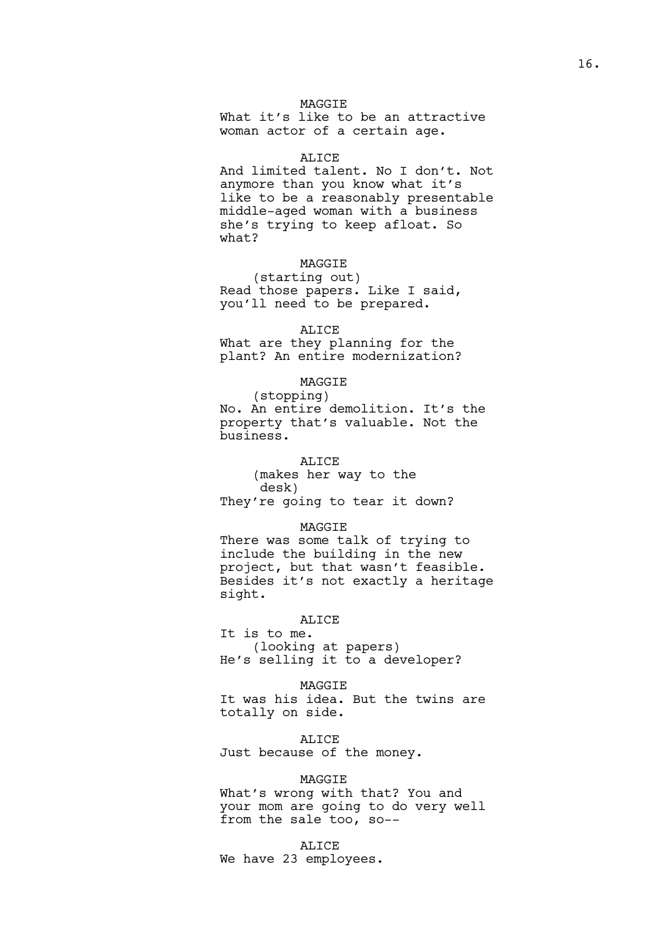What it's like to be an attractive woman actor of a certain age.

#### ALICE

And limited talent. No I don't. Not anymore than you know what it's like to be a reasonably presentable middle-aged woman with a business she's trying to keep afloat. So what?

# **MAGGTE**

(starting out) Read those papers. Like I said, you'll need to be prepared.

#### ALICE

What are they planning for the plant? An entire modernization?

# MAGGIE

(stopping) No. An entire demolition. It's the property that's valuable. Not the business.

# ALICE

(makes her way to the desk) They're going to tear it down?

#### MAGGIE

There was some talk of trying to include the building in the new project, but that wasn't feasible. Besides it's not exactly a heritage sight.

# ALICE

It is to me. (looking at papers) He's selling it to a developer?

#### MAGGIE

It was his idea. But the twins are totally on side.

# ALICE

Just because of the money.

# MAGGIE

What's wrong with that? You and your mom are going to do very well from the sale too, so--

# ALICE

We have 23 employees.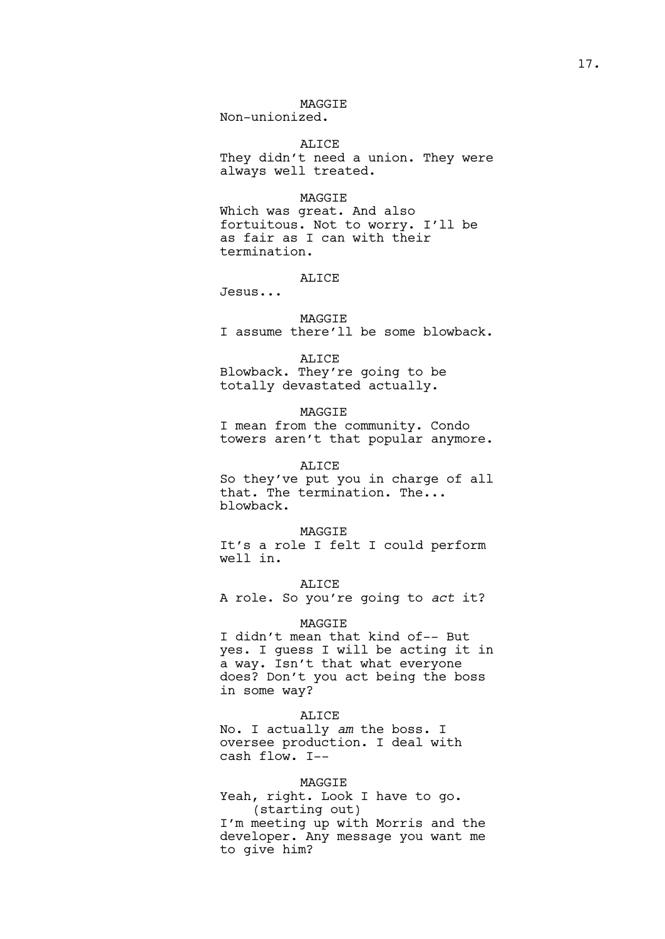Non-unionized.

ALICE They didn't need a union. They were always well treated.

# MAGGIE

Which was great. And also fortuitous. Not to worry. I'll be as fair as I can with their termination.

# ALICE

Jesus...

# MAGGIE

I assume there'll be some blowback.

## ALICE

Blowback. They're going to be totally devastated actually.

# MAGGIE

I mean from the community. Condo towers aren't that popular anymore.

#### ALICE

So they've put you in charge of all that. The termination. The... blowback.

#### MAGGIE

It's a role I felt I could perform well in.

#### ALICE

A role. So you're going to *act* it?

#### **MAGGTE**

I didn't mean that kind of-- But yes. I guess I will be acting it in a way. Isn't that what everyone does? Don't you act being the boss in some way?

# ALICE

No. I actually *am* the boss. I oversee production. I deal with cash flow. I--

# MAGGIE

Yeah, right. Look I have to go. (starting out) I'm meeting up with Morris and the developer. Any message you want me to give him?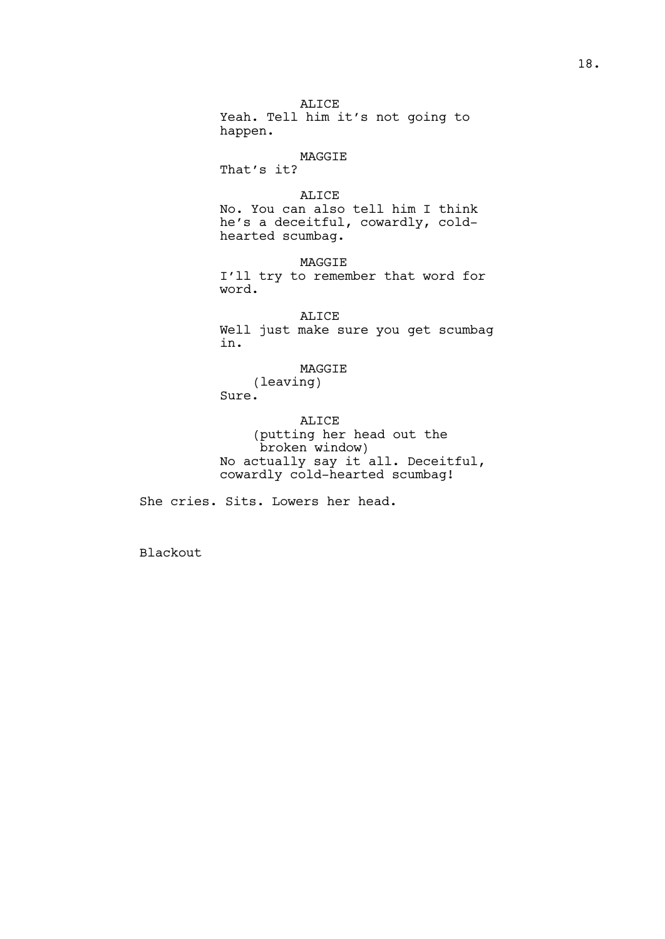ALICE Yeah. Tell him it's not going to happen.

MAGGIE That's it?

ALICE No. You can also tell him I think he's a deceitful, cowardly, coldhearted scumbag.

MAGGIE I'll try to remember that word for word.

ALICE Well just make sure you get scumbag in.

MAGGIE

(leaving) Sure.

ALICE (putting her head out the broken window) No actually say it all. Deceitful, cowardly cold-hearted scumbag!

She cries. Sits. Lowers her head.

Blackout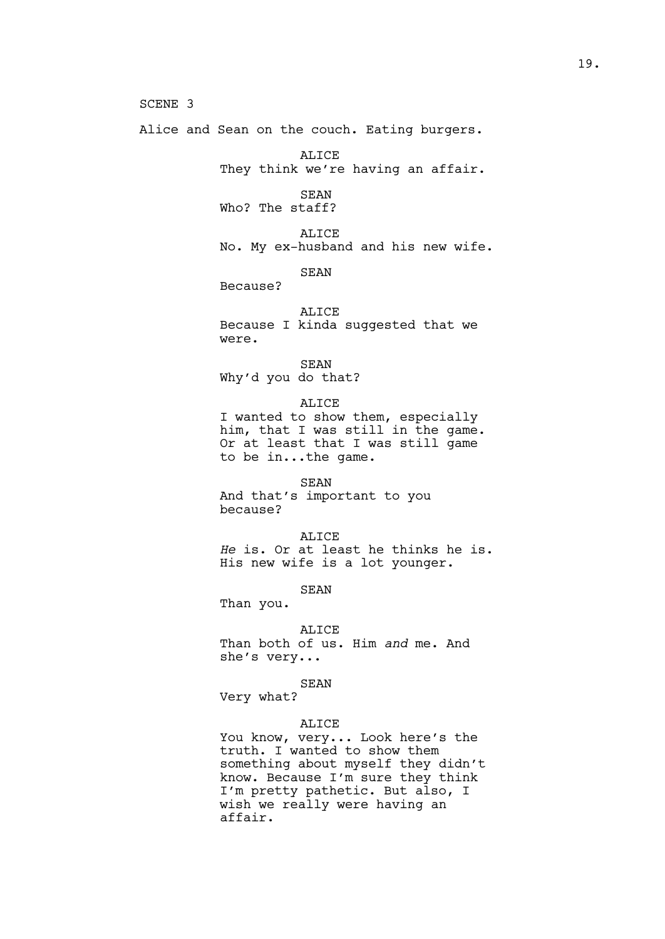SCENE 3

Alice and Sean on the couch. Eating burgers.

ALICE They think we're having an affair.

SEAN Who? The staff?

ALICE No. My ex-husband and his new wife.

SEAN

Because?

ALICE Because I kinda suggested that we were.

SEAN Why'd you do that?

ALICE I wanted to show them, especially him, that I was still in the game. Or at least that I was still game to be in...the game.

SEAN And that's important to you because?

ALICE *He* is. Or at least he thinks he is. His new wife is a lot younger.

SEAN

Than you.

ALICE

Than both of us. Him *and* me. And she's very...

SEAN

Very what?

# ALICE

You know, very... Look here's the truth. I wanted to show them something about myself they didn't know. Because I'm sure they think I'm pretty pathetic. But also, I wish we really were having an affair.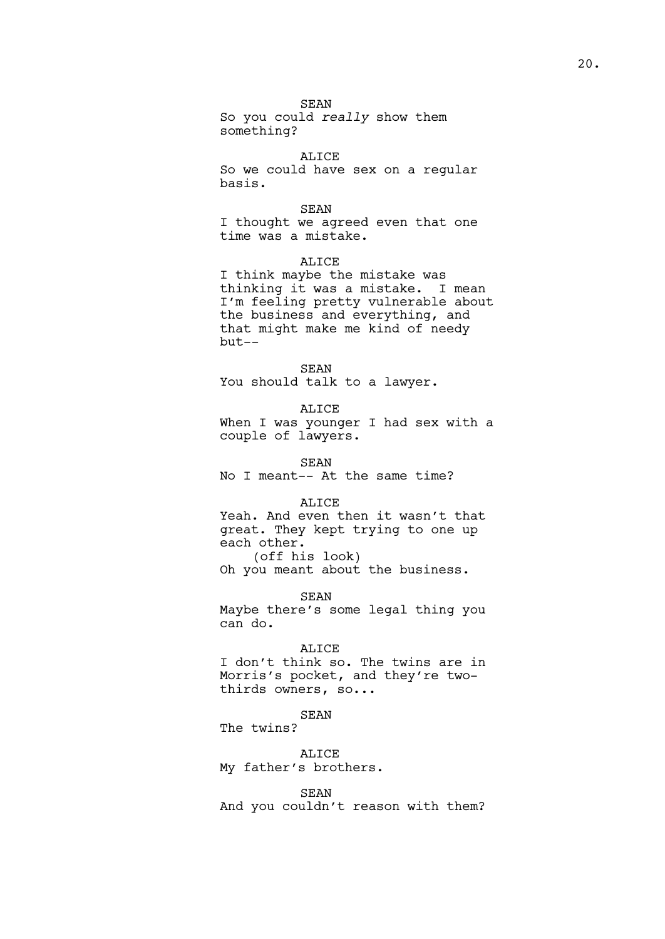# SEAN

So you could *really* show them something?

# ALICE

So we could have sex on a regular basis.

# SEAN

I thought we agreed even that one time was a mistake.

# ALICE

I think maybe the mistake was thinking it was a mistake. I mean I'm feeling pretty vulnerable about the business and everything, and that might make me kind of needy but--

# SEAN

You should talk to a lawyer.

# ALICE

When I was younger I had sex with a couple of lawyers.

#### SEAN

No I meant-- At the same time?

#### ALICE

Yeah. And even then it wasn't that great. They kept trying to one up each other. (off his look)

Oh you meant about the business.

SEAN

Maybe there's some legal thing you can do.

#### **ALICE**

I don't think so. The twins are in Morris's pocket, and they're twothirds owners, so...

# SEAN

The twins?

#### ALICE

My father's brothers.

### SEAN

And you couldn't reason with them?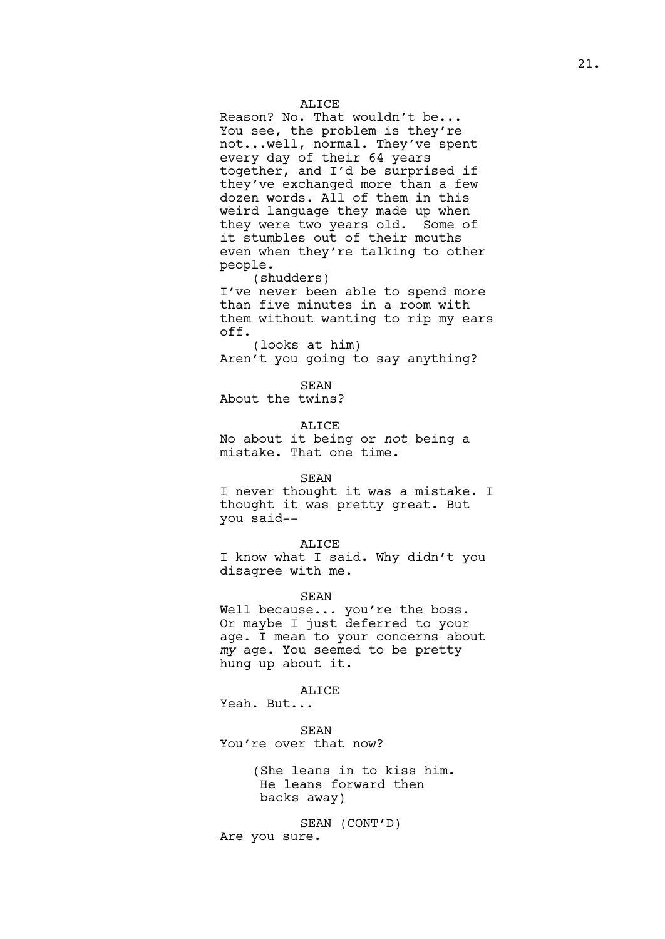#### ALICE

Reason? No. That wouldn't be... You see, the problem is they're not...well, normal. They've spent every day of their 64 years together, and I'd be surprised if they've exchanged more than a few dozen words. All of them in this weird language they made up when they were two years old. Some of it stumbles out of their mouths even when they're talking to other people.

(shudders)

I've never been able to spend more than five minutes in a room with them without wanting to rip my ears off.

(looks at him) Aren't you going to say anything?

SEAN

About the twins?

ALICE

No about it being or *not* being a mistake. That one time.

#### SEAN

I never thought it was a mistake. I thought it was pretty great. But you said--

#### ALICE

I know what I said. Why didn't you disagree with me.

# SEAN

Well because... you're the boss. Or maybe I just deferred to your age. I mean to your concerns about *my* age. You seemed to be pretty hung up about it.

#### ALICE

Yeah. But...

SEAN You're over that now?

> (She leans in to kiss him. He leans forward then backs away)

SEAN (CONT'D) Are you sure.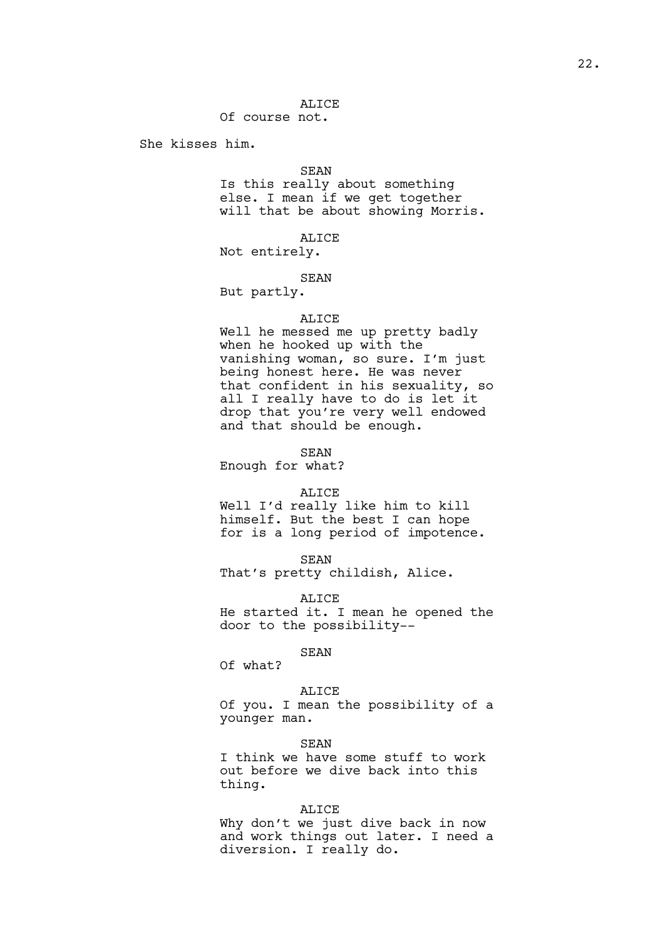# ALICE

Of course not.

She kisses him.

#### SEAN

Is this really about something else. I mean if we get together will that be about showing Morris.

# ALICE

Not entirely.

# SEAN

But partly.

# ALICE

Well he messed me up pretty badly when he hooked up with the vanishing woman, so sure. I'm just being honest here. He was never that confident in his sexuality, so all I really have to do is let it drop that you're very well endowed and that should be enough.

SEAN

Enough for what?

#### ALICE

Well I'd really like him to kill himself. But the best I can hope for is a long period of impotence.

SEAN

That's pretty childish, Alice.

ALICE

He started it. I mean he opened the door to the possibility--

## SEAN

Of what?

# ALICE

Of you. I mean the possibility of a younger man.

SEAN

I think we have some stuff to work out before we dive back into this thing.

#### ALICE

Why don't we just dive back in now and work things out later. I need a diversion. I really do.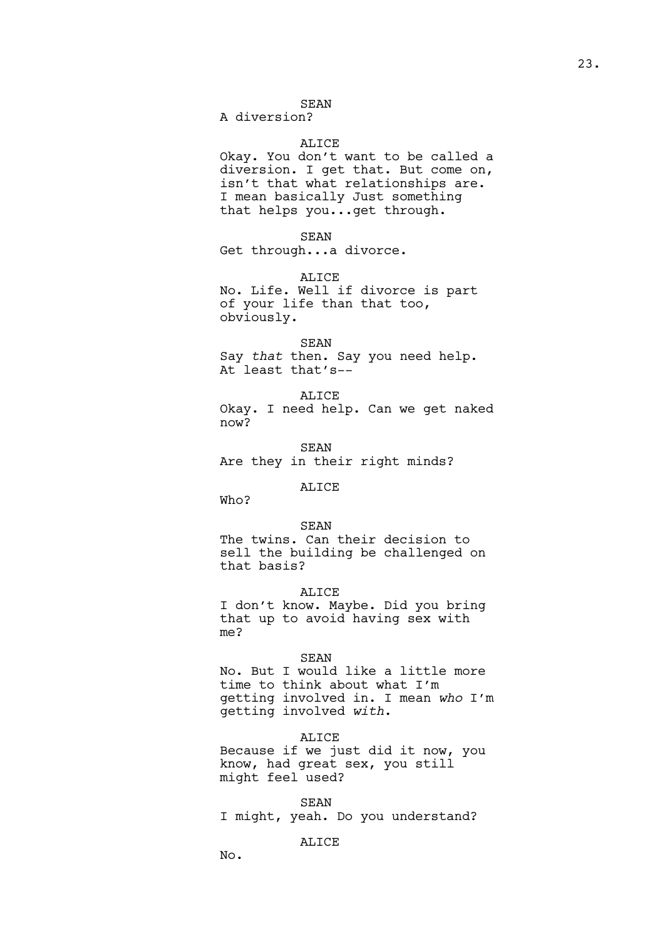### SEAN

A diversion?

# ALICE

Okay. You don't want to be called a diversion. I get that. But come on, isn't that what relationships are. I mean basically Just something that helps you...get through.

SEAN

Get through...a divorce.

ALICE

No. Life. Well if divorce is part of your life than that too, obviously.

#### SEAN

Say *that* then. Say you need help. At least that's--

ALICE Okay. I need help. Can we get naked now?

SEAN Are they in their right minds?

# ALICE

Who?

#### SEAN

The twins. Can their decision to sell the building be challenged on that basis?

ALICE

I don't know. Maybe. Did you bring that up to avoid having sex with me?

#### SEAN

No. But I would like a little more time to think about what I'm getting involved in. I mean *who* I'm getting involved *with*.

### ALICE

Because if we just did it now, you know, had great sex, you still might feel used?

SEAN

I might, yeah. Do you understand?

# ALICE

No.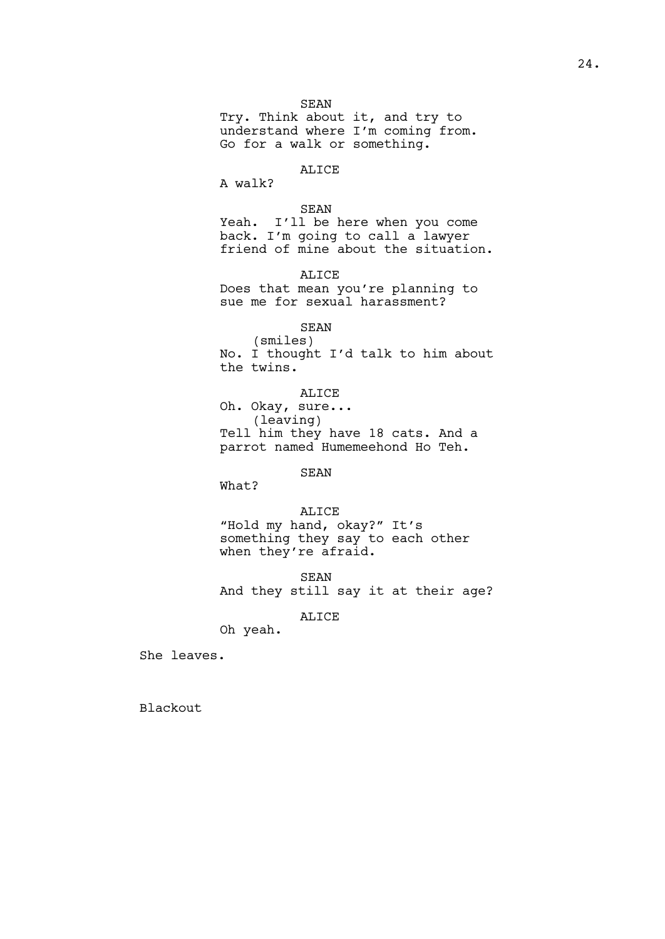Try. Think about it, and try to understand where I'm coming from. Go for a walk or something.

# ALICE

A walk?

# SEAN

Yeah. I'll be here when you come back. I'm going to call a lawyer friend of mine about the situation.

ALICE

Does that mean you're planning to sue me for sexual harassment?

SEAN

(smiles) No. I thought I'd talk to him about the twins.

ALICE Oh. Okay, sure... (leaving) Tell him they have 18 cats. And a parrot named Humemeehond Ho Teh.

SEAN

What?

# ALICE

"Hold my hand, okay?" It's something they say to each other when they're afraid.

SEAN

And they still say it at their age?

# ALICE

Oh yeah.

She leaves.

Blackout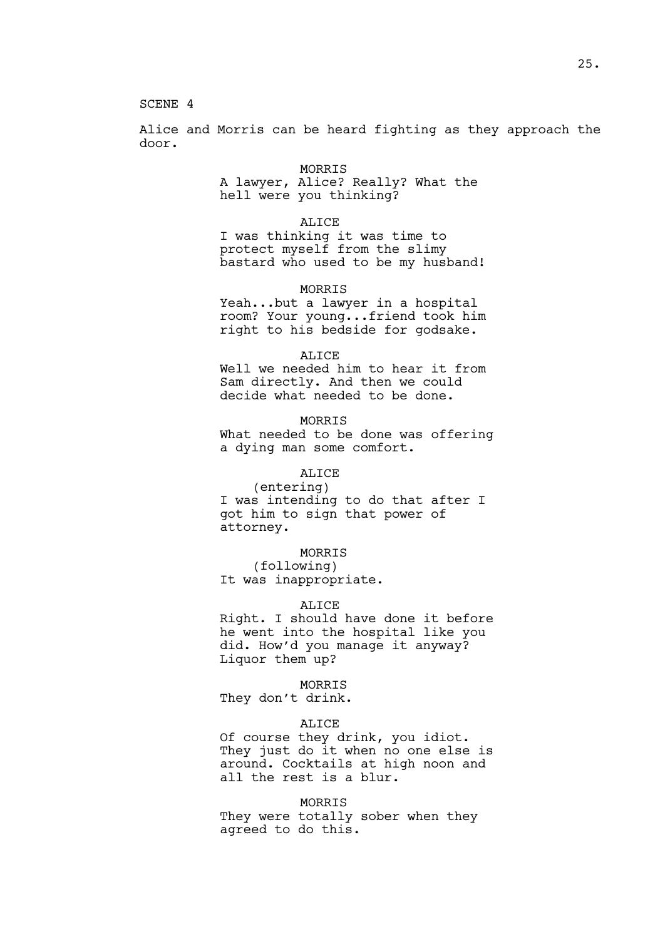SCENE 4

Alice and Morris can be heard fighting as they approach the door.

#### MORRIS

A lawyer, Alice? Really? What the hell were you thinking?

# ALICE

I was thinking it was time to protect myself from the slimy bastard who used to be my husband!

# MORRIS

Yeah...but a lawyer in a hospital room? Your young...friend took him right to his bedside for godsake.

# ALICE

Well we needed him to hear it from Sam directly. And then we could decide what needed to be done.

# MORRIS

What needed to be done was offering a dying man some comfort.

# ALICE

(entering) I was intending to do that after I got him to sign that power of attorney.

# MORRIS

(following) It was inappropriate.

#### ALICE

Right. I should have done it before he went into the hospital like you did. How'd you manage it anyway? Liquor them up?

#### MORRIS

They don't drink.

## ALICE

Of course they drink, you idiot. They just do it when no one else is around. Cocktails at high noon and all the rest is a blur.

#### MORRIS

They were totally sober when they agreed to do this.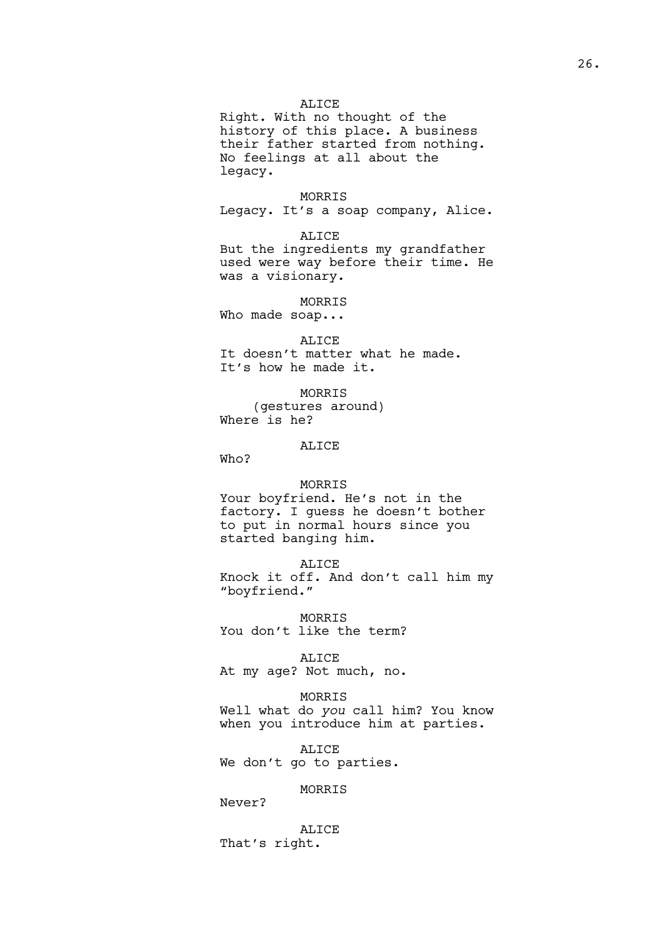## ALICE

Right. With no thought of the history of this place. A business their father started from nothing. No feelings at all about the legacy.

### MORRIS

Legacy. It's a soap company, Alice.

ALICE

But the ingredients my grandfather used were way before their time. He was a visionary.

# MORRIS

Who made soap...

ALICE

It doesn't matter what he made. It's how he made it.

MORRIS (gestures around) Where is he?

### ALICE

Who?

# MORRIS

Your boyfriend. He's not in the factory. I guess he doesn't bother to put in normal hours since you started banging him.

ALICE

Knock it off. And don't call him my "boyfriend."

MORRIS You don't like the term?

#### ALICE

At my age? Not much, no.

#### MORRIS

Well what do *you* call him? You know when you introduce him at parties.

ALICE We don't go to parties.

# MORRIS

Never?

ALICE That's right.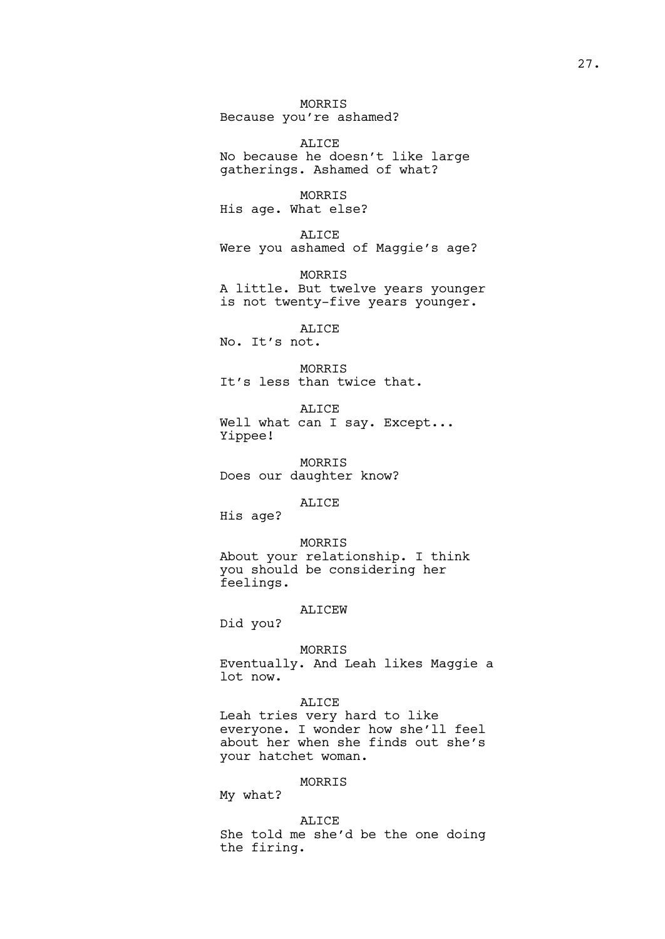MORRIS Because you're ashamed?

ALICE No because he doesn't like large gatherings. Ashamed of what?

MORRIS His age. What else?

ALICE Were you ashamed of Maggie's age?

MORRIS A little. But twelve years younger is not twenty-five years younger.

ALICE

No. It's not.

MORRIS It's less than twice that.

ALICE Well what can I say. Except... Yippee!

MORRIS Does our daughter know?

ALICE

His age?

MORRIS About your relationship. I think you should be considering her feelings.

# ALICEW

Did you?

MORRIS

Eventually. And Leah likes Maggie a lot now.

# ALICE

Leah tries very hard to like everyone. I wonder how she'll feel about her when she finds out she's your hatchet woman.

# MORRIS

My what?

ALICE She told me she'd be the one doing the firing.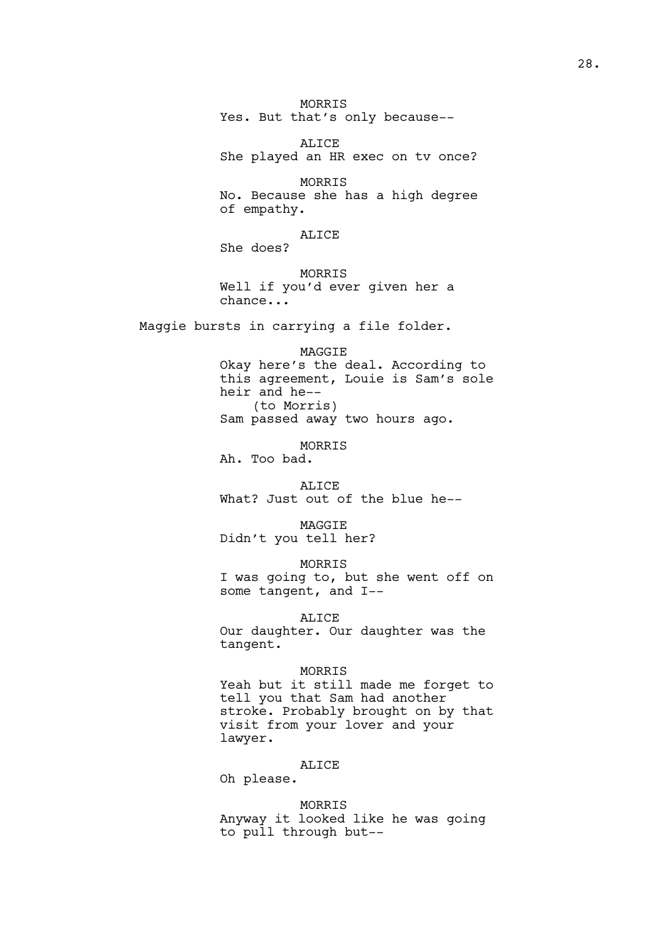MORRIS Yes. But that's only because--

ALICE She played an HR exec on tv once?

MORRIS No. Because she has a high degree of empathy.

ALICE

She does?

MORRIS Well if you'd ever given her a chance...

Maggie bursts in carrying a file folder.

MAGGIE Okay here's the deal. According to this agreement, Louie is Sam's sole heir and he-- (to Morris) Sam passed away two hours ago.

MORRIS

Ah. Too bad.

ALICE What? Just out of the blue he--

MAGGIE Didn't you tell her?

MORRIS

I was going to, but she went off on some tangent, and I--

ALICE

Our daughter. Our daughter was the tangent.

## MORRIS

Yeah but it still made me forget to tell you that Sam had another stroke. Probably brought on by that visit from your lover and your lawyer.

# ALICE

Oh please.

MORRIS Anyway it looked like he was going to pull through but--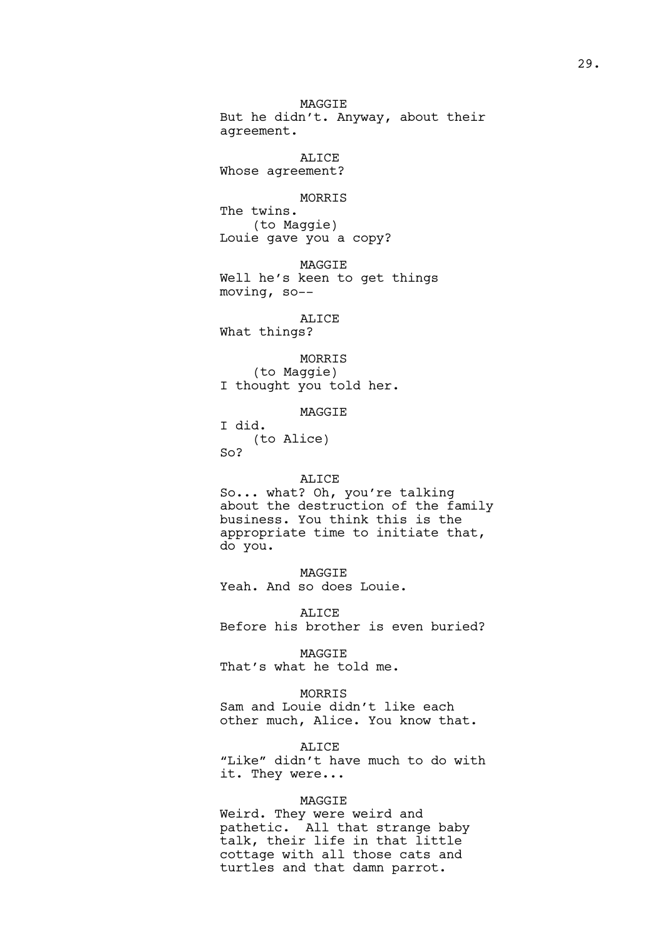MAGGIE But he didn't. Anyway, about their agreement.

ALICE Whose agreement?

### MORRIS

The twins. (to Maggie) Louie gave you a copy?

MAGGIE Well he's keen to get things moving, so--

ALICE What things?

MORRIS (to Maggie) I thought you told her.

MAGGIE

I did. (to Alice)  $SO<sub>2</sub>$ 

#### ALICE

So... what? Oh, you're talking about the destruction of the family business. You think this is the appropriate time to initiate that, do you.

MAGGIE Yeah. And so does Louie.

ALICE Before his brother is even buried?

MAGGIE That's what he told me.

MORRIS Sam and Louie didn't like each other much, Alice. You know that.

ALICE "Like" didn't have much to do with it. They were...

#### MAGGIE

Weird. They were weird and pathetic. All that strange baby talk, their life in that little cottage with all those cats and turtles and that damn parrot.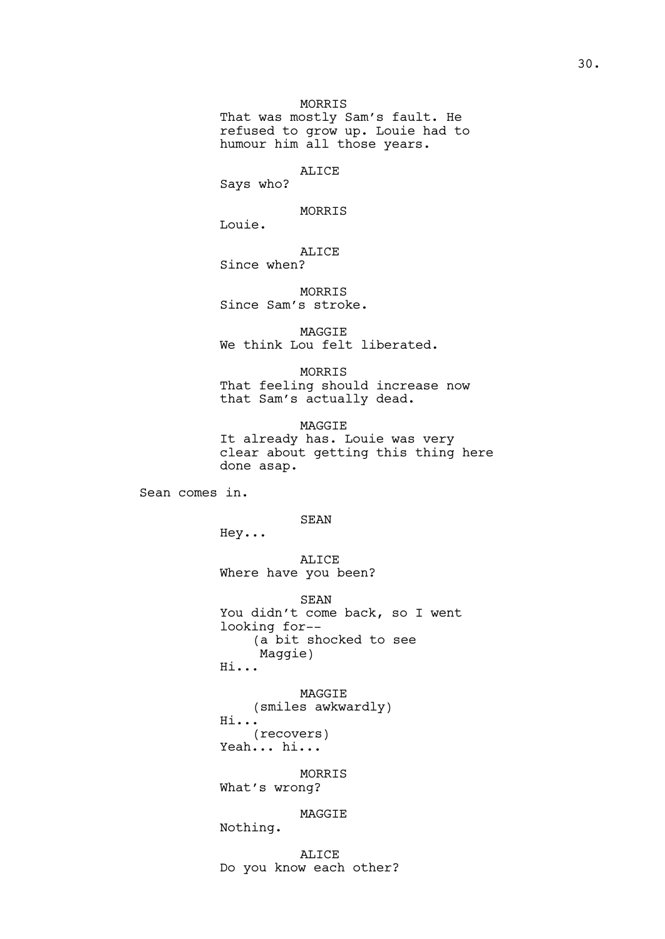That was mostly Sam's fault. He refused to grow up. Louie had to humour him all those years.

#### ALICE

Says who?

MORRIS

Louie.

ALICE

Since when?

MORRIS Since Sam's stroke.

MAGGIE We think Lou felt liberated.

MORRIS That feeling should increase now that Sam's actually dead.

MAGGIE It already has. Louie was very clear about getting this thing here done asap.

Sean comes in.

SEAN

Hey...

ALICE Where have you been?

SEAN You didn't come back, so I went looking for-- (a bit shocked to see Maggie) Hi...

MAGGIE (smiles awkwardly) Hi... (recovers) Yeah... hi...

MORRIS What's wrong?

MAGGIE

Nothing.

ALICE Do you know each other?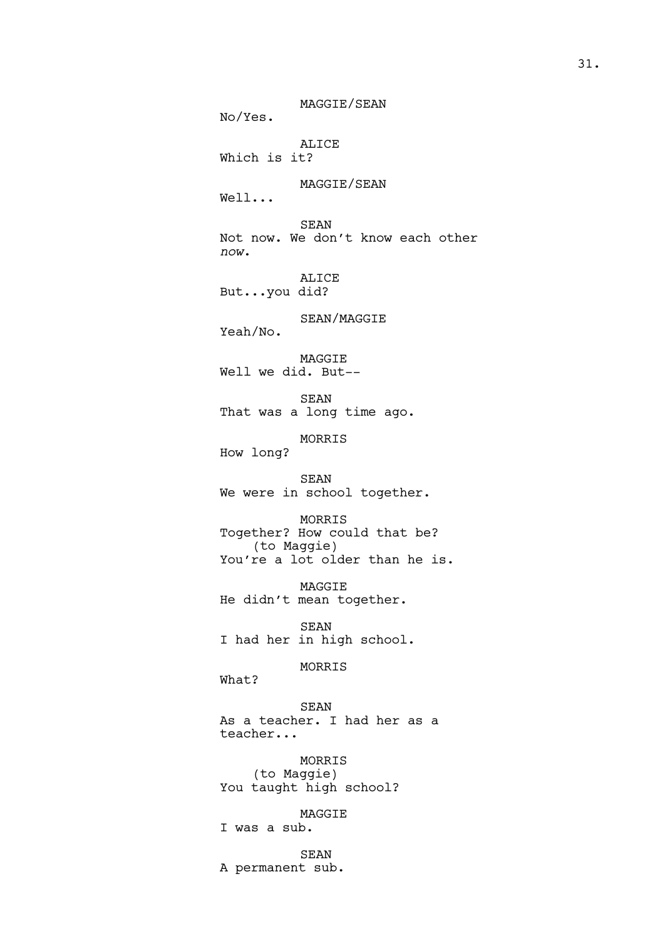MAGGIE/SEAN No/Yes. ALICE Which is it? MAGGIE/SEAN Well... SEAN Not now. We don't know each other *now*. ALICE But...you did? SEAN/MAGGIE Yeah/No. MAGGIE Well we did. But-- SEAN That was a long time ago. MORRIS How long? SEAN We were in school together. MORRIS Together? How could that be? (to Maggie) You're a lot older than he is. MAGGIE He didn't mean together. SEAN I had her in high school. MORRIS What? SEAN As a teacher. I had her as a teacher... MORRIS (to Maggie) You taught high school? MAGGIE I was a sub.

SEAN A permanent sub.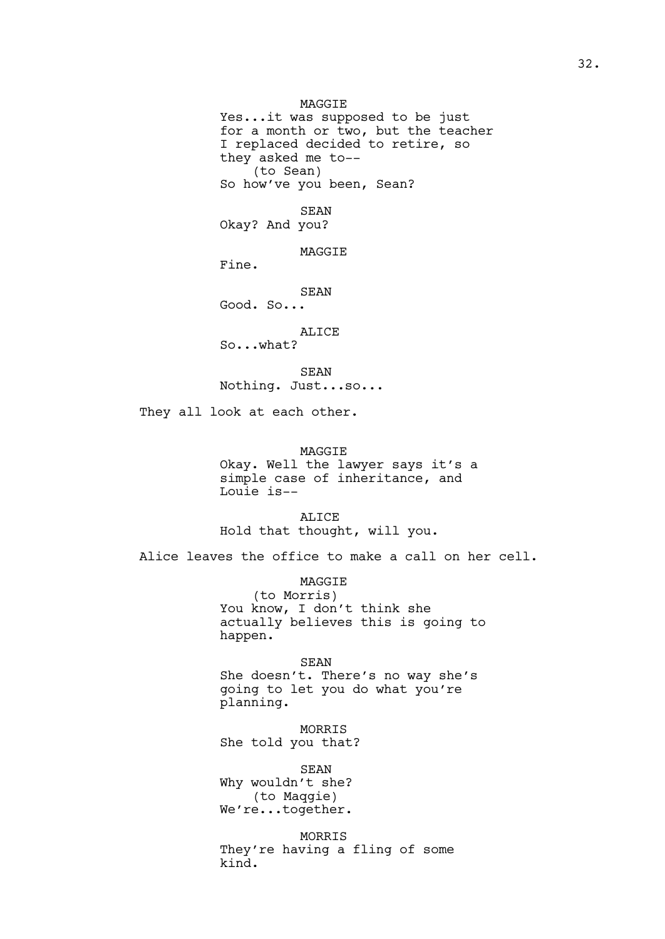MAGGIE Yes...it was supposed to be just for a month or two, but the teacher I replaced decided to retire, so they asked me to-- (to Sean) So how've you been, Sean?

SEAN

Okay? And you?

**MAGGTE** 

Fine.

SEAN

Good. So...

ALICE So...what?

SEAN Nothing. Just...so...

They all look at each other.

# MAGGIE

Okay. Well the lawyer says it's a simple case of inheritance, and Louie is--

ALICE Hold that thought, will you.

Alice leaves the office to make a call on her cell.

MAGGIE (to Morris) You know, I don't think she actually believes this is going to happen.

SEAN She doesn't. There's no way she's going to let you do what you're planning.

MORRIS She told you that?

SEAN Why wouldn't she? (to Maqgie) We're...together.

MORRIS They're having a fling of some kind.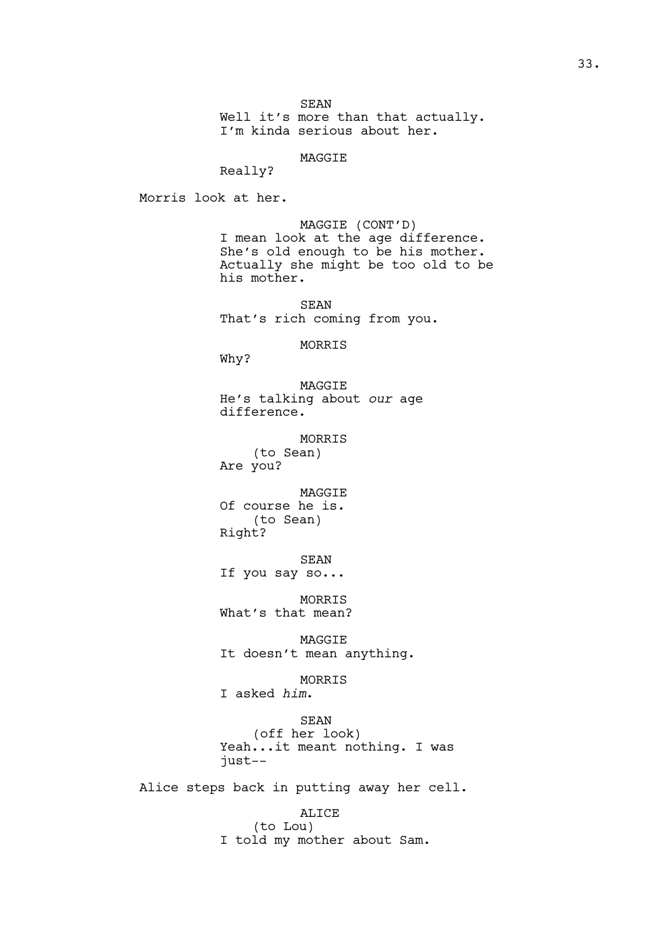SEAN

Well it's more than that actually. I'm kinda serious about her.

MAGGIE

Really?

Morris look at her.

MAGGIE (CONT'D) I mean look at the age difference. She's old enough to be his mother. Actually she might be too old to be his mother.

SEAN That's rich coming from you.

MORRIS

Why?

MAGGIE He's talking about *our* age difference.

MORRIS (to Sean) Are you?

MAGGIE Of course he is. (to Sean) Right?

SEAN

If you say so...

MORRIS What's that mean?

MAGGIE It doesn't mean anything.

MORRIS

I asked *him*.

SEAN (off her look) Yeah...it meant nothing. I was just--

Alice steps back in putting away her cell.

ALICE (to Lou) I told my mother about Sam.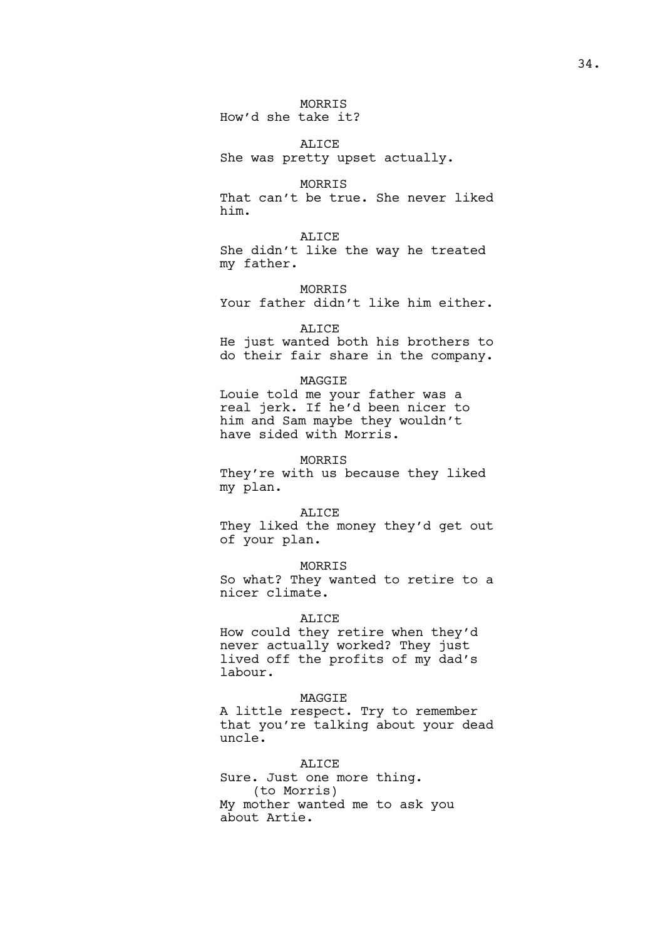MORRIS How'd she take it?

ALICE She was pretty upset actually.

MORRIS That can't be true. She never liked him.

ALICE She didn't like the way he treated my father.

MORRIS Your father didn't like him either.

#### ALICE

He just wanted both his brothers to do their fair share in the company.

# MAGGIE

Louie told me your father was a real jerk. If he'd been nicer to him and Sam maybe they wouldn't have sided with Morris.

# MORRIS

They're with us because they liked my plan.

# ALICE

They liked the money they'd get out of your plan.

MORRIS

So what? They wanted to retire to a nicer climate.

# ALICE

How could they retire when they'd never actually worked? They just lived off the profits of my dad's labour.

### MAGGIE

A little respect. Try to remember that you're talking about your dead uncle.

# ALICE

Sure. Just one more thing. (to Morris) My mother wanted me to ask you about Artie.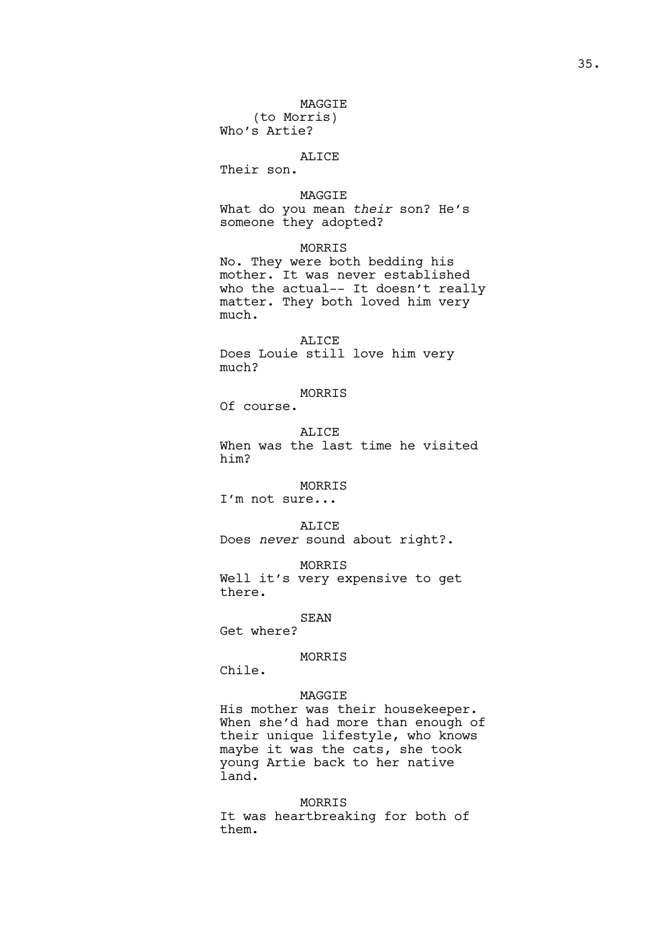MAGGIE

(to Morris) Who's Artie?

ALICE

Their son.

MAGGIE

What do you mean *their* son? He's someone they adopted?

MORRIS

No. They were both bedding his mother. It was never established who the actual-- It doesn't really matter. They both loved him very much.

ALICE Does Louie still love him very much?

MORRIS

Of course.

ALICE When was the last time he visited him?

MORRIS

I'm not sure...

ALICE

Does *never* sound about right?.

MORRIS Well it's very expensive to get there.

## SEAN

Get where?

# MORRIS

Chile.

# MAGGIE

His mother was their housekeeper. When she'd had more than enough of their unique lifestyle, who knows maybe it was the cats, she took young Artie back to her native land.

MORRIS It was heartbreaking for both of them.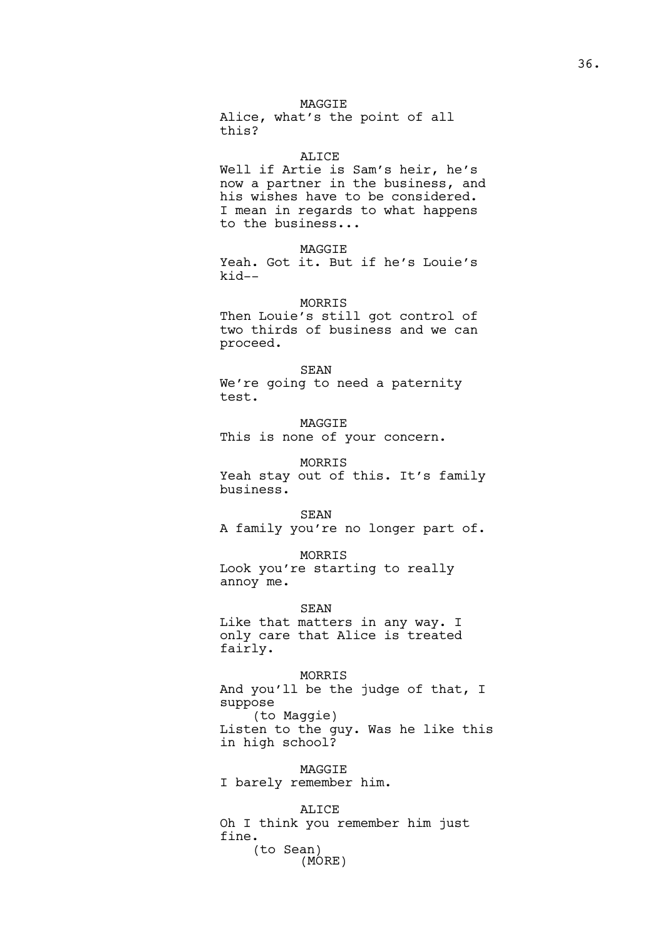## MAGGIE

Alice, what's the point of all this?

### ALICE

Well if Artie is Sam's heir, he's now a partner in the business, and his wishes have to be considered. I mean in regards to what happens to the business...

### MAGGIE

Yeah. Got it. But if he's Louie's kid--

MORRIS

Then Louie's still got control of two thirds of business and we can proceed.

### SEAN

We're going to need a paternity test.

MAGGIE This is none of your concern.

MORRIS Yeah stay out of this. It's family business.

SEAN A family you're no longer part of.

MORRIS Look you're starting to really annoy me.

SEAN Like that matters in any way. I only care that Alice is treated fairly.

MORRIS And you'll be the judge of that, I suppose (to Maggie) Listen to the guy. Was he like this in high school?

MAGGIE I barely remember him.

ALICE Oh I think you remember him just fine. (to Sean) (MORE)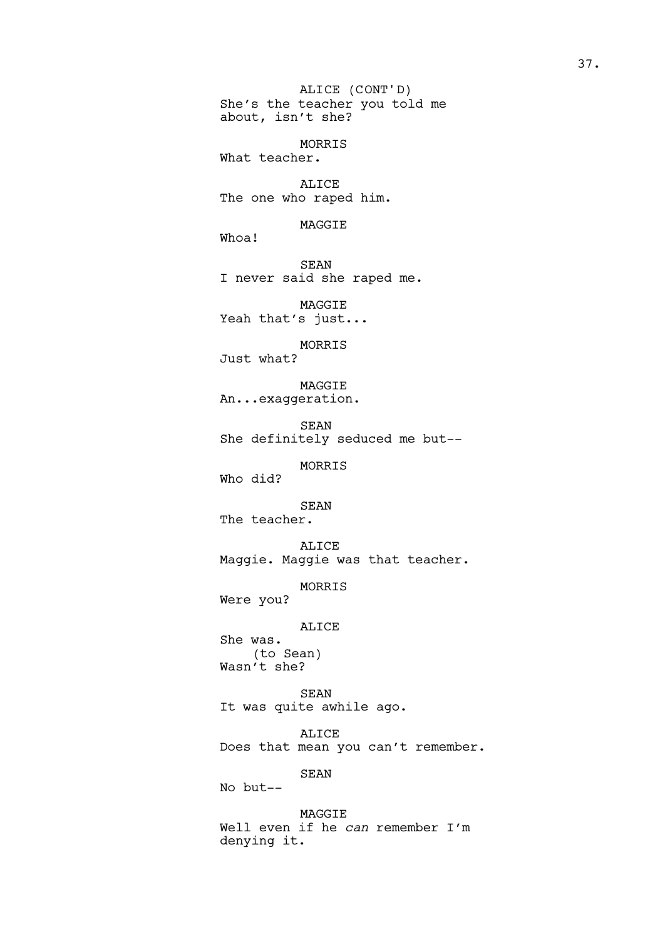She's the teacher you told me about, isn't she? MORRIS What teacher. ALICE The one who raped him. MAGGIE Whoa! SEAN I never said she raped me. MAGGIE Yeah that's just... MORRIS Just what? MAGGIE An...exaggeration. SEAN She definitely seduced me but-- MORRIS Who did? SEAN The teacher. ALICE Maggie. Maggie was that teacher. MORRIS Were you? ALICE She was. (to Sean) Wasn't she? SEAN It was quite awhile ago. ALICE Does that mean you can't remember. SEAN No but-- MAGGIE Well even if he *can* remember I'm denying it. ALICE (CONT'D)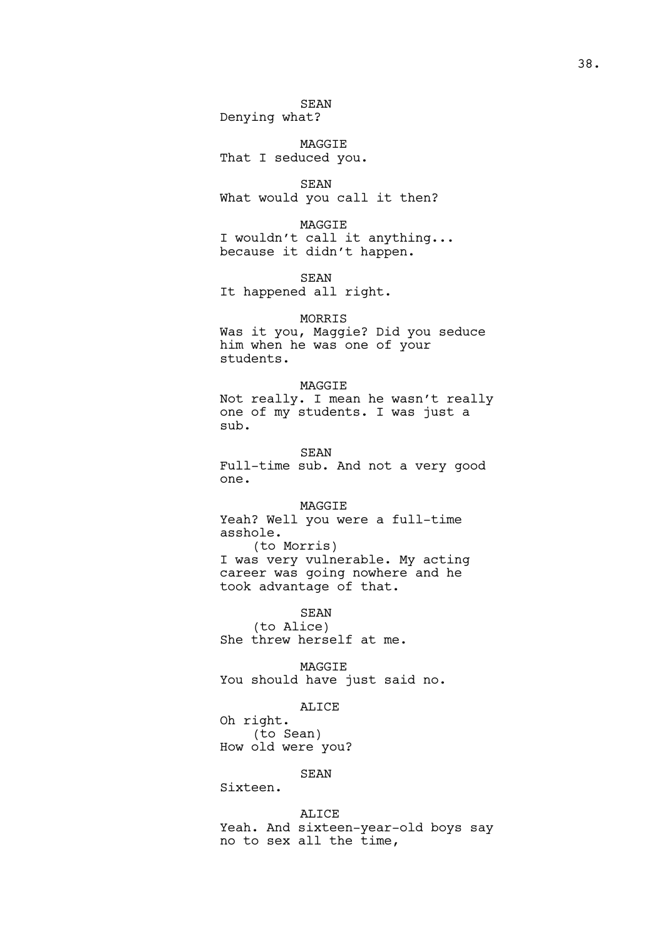SEAN

Denying what?

MAGGIE That I seduced you.

SEAN What would you call it then?

MAGGIE I wouldn't call it anything... because it didn't happen.

SEAN It happened all right.

# MORRIS

Was it you, Maggie? Did you seduce him when he was one of your students.

## MAGGIE

Not really. I mean he wasn't really one of my students. I was just a sub.

# SEAN

Full-time sub. And not a very good one.

MAGGIE Yeah? Well you were a full-time asshole.

(to Morris) I was very vulnerable. My acting career was going nowhere and he took advantage of that.

SEAN (to Alice) She threw herself at me.

MAGGIE You should have just said no.

## ALICE

Oh right. (to Sean) How old were you?

# SEAN

Sixteen.

# ALICE

Yeah. And sixteen-year-old boys say no to sex all the time,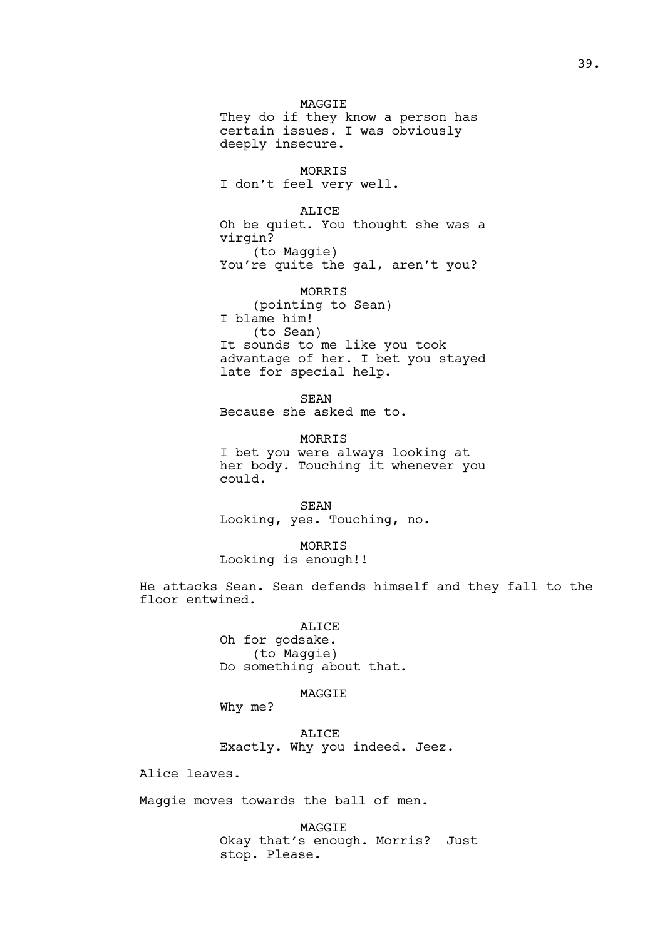MAGGIE They do if they know a person has certain issues. I was obviously deeply insecure.

MORRIS I don't feel very well.

ALICE Oh be quiet. You thought she was a virgin? (to Maggie) You're quite the gal, aren't you?

MORRIS (pointing to Sean) I blame him! (to Sean) It sounds to me like you took advantage of her. I bet you stayed late for special help.

SEAN Because she asked me to.

MORRIS I bet you were always looking at her body. Touching it whenever you could.

SEAN Looking, yes. Touching, no.

MORRIS Looking is enough!!

He attacks Sean. Sean defends himself and they fall to the floor entwined.

> ALICE Oh for godsake. (to Maggie) Do something about that.

> > MAGGIE

Why me?

ALICE Exactly. Why you indeed. Jeez.

Alice leaves.

Maggie moves towards the ball of men.

MAGGIE Okay that's enough. Morris? Just stop. Please.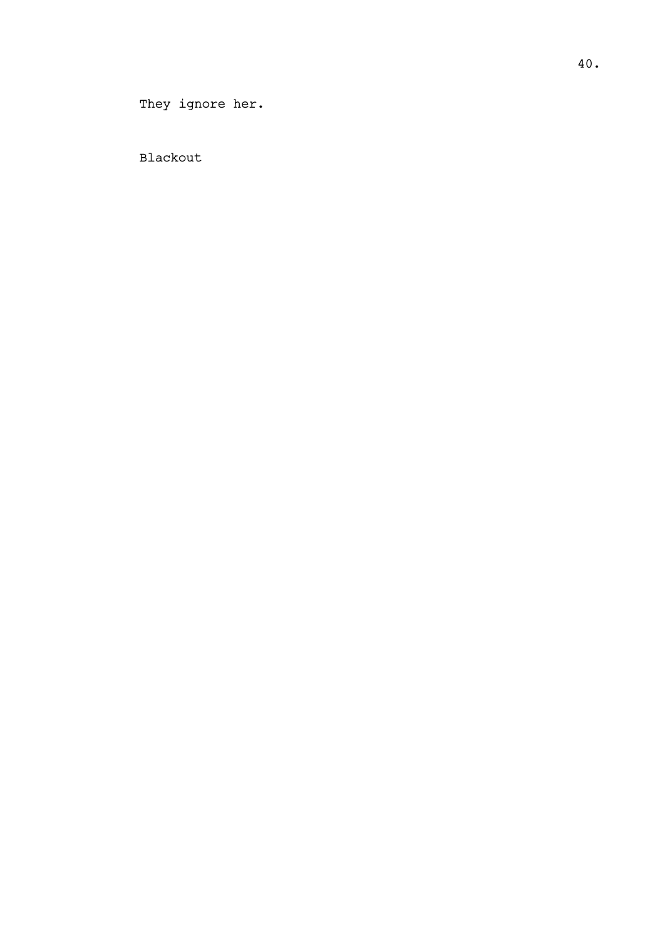40.

They ignore her.

Blackout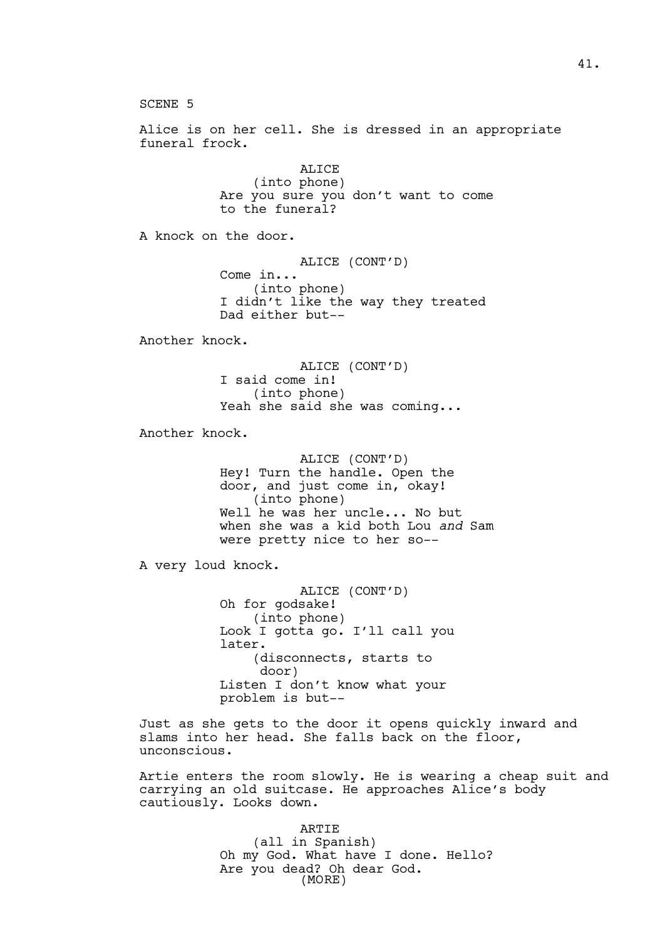SCENE 5 Alice is on her cell. She is dressed in an appropriate funeral frock. ALICE (into phone) Are you sure you don't want to come to the funeral? A knock on the door. ALICE (CONT'D) Come in... (into phone) I didn't like the way they treated Dad either but-- Another knock. ALICE (CONT'D) I said come in! (into phone) Yeah she said she was coming... Another knock. ALICE (CONT'D) Hey! Turn the handle. Open the door, and just come in, okay! (into phone) Well he was her uncle... No but when she was a kid both Lou *and* Sam were pretty nice to her so-- A very loud knock. ALICE (CONT'D) Oh for godsake! (into phone) Look I gotta go. I'll call you later. (disconnects, starts to door) Listen I don't know what your problem is but-- Just as she gets to the door it opens quickly inward and slams into her head. She falls back on the floor, unconscious. Artie enters the room slowly. He is wearing a cheap suit and carrying an old suitcase. He approaches Alice's body cautiously. Looks down.

> ARTIE (all in Spanish) Oh my God. What have I done. Hello? Are you dead? Oh dear God. (MORE)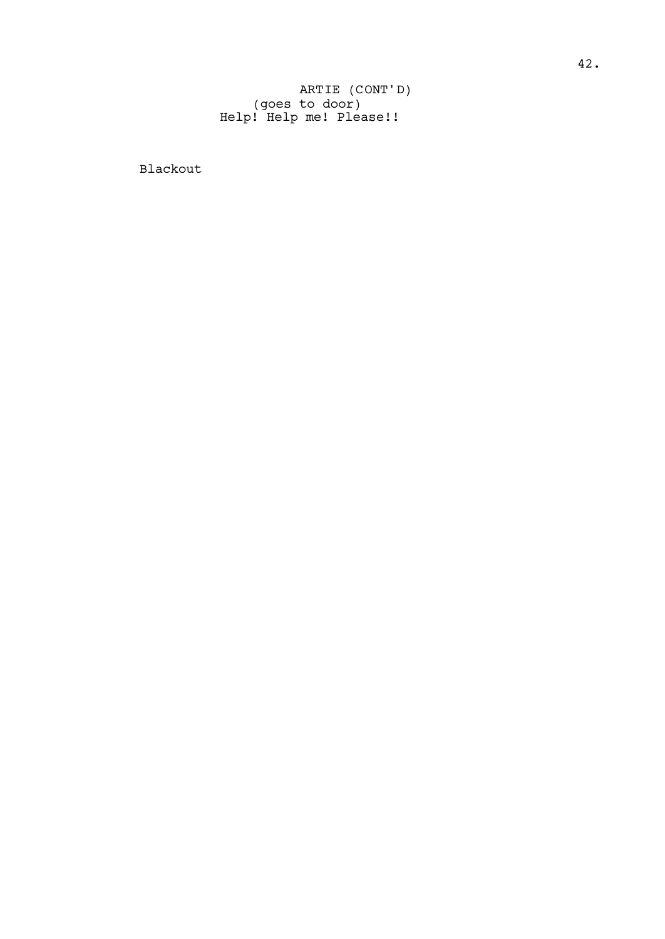(goes to door) Help! Help me! Please!! ARTIE (CONT'D)

Blackout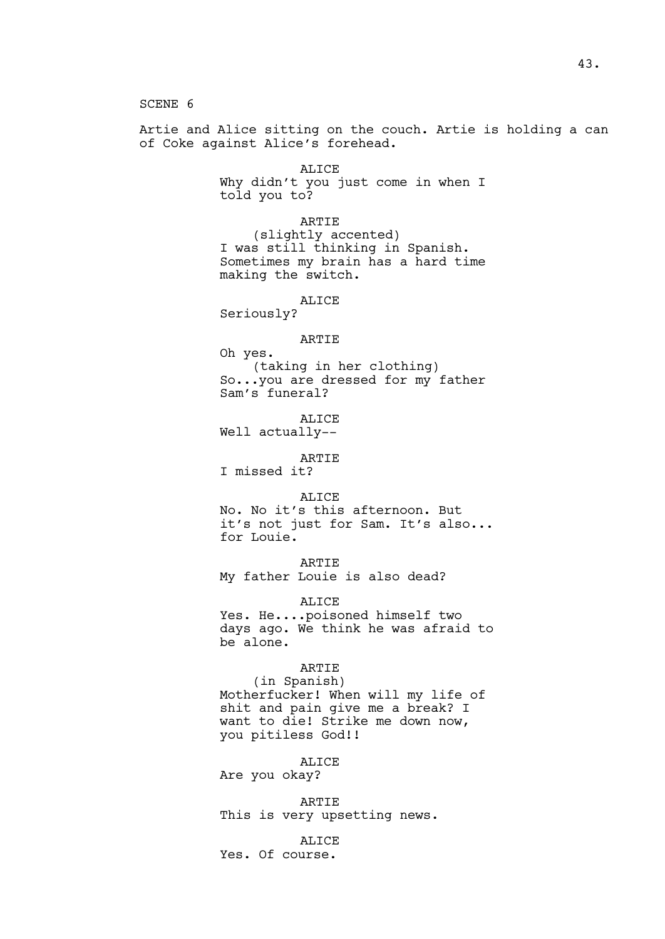SCENE 6

Artie and Alice sitting on the couch. Artie is holding a can of Coke against Alice's forehead.

> ALICE Why didn't you just come in when I told you to?

> ARTIE (slightly accented) I was still thinking in Spanish. Sometimes my brain has a hard time making the switch.

### ALICE

Seriously?

## ARTIE

Oh yes. (taking in her clothing) So...you are dressed for my father Sam's funeral?

ALICE Well actually--

# ARTIE

I missed it?

ALICE

No. No it's this afternoon. But it's not just for Sam. It's also... for Louie.

ARTIE

My father Louie is also dead?

ALICE

Yes. He....poisoned himself two days ago. We think he was afraid to be alone.

# ARTIE

(in Spanish) Motherfucker! When will my life of shit and pain give me a break? I want to die! Strike me down now, you pitiless God!!

ALICE Are you okay?

ARTIE This is very upsetting news.

ALICE Yes. Of course.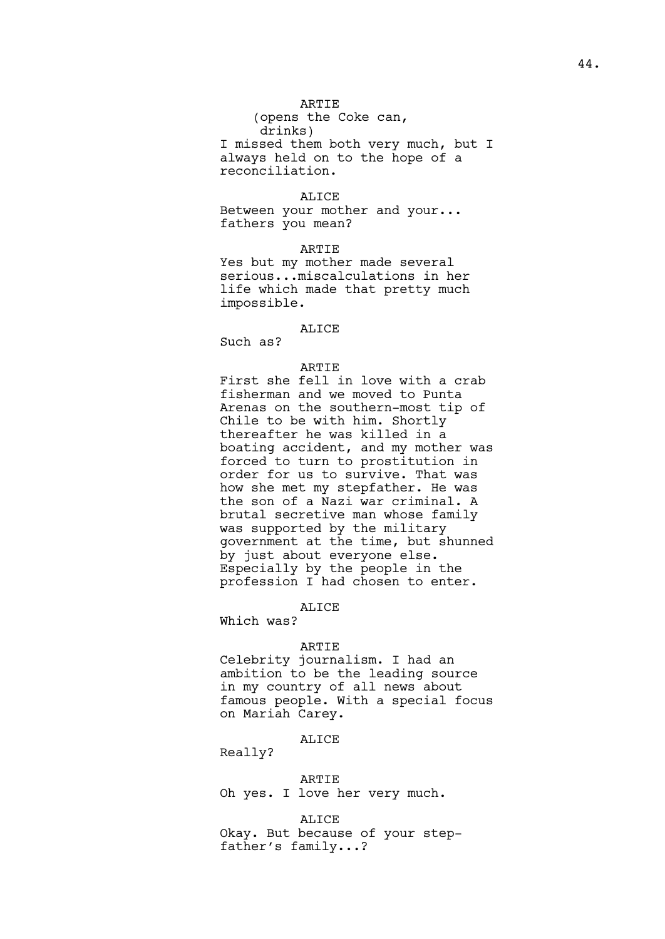# ARTIE

(opens the Coke can, drinks) I missed them both very much, but I always held on to the hope of a reconciliation.

### ALICE

Between your mother and your... fathers you mean?

## ARTIE

Yes but my mother made several serious...miscalculations in her life which made that pretty much impossible.

#### ALICE

Such as?

# ARTIE

First she fell in love with a crab fisherman and we moved to Punta Arenas on the southern-most tip of Chile to be with him. Shortly thereafter he was killed in a boating accident, and my mother was forced to turn to prostitution in order for us to survive. That was how she met my stepfather. He was the son of a Nazi war criminal. A brutal secretive man whose family was supported by the military government at the time, but shunned by just about everyone else. Especially by the people in the profession I had chosen to enter.

# ALICE

Which was?

## ARTIE

Celebrity journalism. I had an ambition to be the leading source in my country of all news about famous people. With a special focus on Mariah Carey.

# ALICE

Really?

ARTIE Oh yes. I love her very much.

# ALICE

Okay. But because of your stepfather's family...?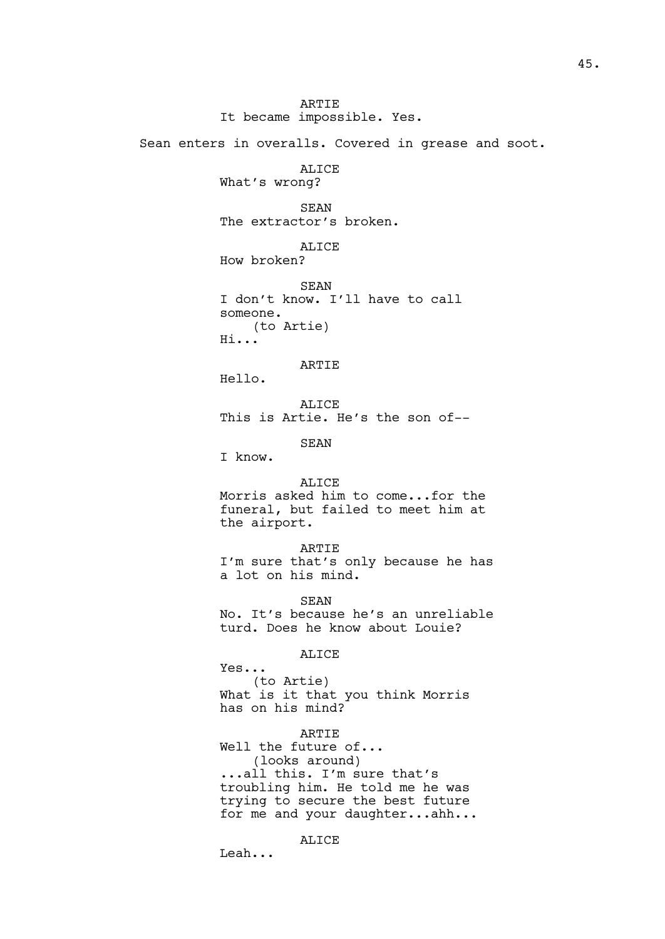ARTIE It became impossible. Yes. Sean enters in overalls. Covered in grease and soot. ALICE What's wrong? SEAN The extractor's broken. ALICE How broken? **SEAN** I don't know. I'll have to call someone. (to Artie) Hi... ARTIE Hello. ALICE This is Artie. He's the son of-- SEAN I know. ALICE Morris asked him to come...for the funeral, but failed to meet him at the airport. ARTIE I'm sure that's only because he has a lot on his mind. SEAN No. It's because he's an unreliable turd. Does he know about Louie? ALICE Yes... (to Artie) What is it that you think Morris has on his mind? ARTIE Well the future of... (looks around) ...all this. I'm sure that's troubling him. He told me he was trying to secure the best future for me and your daughter...ahh...

### ALICE

Leah...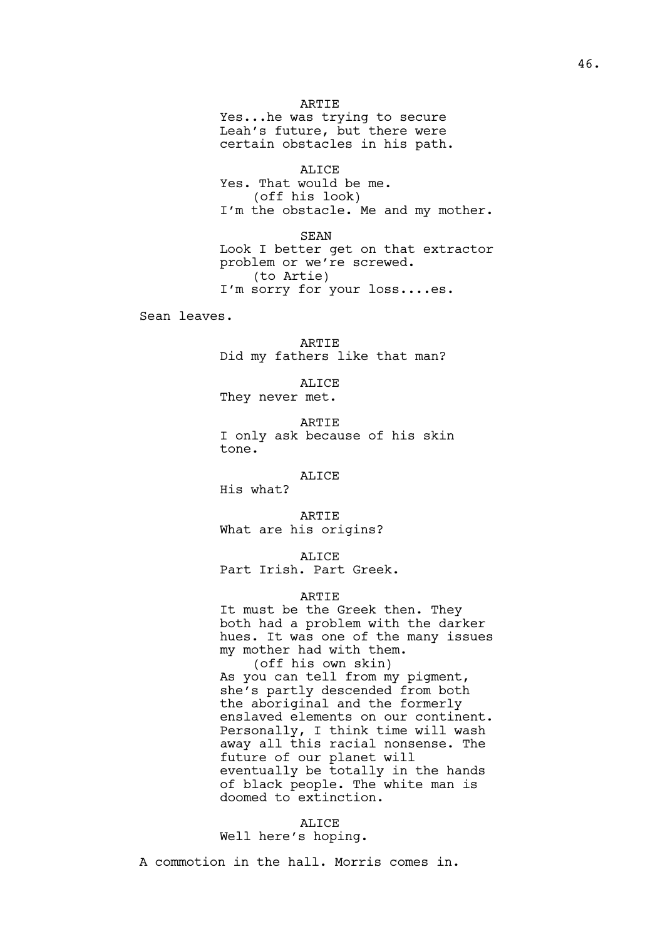## ARTIE

Yes...he was trying to secure Leah's future, but there were certain obstacles in his path.

ALICE Yes. That would be me. (off his look)

I'm the obstacle. Me and my mother.

SEAN

Look I better get on that extractor problem or we're screwed. (to Artie) I'm sorry for your loss....es.

Sean leaves.

ARTIE Did my fathers like that man?

ALICE

They never met.

ARTIE I only ask because of his skin tone.

# ALICE

His what?

ARTIE What are his origins?

ALICE

Part Irish. Part Greek.

## ARTIE

It must be the Greek then. They both had a problem with the darker hues. It was one of the many issues my mother had with them.

(off his own skin) As you can tell from my pigment, she's partly descended from both the aboriginal and the formerly enslaved elements on our continent. Personally, I think time will wash away all this racial nonsense. The future of our planet will eventually be totally in the hands of black people. The white man is doomed to extinction.

#### ALICE

Well here's hoping.

A commotion in the hall. Morris comes in.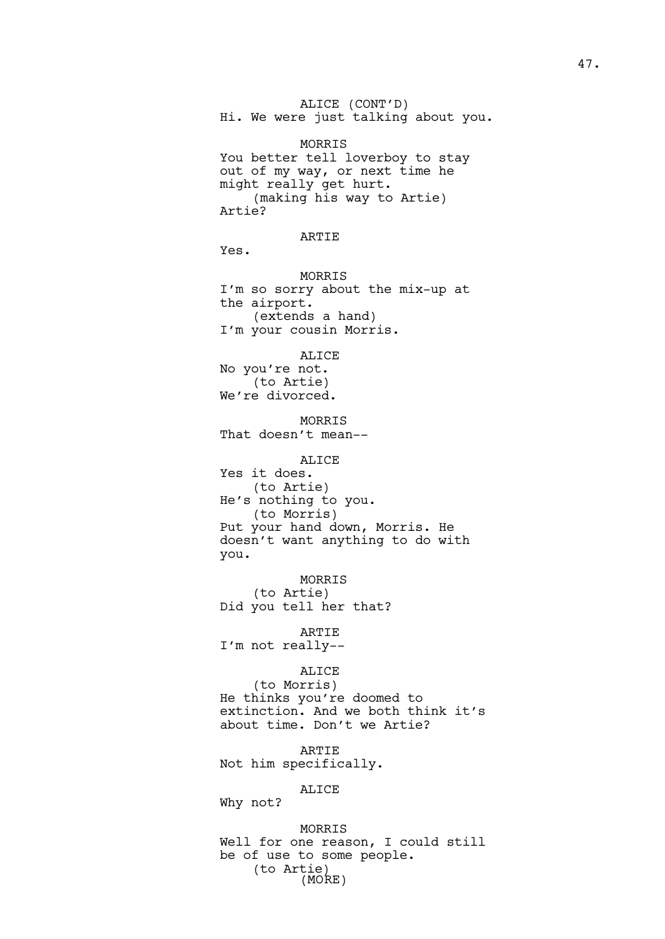ALICE (CONT'D) Hi. We were just talking about you. MORRIS You better tell loverboy to stay out of my way, or next time he might really get hurt. (making his way to Artie) Artie? ARTIE Yes. MORRIS I'm so sorry about the mix-up at the airport. (extends a hand) I'm your cousin Morris. ALICE No you're not. (to Artie) We're divorced. MORRIS That doesn't mean-- ALICE

Yes it does. (to Artie) He's nothing to you. (to Morris) Put your hand down, Morris. He doesn't want anything to do with you.

MORRIS (to Artie) Did you tell her that?

ARTIE I'm not really--

# ALICE

(to Morris) He thinks you're doomed to extinction. And we both think it's about time. Don't we Artie?

ARTIE Not him specifically.

# ALICE

Why not?

MORRIS Well for one reason, I could still be of use to some people. (to Artie) (MORE)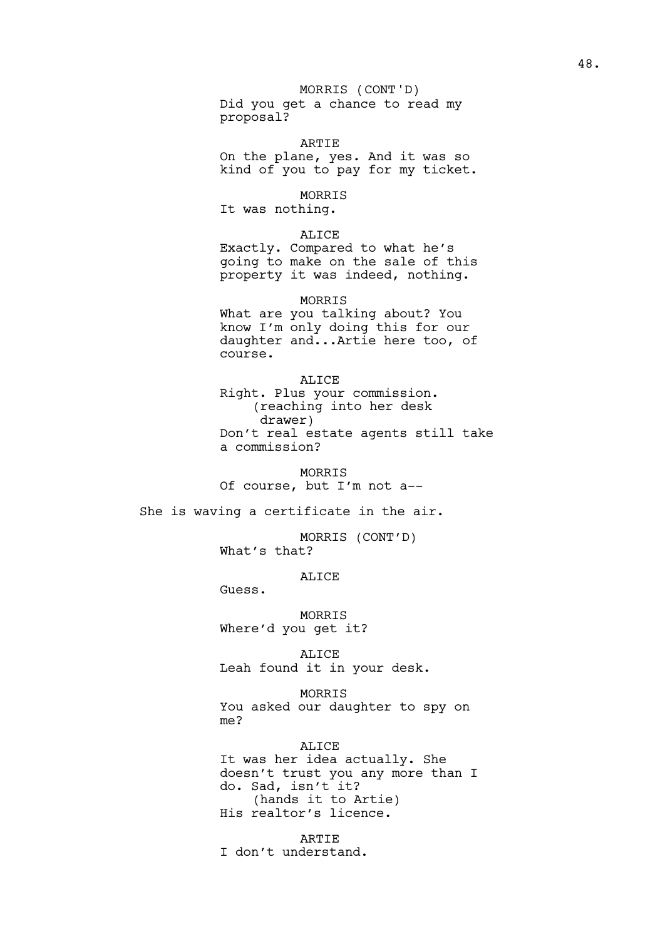# MORRIS (CONT'D)

Did you get a chance to read my proposal?

ARTIE

On the plane, yes. And it was so kind of you to pay for my ticket.

# MORRIS

It was nothing.

## ALICE

Exactly. Compared to what he's going to make on the sale of this property it was indeed, nothing.

MORRIS

What are you talking about? You know I'm only doing this for our daughter and...Artie here too, of course.

# ALICE

Right. Plus your commission. (reaching into her desk drawer) Don't real estate agents still take a commission?

MORRIS Of course, but I'm not a--

She is waving a certificate in the air.

MORRIS (CONT'D) What's that?

## **ALICE**

Guess.

MORRIS Where'd you get it?

ALICE Leah found it in your desk.

MORRIS You asked our daughter to spy on me?

ALICE

It was her idea actually. She doesn't trust you any more than I do. Sad, isn't it? (hands it to Artie) His realtor's licence.

**ARTIE** I don't understand.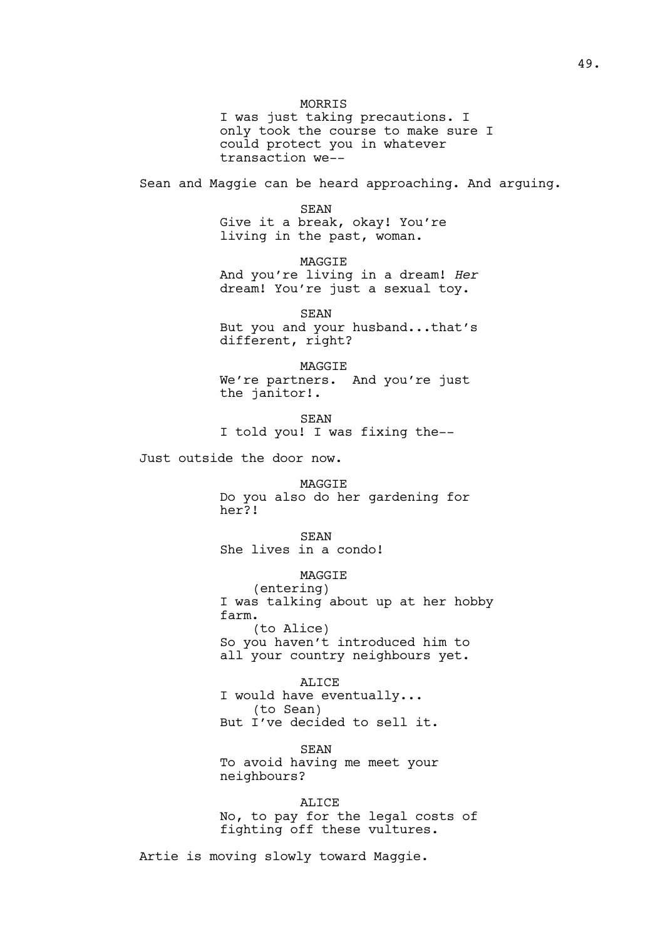MORRIS I was just taking precautions. I only took the course to make sure I could protect you in whatever transaction we-- Sean and Maggie can be heard approaching. And arguing. SEAN Give it a break, okay! You're living in the past, woman. **MAGGIF** And you're living in a dream! *Her* dream! You're just a sexual toy. SEAN But you and your husband...that's different, right? MAGGIE We're partners. And you're just the janitor!. SEAN I told you! I was fixing the-- Just outside the door now. MAGGIE Do you also do her gardening for her?! SEAN She lives in a condo! MAGGIE (entering) I was talking about up at her hobby farm. (to Alice) So you haven't introduced him to all your country neighbours yet. ALICE I would have eventually... (to Sean) But I've decided to sell it. SEAN To avoid having me meet your neighbours?

> ALICE No, to pay for the legal costs of fighting off these vultures.

Artie is moving slowly toward Maggie.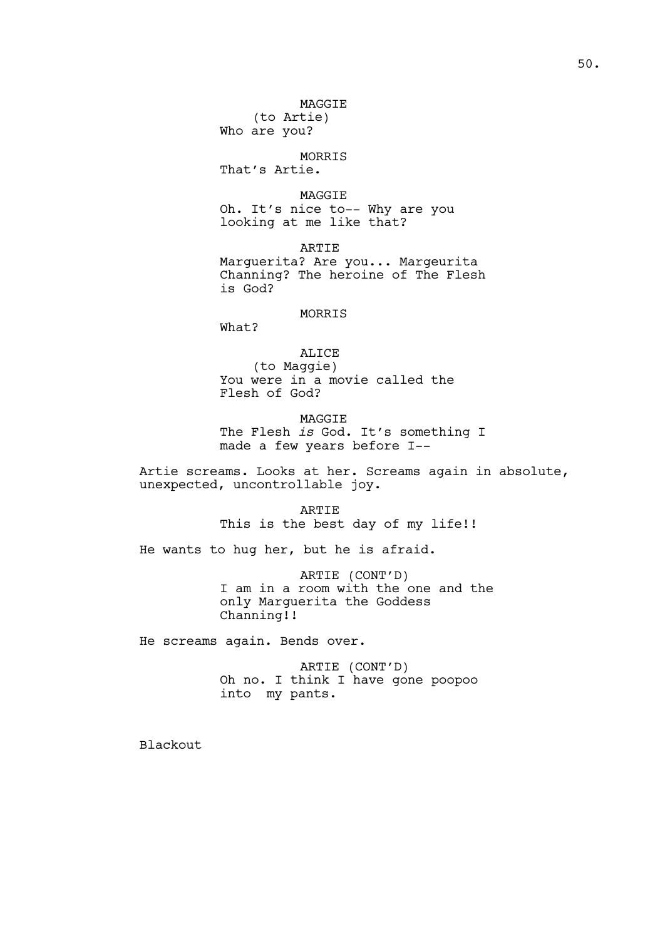MAGGIE (to Artie)

Who are you?

MORRIS That's Artie.

MAGGIE Oh. It's nice to-- Why are you looking at me like that?

ARTIE Marguerita? Are you... Margeurita Channing? The heroine of The Flesh is God?

# MORRIS

What?

ALICE (to Maggie) You were in a movie called the Flesh of God?

MAGGIE The Flesh *is* God. It's something I made a few years before I--

Artie screams. Looks at her. Screams again in absolute, unexpected, uncontrollable joy.

> ARTIE This is the best day of my life!!

He wants to hug her, but he is afraid.

ARTIE (CONT'D) I am in a room with the one and the only Marguerita the Goddess Channing!!

He screams again. Bends over.

ARTIE (CONT'D) Oh no. I think I have gone poopoo into my pants.

Blackout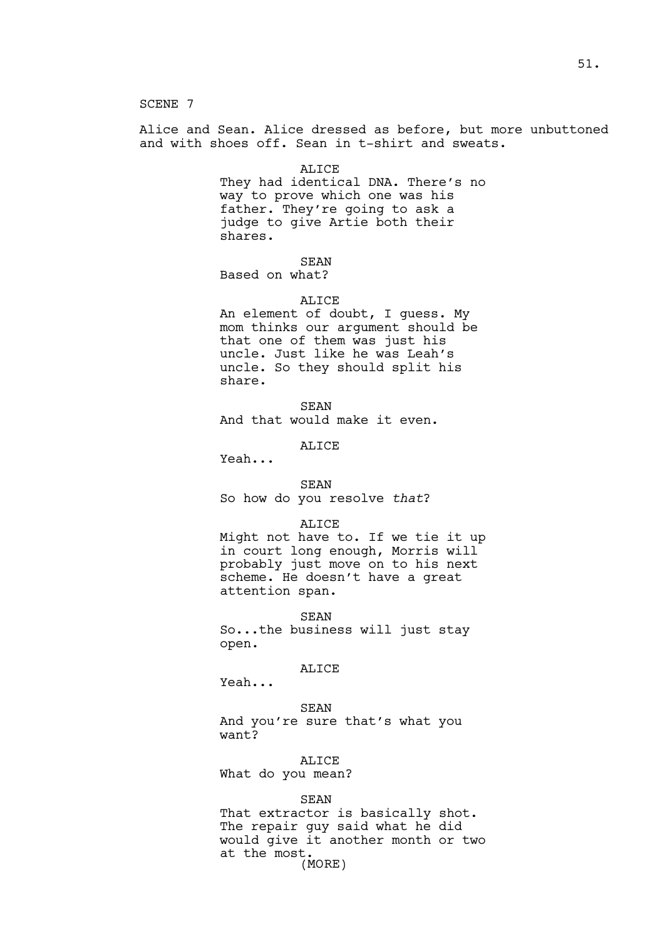SCENE 7

Alice and Sean. Alice dressed as before, but more unbuttoned and with shoes off. Sean in t-shirt and sweats.

#### ALICE

They had identical DNA. There's no way to prove which one was his father. They're going to ask a judge to give Artie both their shares.

SEAN

Based on what?

#### ALICE

An element of doubt, I guess. My mom thinks our argument should be that one of them was just his uncle. Just like he was Leah's uncle. So they should split his share.

```
SEAN
```
And that would make it even.

ALICE

Yeah...

#### SEAN

So how do you resolve *that*?

## ALICE

Might not have to. If we tie it up in court long enough, Morris will probably just move on to his next scheme. He doesn't have a great attention span.

SEAN So...the business will just stay open.

## ALICE

Yeah...

#### SEAN

And you're sure that's what you want?

# ALICE

What do you mean?

#### SEAN

That extractor is basically shot. The repair guy said what he did would give it another month or two at the most. (MORE)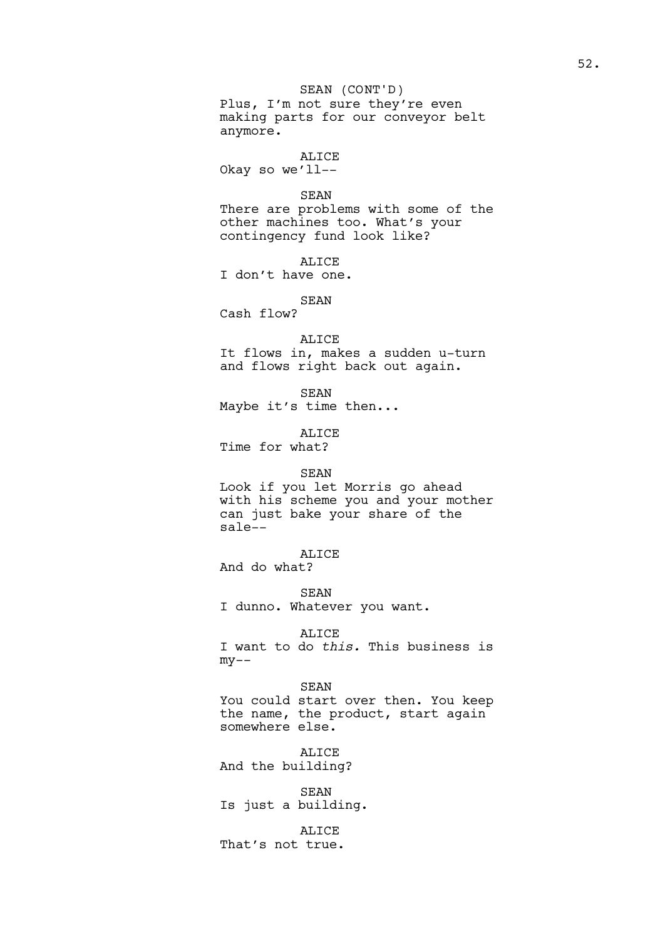# SEAN (CONT'D)

Plus, I'm not sure they're even making parts for our conveyor belt anymore.

# ALICE

Okay so we'll--

#### SEAN

There are problems with some of the other machines too. What's your contingency fund look like?

ALICE

I don't have one.

## SEAN

Cash flow?

ALICE

It flows in, makes a sudden u-turn and flows right back out again.

SEAN Maybe it's time then...

ALICE Time for what?

### SEAN

Look if you let Morris go ahead with his scheme you and your mother can just bake your share of the sale--

ALICE

And do what?

SEAN I dunno. Whatever you want.

# ALICE

I want to do *this.* This business is  $my--$ 

SEAN You could start over then. You keep the name, the product, start again somewhere else.

ALICE And the building?

SEAN Is just a building.

# ALICE

That's not true.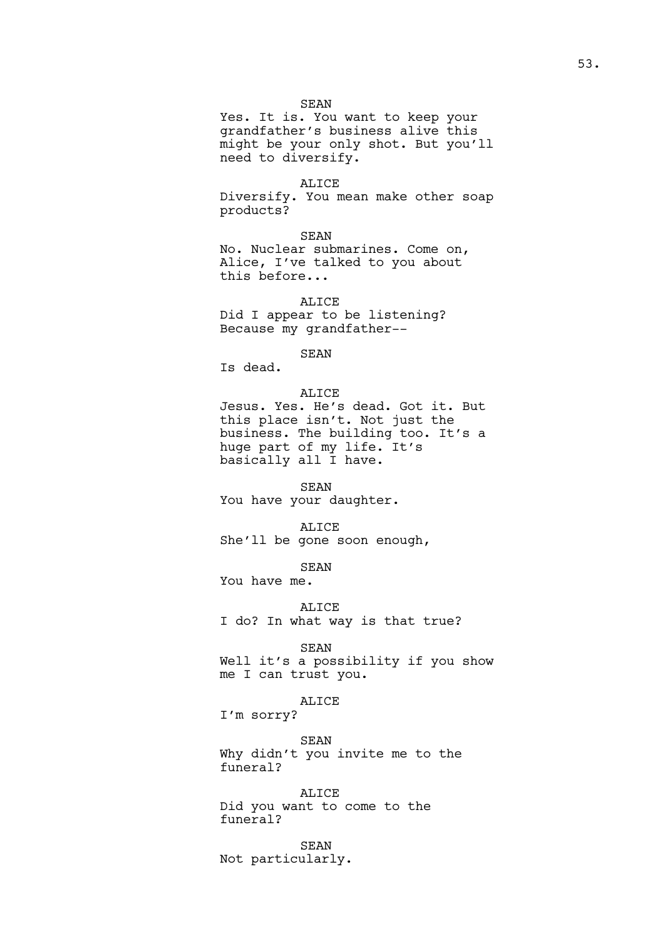### SEAN

Yes. It is. You want to keep your grandfather's business alive this might be your only shot. But you'll need to diversify.

#### ALICE

Diversify. You mean make other soap products?

### SEAN

No. Nuclear submarines. Come on, Alice, I've talked to you about this before...

# ALICE

Did I appear to be listening? Because my grandfather--

# SEAN

Is dead.

## ALICE

Jesus. Yes. He's dead. Got it. But this place isn't. Not just the business. The building too. It's a huge part of my life. It's basically all I have.

#### SEAN

You have your daughter.

# ALICE

She'll be gone soon enough,

SEAN You have me.

#### ALICE

I do? In what way is that true?

## SEAN

Well it's a possibility if you show me I can trust you.

#### ALICE

I'm sorry?

SEAN Why didn't you invite me to the funeral?

ALICE Did you want to come to the funeral?

SEAN Not particularly.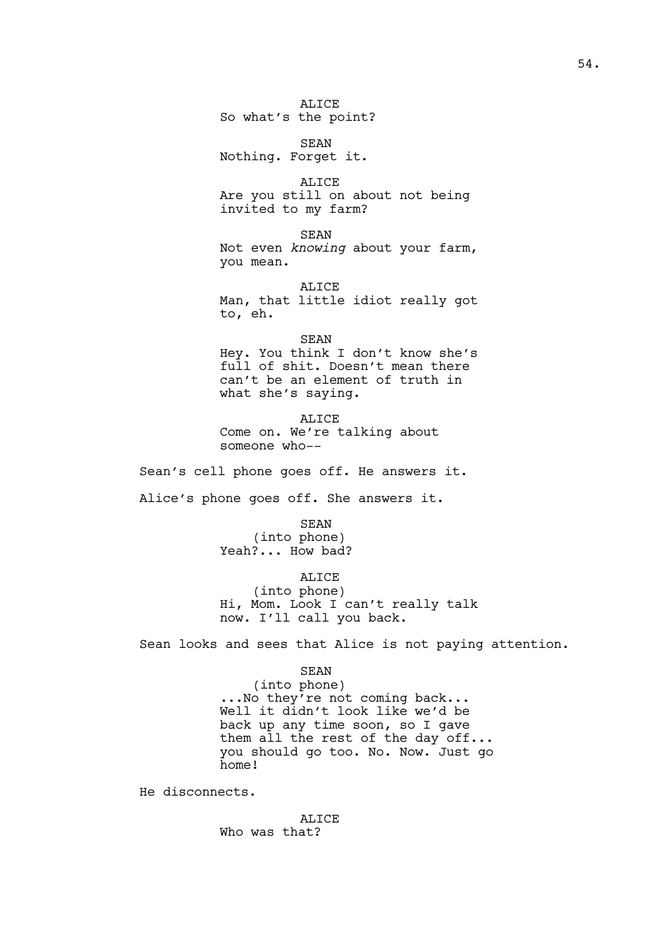ALICE So what's the point?

SEAN Nothing. Forget it.

ALICE Are you still on about not being invited to my farm?

SEAN Not even *knowing* about your farm, you mean.

ALICE Man, that little idiot really got to, eh.

SEAN Hey. You think I don't know she's full of shit. Doesn't mean there can't be an element of truth in what she's saying.

ALICE Come on. We're talking about someone who--

Sean's cell phone goes off. He answers it.

Alice's phone goes off. She answers it.

SEAN (into phone) Yeah?... How bad?

ALICE (into phone) Hi, Mom. Look I can't really talk now. I'll call you back.

Sean looks and sees that Alice is not paying attention.

#### SEAN

(into phone) ...No they're not coming back... Well it didn't look like we'd be back up any time soon, so I gave them all the rest of the day off... you should go too. No. Now. Just go home!

He disconnects.

ALICE Who was that?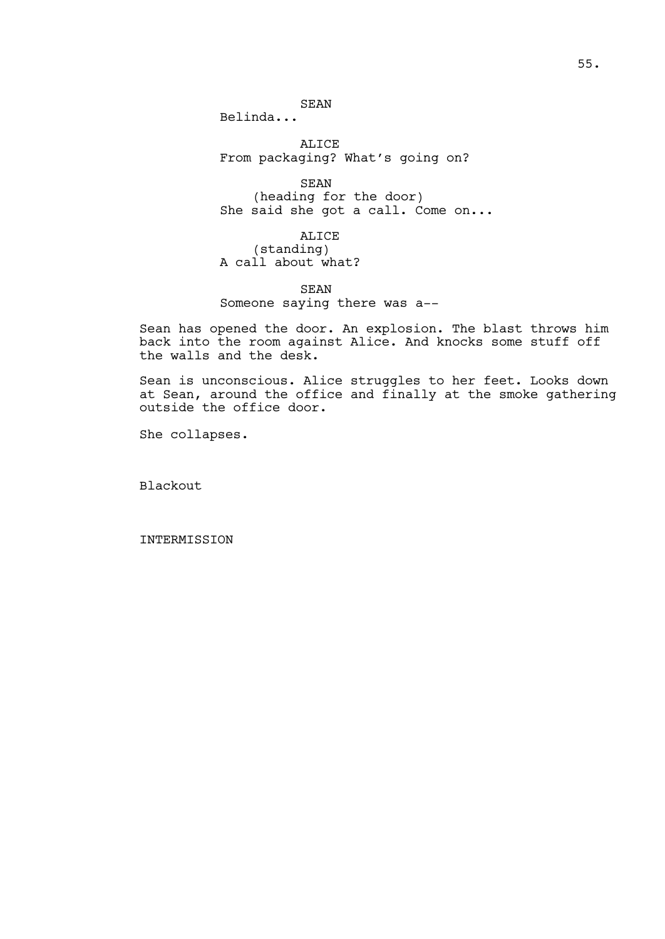SEAN

Belinda...

ALICE From packaging? What's going on?

SEAN (heading for the door) She said she got a call. Come on...

ALICE (standing) A call about what?

SEAN Someone saying there was a--

Sean has opened the door. An explosion. The blast throws him back into the room against Alice. And knocks some stuff off the walls and the desk.

Sean is unconscious. Alice struggles to her feet. Looks down at Sean, around the office and finally at the smoke gathering outside the office door.

She collapses.

Blackout

INTERMISSION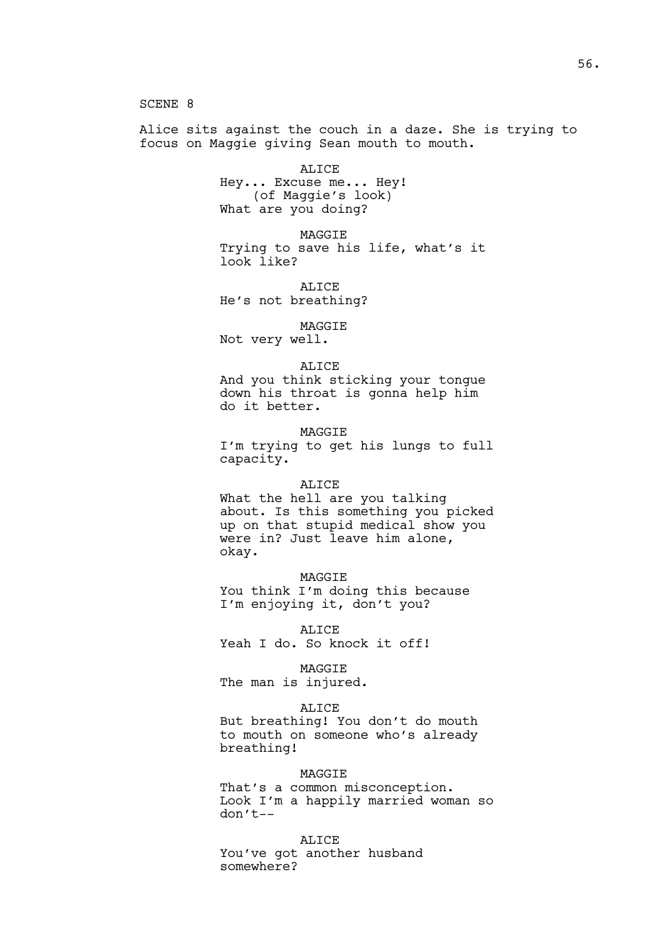SCENE 8

Alice sits against the couch in a daze. She is trying to focus on Maggie giving Sean mouth to mouth.

> ALICE Hey... Excuse me... Hey! (of Maggie's look) What are you doing?

MAGGIE Trying to save his life, what's it look like?

ALICE He's not breathing?

MAGGIE

Not very well.

#### ALICE

And you think sticking your tongue down his throat is gonna help him do it better.

MAGGIE

I'm trying to get his lungs to full capacity.

#### ALICE

What the hell are you talking about. Is this something you picked up on that stupid medical show you were in? Just leave him alone, okay.

MAGGIE You think I'm doing this because I'm enjoying it, don't you?

ALICE Yeah I do. So knock it off!

MAGGIE The man is injured.

# **ALICE**

But breathing! You don't do mouth to mouth on someone who's already breathing!

## MAGGIE

That's a common misconception. Look I'm a happily married woman so don't--

ALICE

You've got another husband somewhere?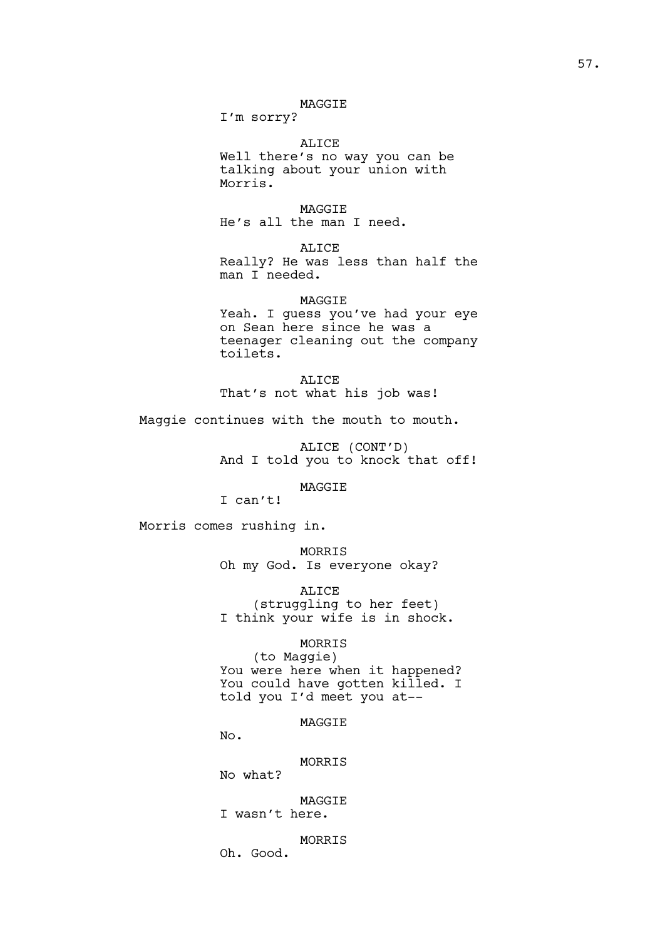# MAGGIE

I'm sorry?

ALICE Well there's no way you can be talking about your union with Morris.

MAGGIE He's all the man I need.

ALICE Really? He was less than half the man I needed.

MAGGIE Yeah. I guess you've had your eye on Sean here since he was a teenager cleaning out the company toilets.

ALICE That's not what his job was!

Maggie continues with the mouth to mouth.

ALICE (CONT'D) And I told you to knock that off!

MAGGIE

I can't!

Morris comes rushing in.

MORRIS Oh my God. Is everyone okay?

ALICE (struggling to her feet) I think your wife is in shock.

MORRIS

(to Maggie) You were here when it happened? You could have gotten killed. I told you I'd meet you at--

MAGGIE

No.

MORRIS

No what?

MAGGIE I wasn't here.

MORRIS Oh. Good.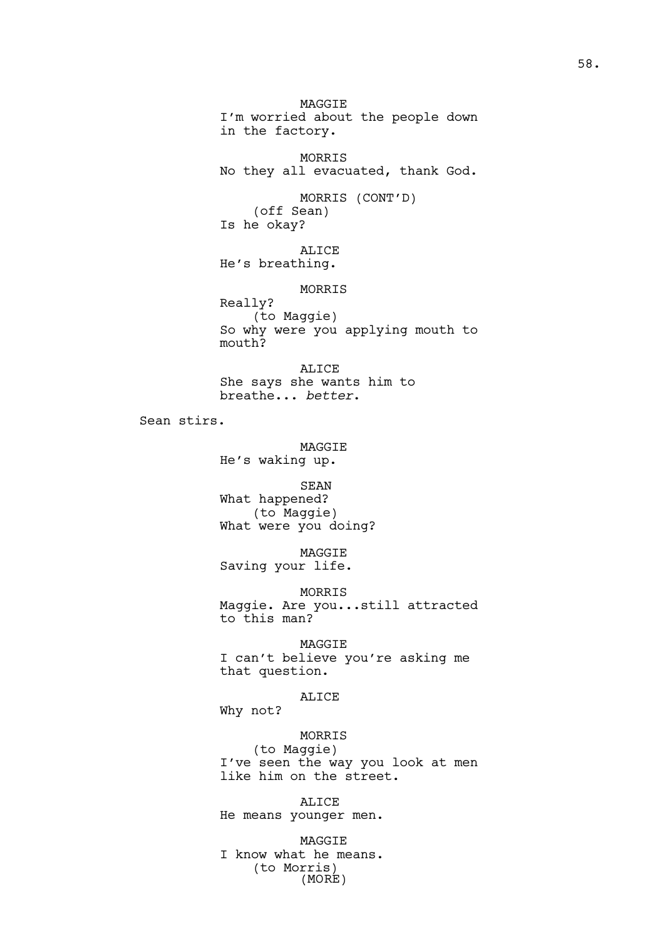MAGGIE I'm worried about the people down in the factory. MORRIS No they all evacuated, thank God. MORRIS (CONT'D) (off Sean) Is he okay? ALICE He's breathing. MORRIS Really? (to Maggie) So why were you applying mouth to mouth? ALICE She says she wants him to breathe... *better*. Sean stirs. MAGGIE He's waking up. SEAN What happened? (to Maggie) What were you doing? MAGGIE Saving your life. MORRIS Maggie. Are you...still attracted to this man? MAGGIE I can't believe you're asking me that question. ALICE Why not? MORRIS (to Maggie) I've seen the way you look at men like him on the street. ALICE He means younger men.

MAGGIE I know what he means. (to Morris) (MORE)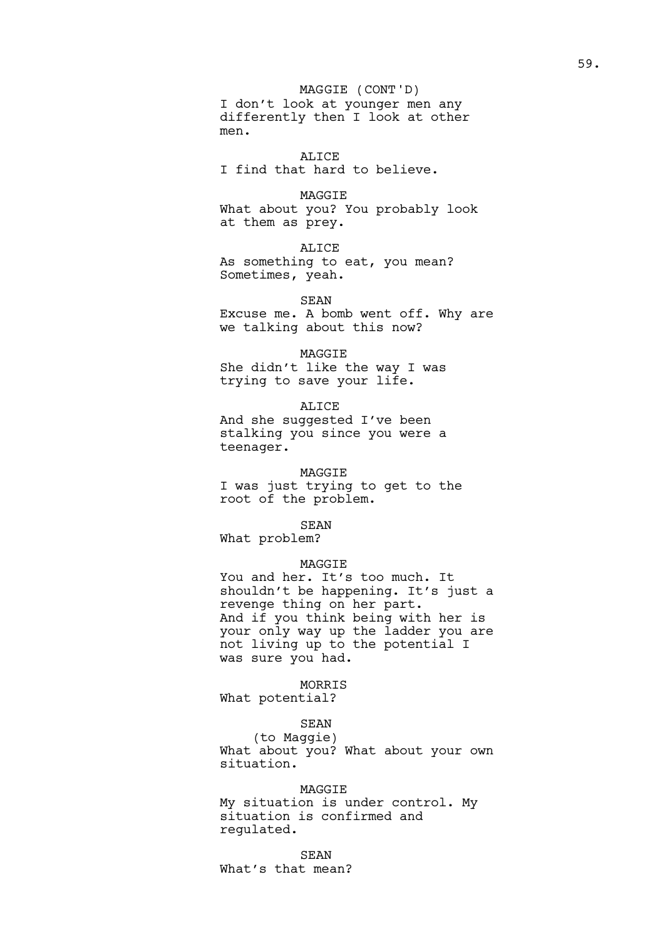I don't look at younger men any differently then I look at other men. MAGGIE (CONT'D)

ALICE I find that hard to believe.

MAGGIE What about you? You probably look at them as prey.

ALICE As something to eat, you mean? Sometimes, yeah.

SEAN Excuse me. A bomb went off. Why are we talking about this now?

MAGGIE She didn't like the way I was trying to save your life.

ALICE And she suggested I've been stalking you since you were a teenager.

MAGGIE I was just trying to get to the root of the problem.

SEAN What problem?

# MAGGIE

You and her. It's too much. It shouldn't be happening. It's just a revenge thing on her part. And if you think being with her is your only way up the ladder you are not living up to the potential I was sure you had.

MORRIS What potential?

# SEAN

(to Maggie) What about you? What about your own situation.

## MAGGIE

My situation is under control. My situation is confirmed and regulated.

SEAN

What's that mean?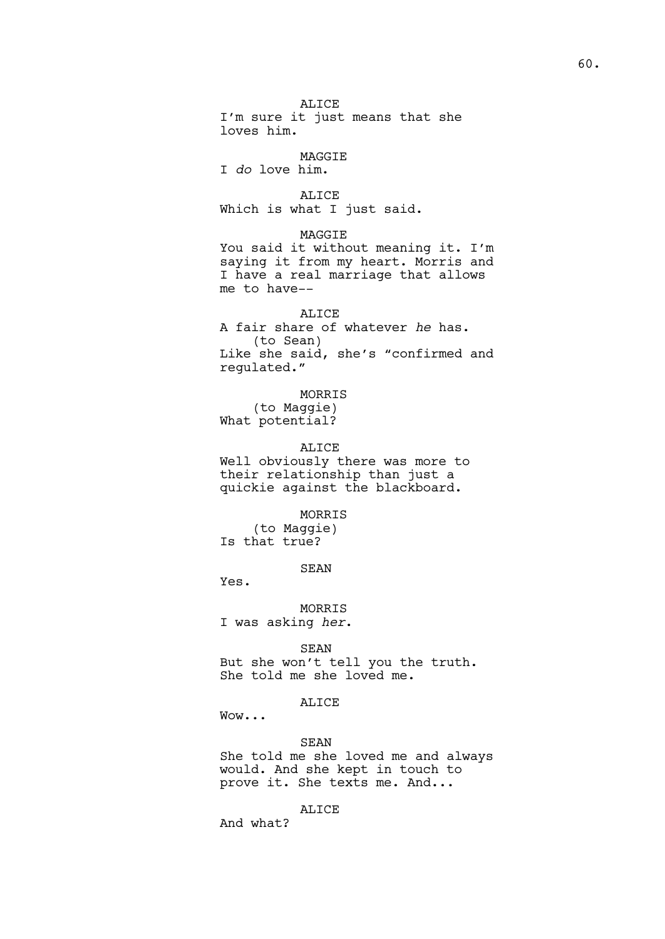ALICE I'm sure it just means that she loves him. MAGGIE I *do* love him. ALICE Which is what I just said. MAGGIE You said it without meaning it. I'm saying it from my heart. Morris and I have a real marriage that allows me to have-- ALICE A fair share of whatever *he* has. (to Sean) Like she said, she's "confirmed and regulated." MORRIS (to Maggie) What potential? ALICE Well obviously there was more to their relationship than just a quickie against the blackboard. MORRIS (to Maggie) Is that true? SEAN Yes.

MORRIS I was asking *her*.

## SEAN

But she won't tell you the truth. She told me she loved me.

## ALICE

Wow...

# SEAN

She told me she loved me and always would. And she kept in touch to prove it. She texts me. And...

## ALICE

And what?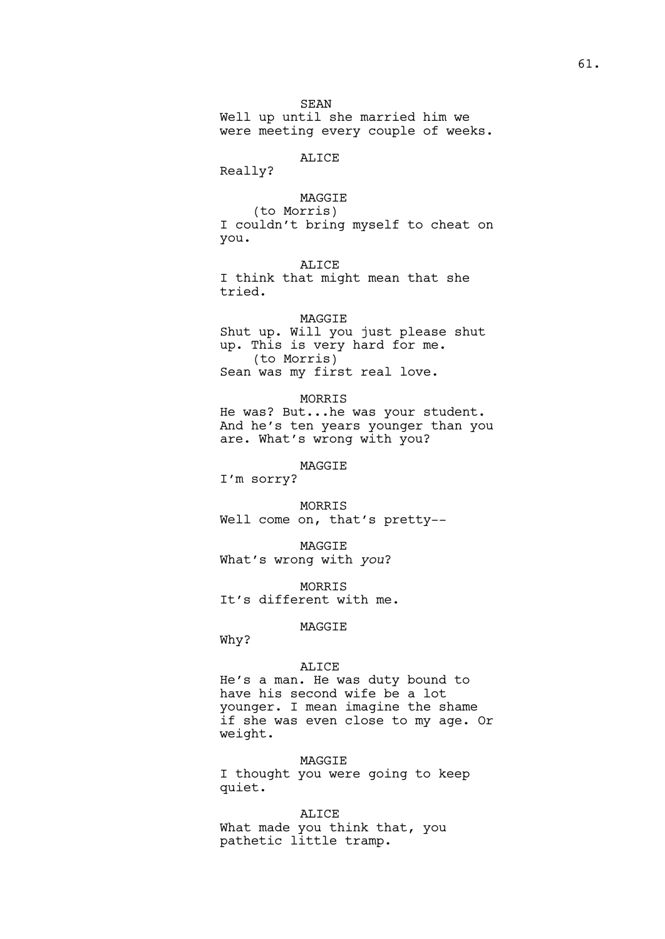# ALICE

Really?

MAGGIE (to Morris) I couldn't bring myself to cheat on you.

ALICE I think that might mean that she tried.

## MAGGIE

Shut up. Will you just please shut up. This is very hard for me. (to Morris) Sean was my first real love.

### MORRIS

He was? But...he was your student. And he's ten years younger than you are. What's wrong with you?

MAGGIE

I'm sorry?

MORRIS Well come on, that's pretty--

MAGGIE What's wrong with *you*?

MORRIS It's different with me.

MAGGIE

Why?

#### ALICE

He's a man. He was duty bound to have his second wife be a lot younger. I mean imagine the shame if she was even close to my age. Or weight.

## MAGGIE

I thought you were going to keep quiet.

ALICE What made you think that, you pathetic little tramp.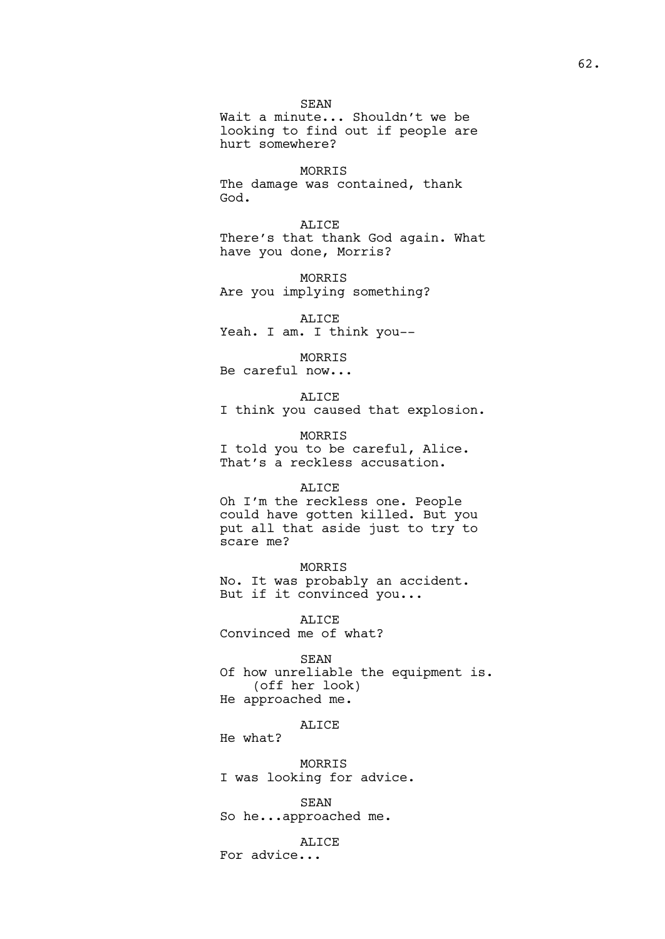SEAN Wait a minute... Shouldn't we be looking to find out if people are hurt somewhere?

MORRIS The damage was contained, thank God.

ALICE There's that thank God again. What have you done, Morris?

MORRIS Are you implying something?

ALICE Yeah. I am. I think you --

MORRIS

Be careful now...

ALICE I think you caused that explosion.

MORRIS I told you to be careful, Alice. That's a reckless accusation.

## ALICE

Oh I'm the reckless one. People could have gotten killed. But you put all that aside just to try to scare me?

MORRIS

No. It was probably an accident. But if it convinced you...

ALICE Convinced me of what?

## SEAN

Of how unreliable the equipment is. (off her look) He approached me.

ALICE

He what?

MORRIS I was looking for advice.

SEAN So he...approached me.

ALICE For advice...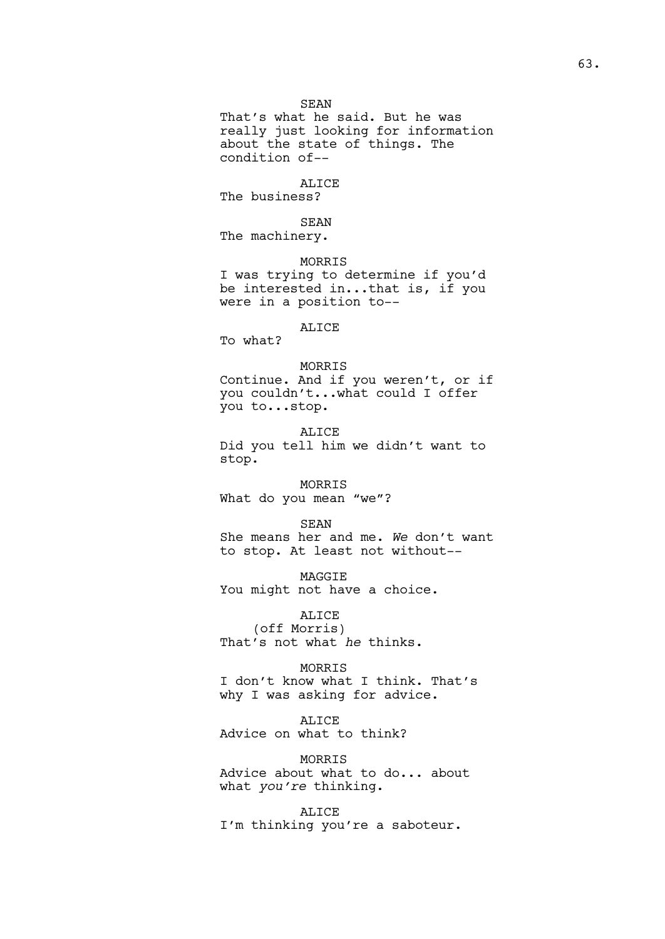That's what he said. But he was really just looking for information about the state of things. The condition of--

## ALICE

The business?

# SEAN

The machinery.

MORRIS

I was trying to determine if you'd be interested in...that is, if you were in a position to--

## ALICE

To what?

## MORRIS

Continue. And if you weren't, or if you couldn't...what could I offer you to...stop.

ALICE Did you tell him we didn't want to stop.

# MORRIS

What do you mean "we"?

#### SEAN

She means her and me. *We* don't want to stop. At least not without--

MAGGIE You might not have a choice.

ALICE (off Morris) That's not what *he* thinks.

MORRIS I don't know what I think. That's why I was asking for advice.

# ALICE

Advice on what to think?

MORRIS

Advice about what to do... about what *you're* thinking.

ALICE I'm thinking you're a saboteur.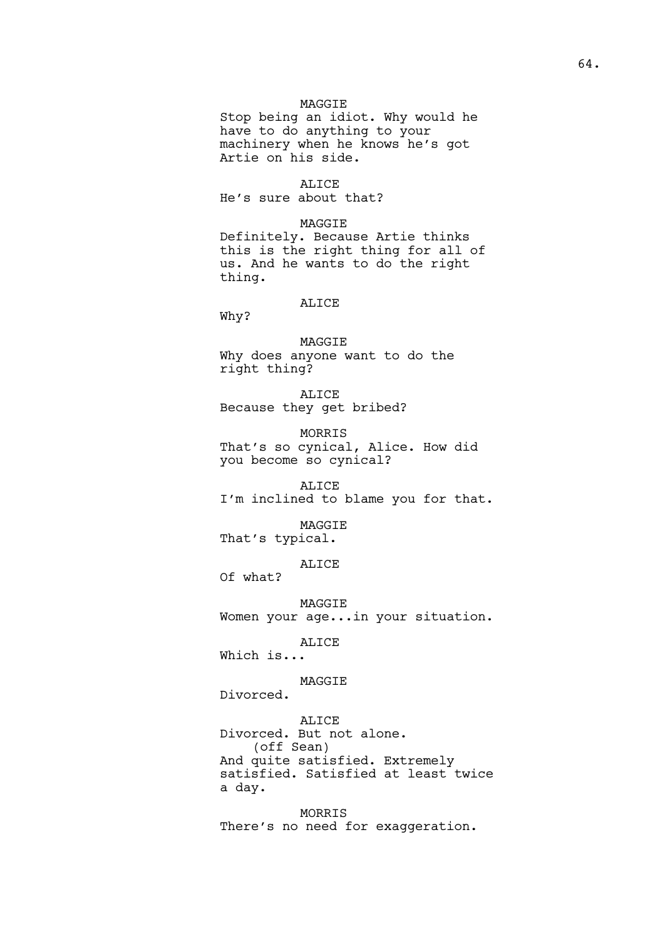## MAGGIE

Stop being an idiot. Why would he have to do anything to your machinery when he knows he's got Artie on his side.

#### ALICE

He's sure about that?

# MAGGIE

Definitely. Because Artie thinks this is the right thing for all of us. And he wants to do the right thing.

### ALICE

Why?

MAGGIE Why does anyone want to do the right thing?

ALICE Because they get bribed?

MORRIS That's so cynical, Alice. How did you become so cynical?

ALICE I'm inclined to blame you for that.

MAGGIE That's typical.

ALICE

Of what?

MAGGIE Women your age...in your situation.

ALICE

Which is...

# MAGGIE

Divorced.

ALICE Divorced. But not alone. (off Sean) And quite satisfied. Extremely satisfied. Satisfied at least twice a day.

MORRIS There's no need for exaggeration.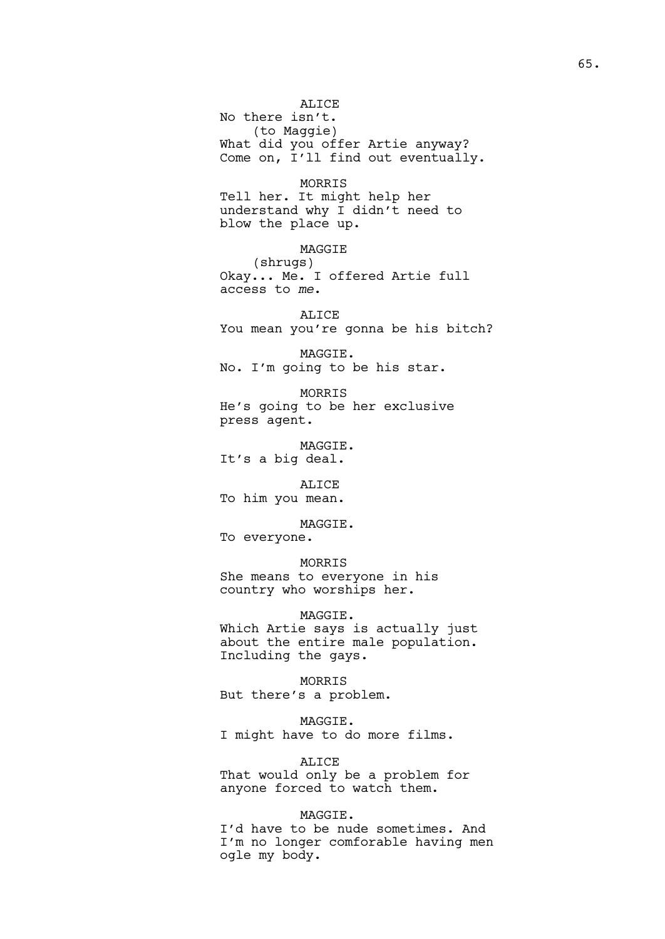## ALICE

No there isn't. (to Maggie) What did you offer Artie anyway? Come on, I'll find out eventually.

MORRIS

Tell her. It might help her understand why I didn't need to blow the place up.

# MAGGIE

(shrugs) Okay... Me. I offered Artie full access to *me*.

ALICE You mean you're gonna be his bitch?

MAGGIE. No. I'm going to be his star.

MORRIS He's going to be her exclusive press agent.

MAGGIE. It's a big deal.

ALICE To him you mean.

MAGGIE. To everyone.

MORRIS

She means to everyone in his country who worships her.

MAGGIE.

Which Artie says is actually just about the entire male population. Including the gays.

MORRIS But there's a problem.

MAGGIE. I might have to do more films.

ALICE

That would only be a problem for anyone forced to watch them.

MAGGIE.

I'd have to be nude sometimes. And I'm no longer comforable having men ogle my body.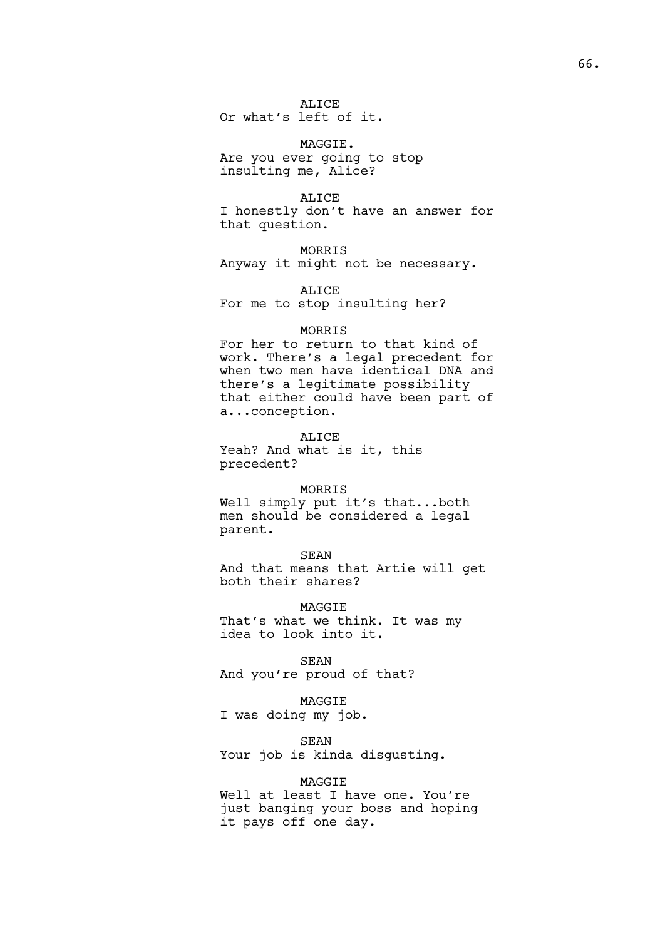ALICE Or what's left of it.

MAGGIE. Are you ever going to stop insulting me, Alice?

ALICE I honestly don't have an answer for that question.

MORRIS Anyway it might not be necessary.

ALICE For me to stop insulting her?

# MORRIS

For her to return to that kind of work. There's a legal precedent for when two men have identical DNA and there's a legitimate possibility that either could have been part of a...conception.

ALICE Yeah? And what is it, this precedent?

# MORRIS

Well simply put it's that...both men should be considered a legal parent.

### SEAN

And that means that Artie will get both their shares?

MAGGIE

That's what we think. It was my idea to look into it.

SEAN

And you're proud of that?

## MAGGIE

I was doing my job.

# SEAN

Your job is kinda disgusting.

# MAGGIE

Well at least I have one. You're just banging your boss and hoping it pays off one day.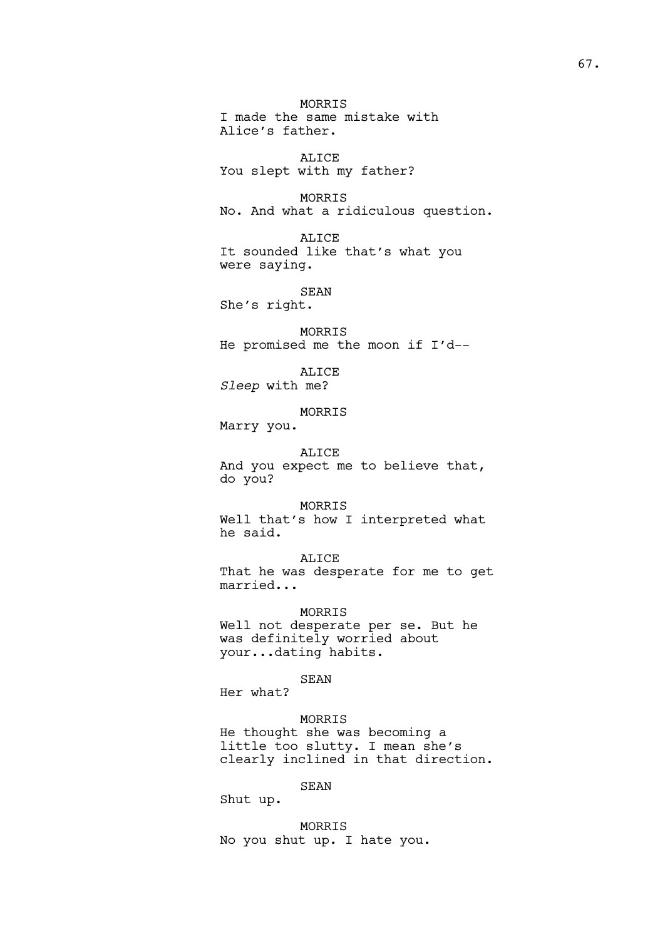MORRIS I made the same mistake with Alice's father. ALICE You slept with my father? MORRIS No. And what a ridiculous question. ALICE It sounded like that's what you were saying. SEAN She's right. MORRIS He promised me the moon if I'd-- ALICE *Sleep* with me? MORRIS Marry you. ALICE And you expect me to believe that, do you? MORRIS Well that's how I interpreted what he said. ALICE That he was desperate for me to get married... MORRIS Well not desperate per se. But he was definitely worried about your...dating habits.

SEAN

Her what?

## MORRIS

He thought she was becoming a little too slutty. I mean she's clearly inclined in that direction.

SEAN

Shut up.

MORRIS No you shut up. I hate you.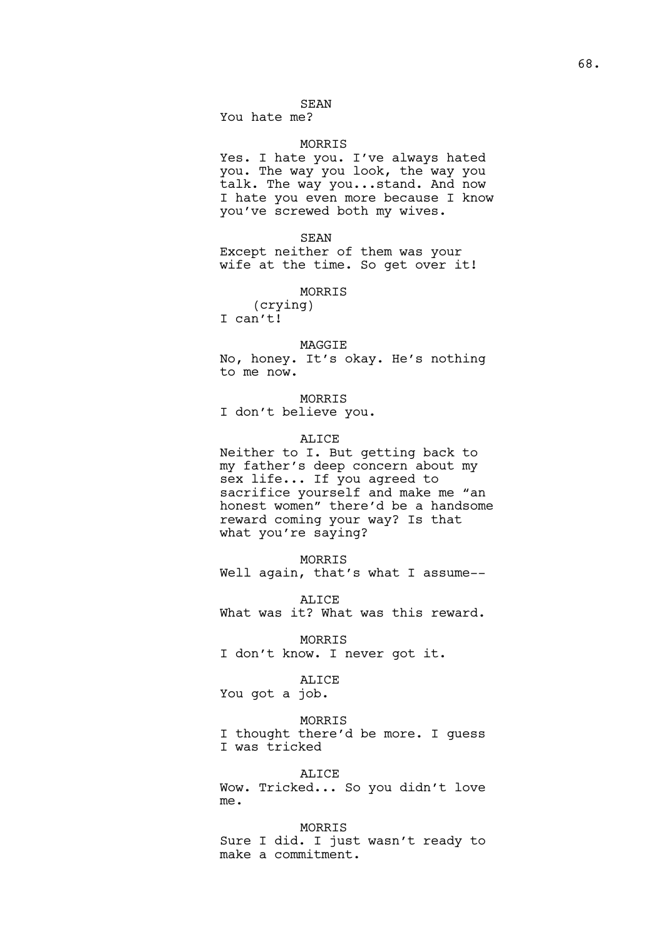## SEAN

You hate me?

## MORRIS

Yes. I hate you. I've always hated you. The way you look, the way you talk. The way you...stand. And now I hate you even more because I know you've screwed both my wives.

SEAN

Except neither of them was your wife at the time. So get over it!

MORRIS

(crying) I can't!

#### MAGGIE

No, honey. It's okay. He's nothing to me now.

MORRIS I don't believe you.

## ALICE

Neither to I. But getting back to my father's deep concern about my sex life... If you agreed to sacrifice yourself and make me "an honest women" there'd be a handsome reward coming your way? Is that what you're saying?

## MORRIS

Well again, that's what I assume--

ALICE What was it? What was this reward.

MORRIS I don't know. I never got it.

# ALICE

You got a job.

#### MORRIS

I thought there'd be more. I guess I was tricked

#### ALICE

Wow. Tricked... So you didn't love me.

MORRIS Sure I did. I just wasn't ready to make a commitment.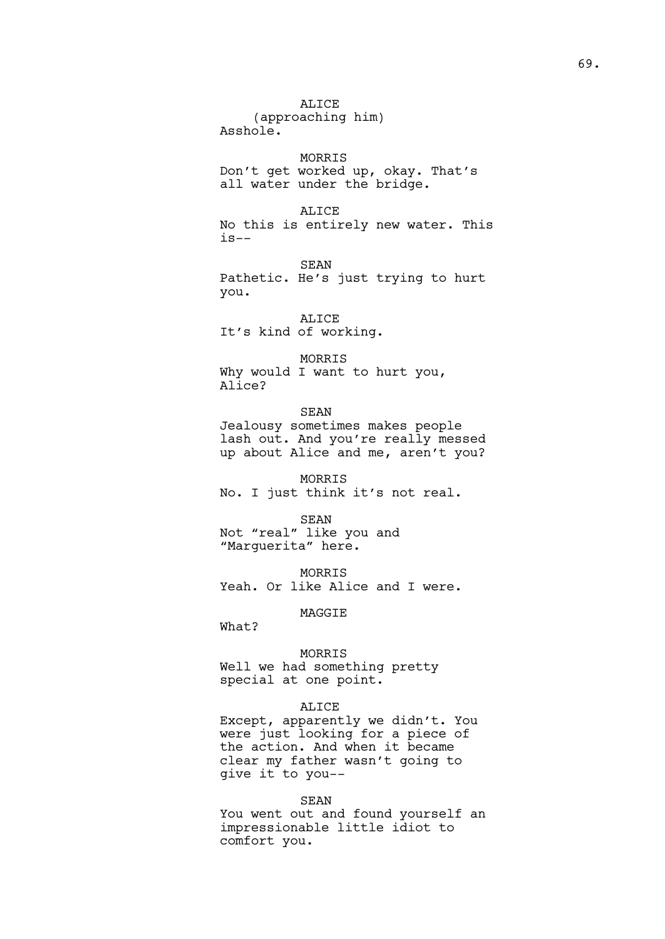ALICE (approaching him) Asshole. MORRIS Don't get worked up, okay. That's all water under the bridge. ALICE No this is entirely new water. This  $i s--$ SEAN Pathetic. He's just trying to hurt you. ALICE It's kind of working. MORRIS Why would I want to hurt you, Alice? SEAN Jealousy sometimes makes people lash out. And you're really messed up about Alice and me, aren't you? MORRIS No. I just think it's not real. SEAN Not "real" like you and "Marguerita" here. MORRIS Yeah. Or like Alice and I were. MAGGIE What? MORRIS Well we had something pretty special at one point. ALICE

Except, apparently we didn't. You were just looking for a piece of the action. And when it became clear my father wasn't going to give it to you--

#### SEAN

You went out and found yourself an impressionable little idiot to comfort you.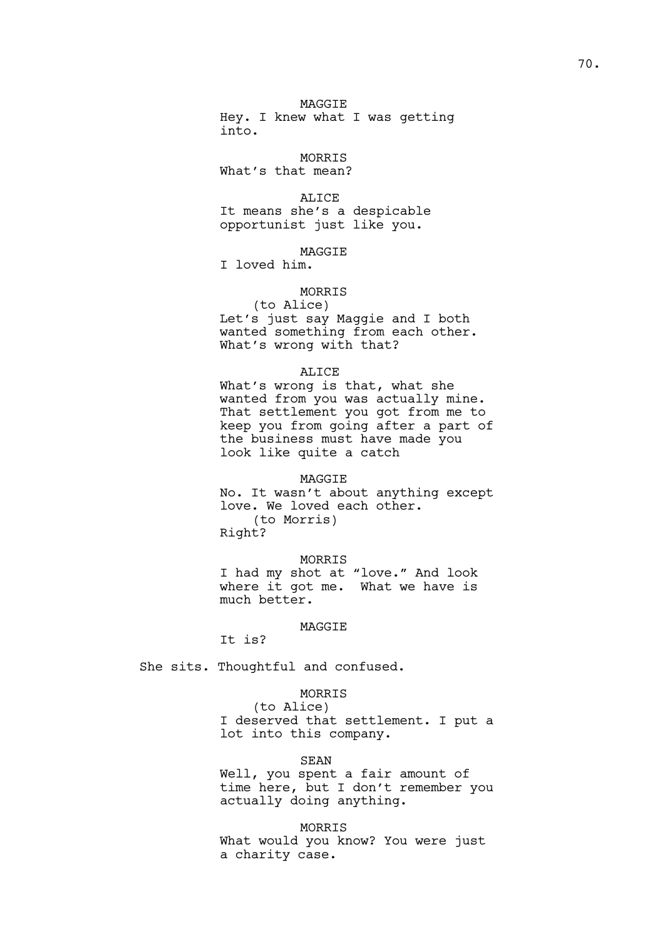MAGGIE Hey. I knew what I was getting into.

MORRIS

What's that mean?

ALICE It means she's a despicable opportunist just like you.

**MAGGTE** 

I loved him.

# MORRIS

(to Alice) Let's just say Maggie and I both wanted something from each other. What's wrong with that?

### ALICE

What's wrong is that, what she wanted from you was actually mine. That settlement you got from me to keep you from going after a part of the business must have made you look like quite a catch

## MAGGIE

No. It wasn't about anything except love. We loved each other. (to Morris) Right?

#### MORRIS

I had my shot at "love." And look where it got me. What we have is much better.

# MAGGIE

It is?

She sits. Thoughtful and confused.

## MORRIS

(to Alice) I deserved that settlement. I put a lot into this company.

## SEAN

Well, you spent a fair amount of time here, but I don't remember you actually doing anything.

MORRIS

What would you know? You were just a charity case.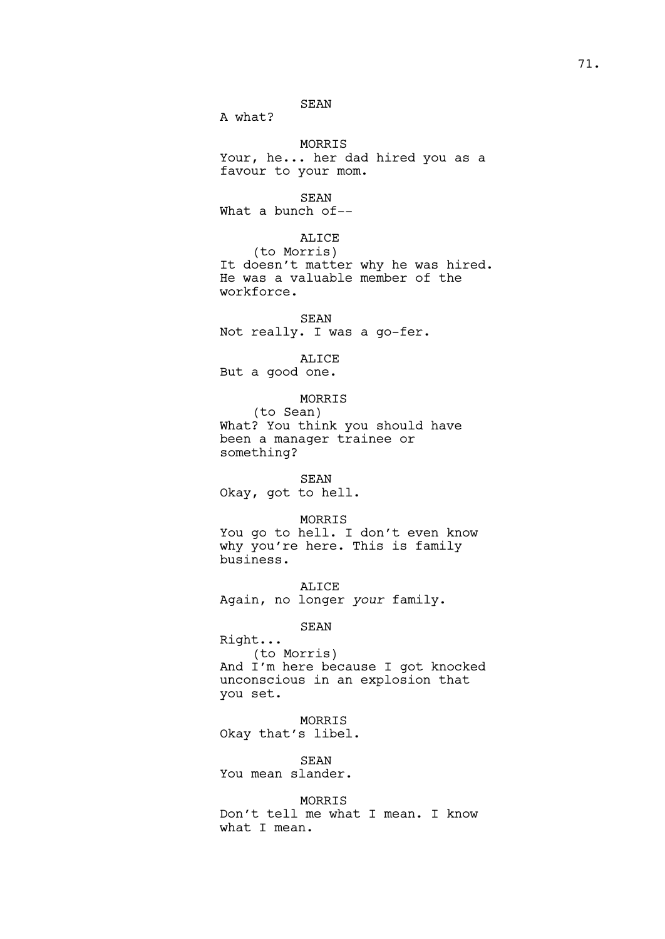SEAN

A what?

MORRIS Your, he... her dad hired you as a favour to your mom.

SEAN What a bunch of--

## ALICE

(to Morris) It doesn't matter why he was hired. He was a valuable member of the workforce.

## SEAN Not really. I was a go-fer.

ALICE

But a good one.

### MORRIS

(to Sean) What? You think you should have been a manager trainee or something?

#### SEAN

Okay, got to hell.

### MORRIS

You go to hell. I don't even know why you're here. This is family business.

ALICE Again, no longer *your* family.

## SEAN

Right... (to Morris) And I'm here because I got knocked unconscious in an explosion that you set.

### MORRIS

Okay that's libel.

SEAN You mean slander.

### MORRIS

Don't tell me what I mean. I know what I mean.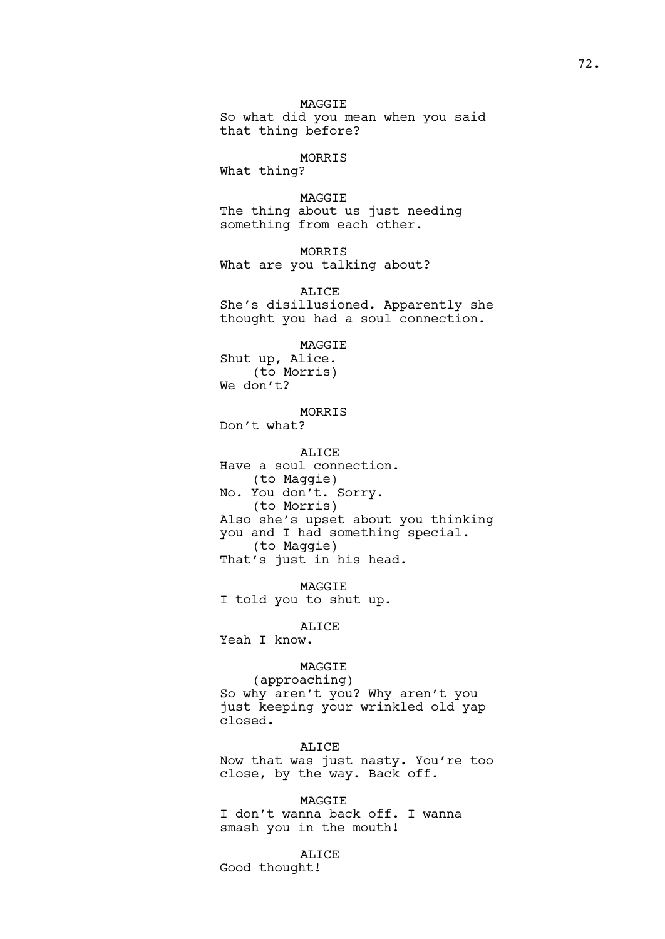MAGGIE So what did you mean when you said that thing before?

### MORRIS

What thing?

MAGGIE The thing about us just needing something from each other.

MORRIS What are you talking about?

ALICE She's disillusioned. Apparently she thought you had a soul connection.

## MAGGIE

Shut up, Alice. (to Morris) We don't?

MORRIS Don't what?

ALICE

Have a soul connection. (to Maggie) No. You don't. Sorry. (to Morris) Also she's upset about you thinking you and I had something special. (to Maggie) That's just in his head.

MAGGIE I told you to shut up.

ALICE

Yeah I know.

## MAGGIE

(approaching) So why aren't you? Why aren't you just keeping your wrinkled old yap closed.

ALICE Now that was just nasty. You're too close, by the way. Back off.

MAGGIE I don't wanna back off. I wanna smash you in the mouth!

## ALICE

Good thought!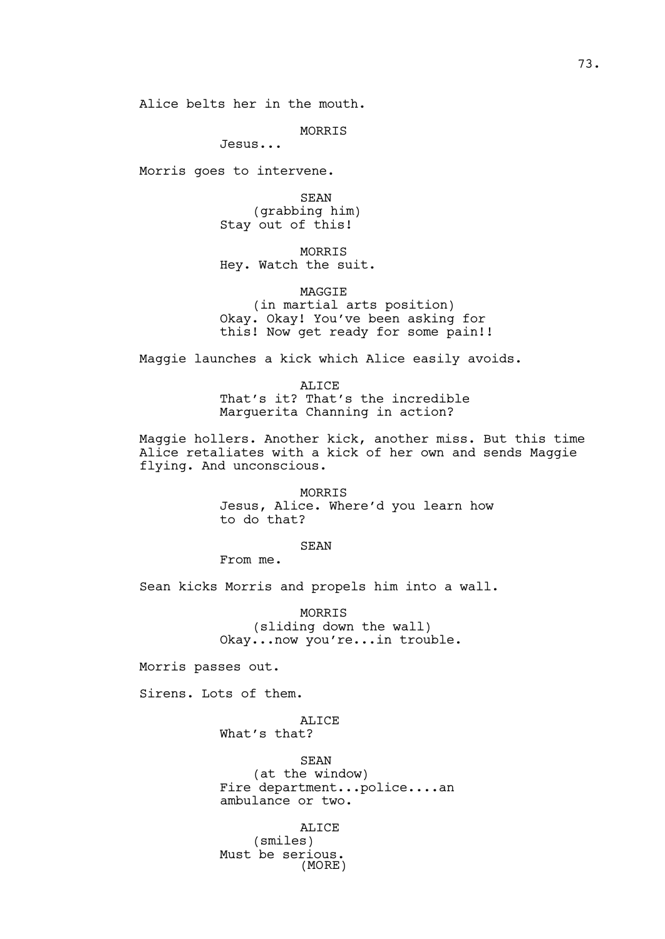Alice belts her in the mouth.

MORRIS

Jesus...

Morris goes to intervene.

SEAN (grabbing him) Stay out of this!

MORRIS Hey. Watch the suit.

MAGGIE (in martial arts position) Okay. Okay! You've been asking for this! Now get ready for some pain!!

Maggie launches a kick which Alice easily avoids.

ALICE That's it? That's the incredible Marguerita Channing in action?

Maggie hollers. Another kick, another miss. But this time Alice retaliates with a kick of her own and sends Maggie flying. And unconscious.

> MORRIS Jesus, Alice. Where'd you learn how to do that?

> > SEAN

From me.

Sean kicks Morris and propels him into a wall.

MORRIS (sliding down the wall) Okay...now you're...in trouble.

Morris passes out.

Sirens. Lots of them.

ALICE What's that?

SEAN (at the window) Fire department...police....an ambulance or two.

ALICE (smiles) Must be serious. (MORE)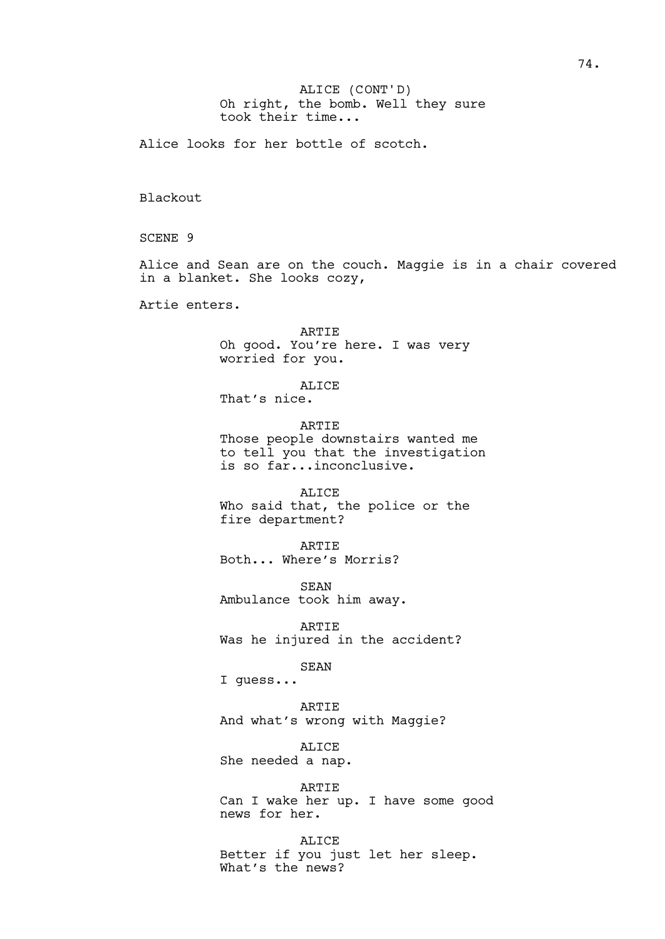Oh right, the bomb. Well they sure took their time... ALICE (CONT'D)

Alice looks for her bottle of scotch.

Blackout

SCENE 9

Alice and Sean are on the couch. Maggie is in a chair covered in a blanket. She looks cozy,

Artie enters.

ARTIE Oh good. You're here. I was very worried for you.

ALICE

That's nice.

ARTIE Those people downstairs wanted me to tell you that the investigation is so far...inconclusive.

ALICE Who said that, the police or the fire department?

ARTIE Both... Where's Morris?

**SEAN** Ambulance took him away.

ARTIE Was he injured in the accident?

SEAN

I guess...

ARTIE

And what's wrong with Maggie?

ALICE

She needed a nap.

ARTIE

Can I wake her up. I have some good news for her.

ALICE Better if you just let her sleep. What's the news?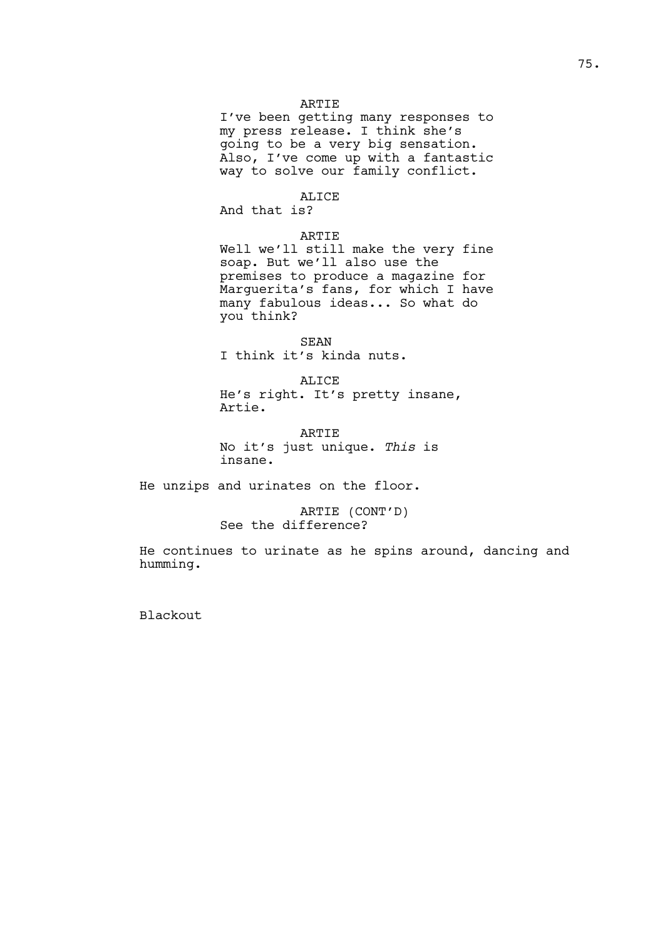### ARTIE

I've been getting many responses to my press release. I think she's going to be a very big sensation. Also, I've come up with a fantastic way to solve our family conflict.

ALICE And that is?

### ARTIE

Well we'll still make the very fine soap. But we'll also use the premises to produce a magazine for Marguerita's fans, for which I have many fabulous ideas... So what do you think?

SEAN I think it's kinda nuts.

ALICE He's right. It's pretty insane, Artie.

ARTIE No it's just unique. *This* is insane.

He unzips and urinates on the floor.

ARTIE (CONT'D) See the difference?

He continues to urinate as he spins around, dancing and humming.

Blackout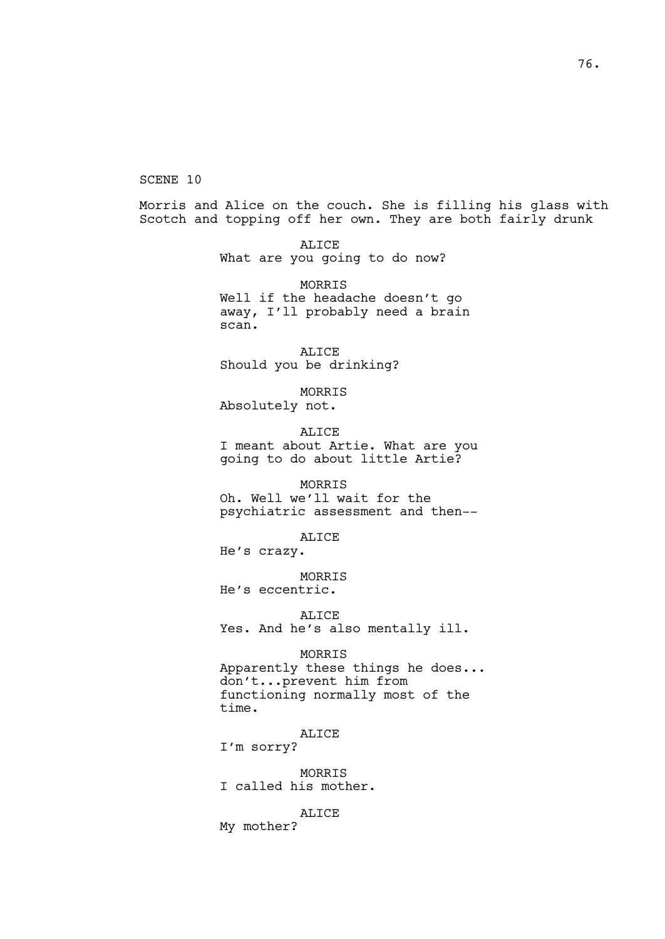SCENE 10

Morris and Alice on the couch. She is filling his glass with Scotch and topping off her own. They are both fairly drunk

> ALICE What are you going to do now?

MORRIS Well if the headache doesn't go away, I'll probably need a brain scan.

ALICE Should you be drinking?

MORRIS Absolutely not.

ALICE I meant about Artie. What are you

going to do about little Artie?

MORRIS Oh. Well we'll wait for the

psychiatric assessment and then--

ALICE

He's crazy.

MORRIS He's eccentric.

ALICE Yes. And he's also mentally ill.

MORRIS

Apparently these things he does... don't...prevent him from functioning normally most of the time.

ALICE

I'm sorry?

MORRIS I called his mother.

ALICE

My mother?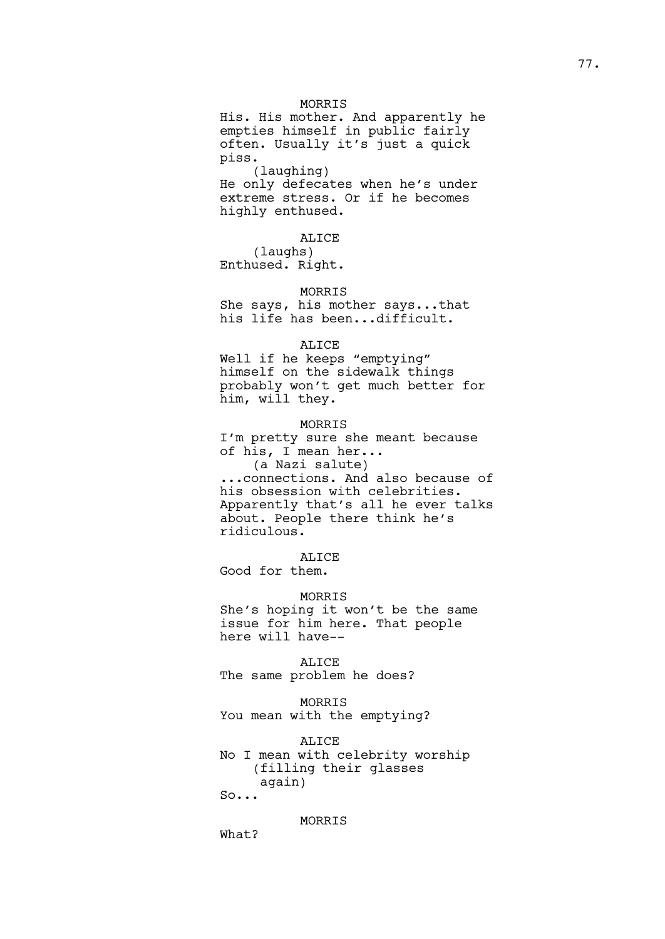### MORRIS

His. His mother. And apparently he empties himself in public fairly often. Usually it's just a quick piss. (laughing) He only defecates when he's under extreme stress. Or if he becomes highly enthused.

ALICE

(laughs) Enthused. Right.

## MORRIS

She says, his mother says...that his life has been...difficult.

### ALICE

Well if he keeps "emptying" himself on the sidewalk things probably won't get much better for him, will they.

#### MORRIS

I'm pretty sure she meant because of his, I mean her...

(a Nazi salute) ...connections. And also because of his obsession with celebrities. Apparently that's all he ever talks about. People there think he's ridiculous.

## ALICE

Good for them.

## MORRIS

She's hoping it won't be the same issue for him here. That people here will have--

#### ALICE

The same problem he does?

# MORRIS

You mean with the emptying?

#### ALICE

No I mean with celebrity worship (filling their glasses again)

So...

## MORRIS

What?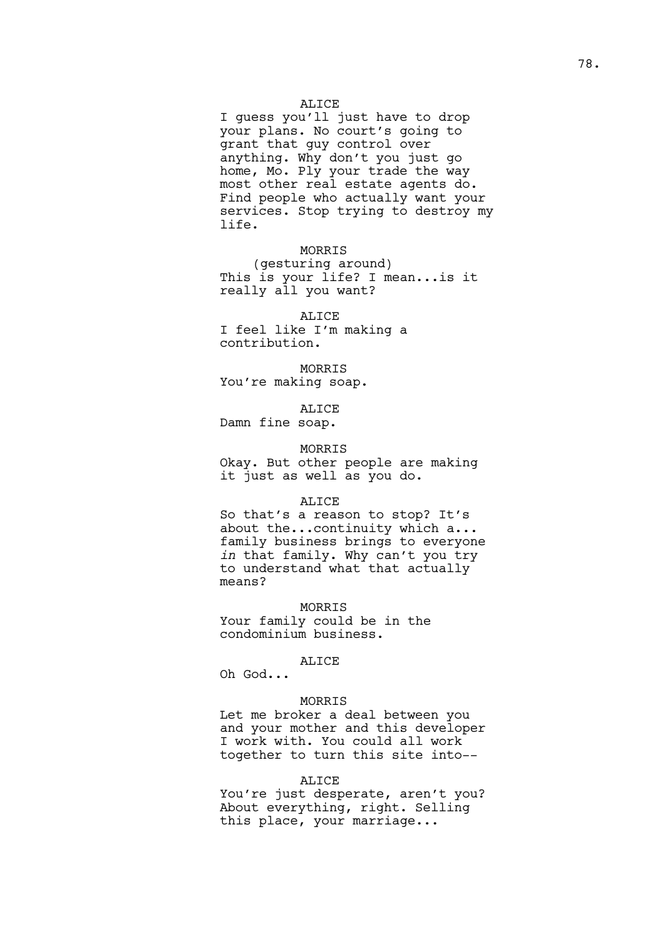### ALICE

I guess you'll just have to drop your plans. No court's going to grant that guy control over anything. Why don't you just go home, Mo. Ply your trade the way most other real estate agents do. Find people who actually want your services. Stop trying to destroy my life.

MORRIS

(gesturing around) This is your life? I mean...is it really all you want?

ALICE I feel like I'm making a contribution.

MORRIS You're making soap.

ALICE

Damn fine soap.

### MORRIS

Okay. But other people are making it just as well as you do.

### ALICE

So that's a reason to stop? It's about the...continuity which a... family business brings to everyone *in* that family. Why can't you try to understand what that actually means?

### MORRIS

Your family could be in the condominium business.

#### ALICE

Oh God...

#### MORRIS

Let me broker a deal between you and your mother and this developer I work with. You could all work together to turn this site into--

#### ALICE

You're just desperate, aren't you? About everything, right. Selling this place, your marriage...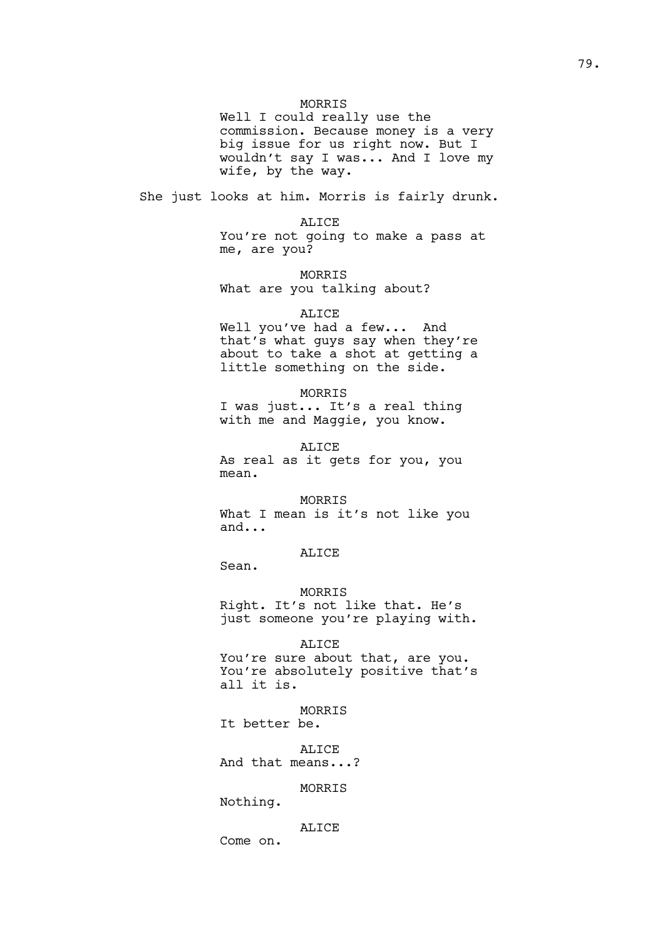### MORRIS

Well I could really use the commission. Because money is a very big issue for us right now. But I wouldn't say I was... And I love my wife, by the way.

She just looks at him. Morris is fairly drunk.

ALICE You're not going to make a pass at me, are you?

MORRIS What are you talking about?

#### ALICE

Well you've had a few... And that's what guys say when they're about to take a shot at getting a little something on the side.

MORRIS

I was just... It's a real thing with me and Maggie, you know.

ALICE

As real as it gets for you, you mean.

### MORRIS

What I mean is it's not like you and...

## ALICE

Sean.

### MORRIS

Right. It's not like that. He's just someone you're playing with.

### ALICE

You're sure about that, are you. You're absolutely positive that's all it is.

MORRIS

It better be.

ALICE

And that means...?

### MORRIS

Nothing.

### ALICE

Come on.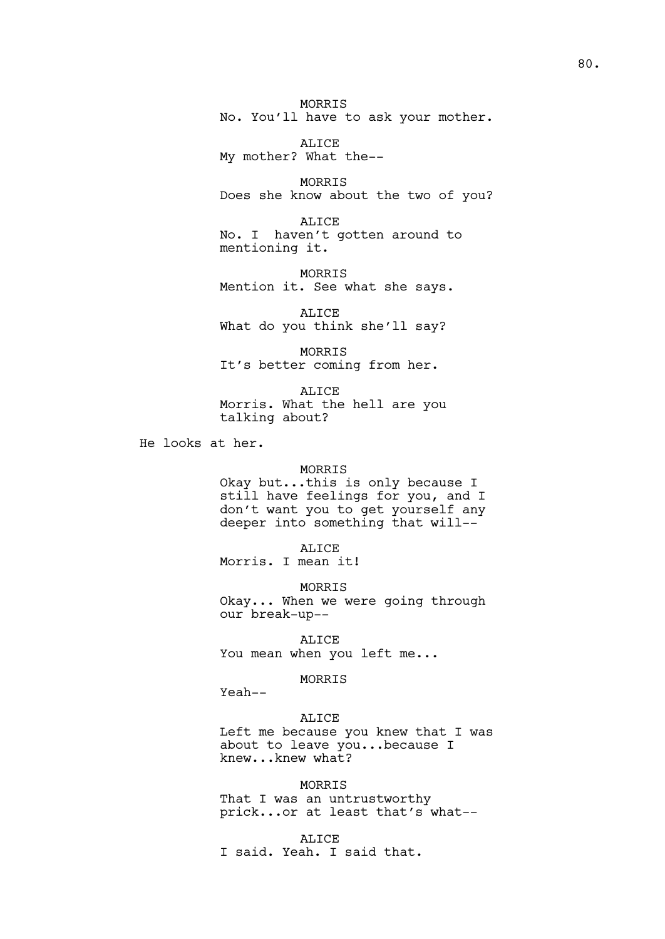MORRIS No. You'll have to ask your mother.

ALICE My mother? What the--

MORRIS Does she know about the two of you?

ALICE No. I haven't gotten around to mentioning it.

MORRIS Mention it. See what she says.

ALICE What do you think she'll say?

MORRIS It's better coming from her.

ALICE Morris. What the hell are you talking about?

He looks at her.

#### MORRIS

Okay but...this is only because I still have feelings for you, and I don't want you to get yourself any deeper into something that will--

ALICE

Morris. I mean it!

MORRIS

Okay... When we were going through our break-up--

ALICE You mean when you left me...

## MORRIS

Yeah--

## ALICE

Left me because you knew that I was about to leave you...because I knew...knew what?

### MORRIS

That I was an untrustworthy prick...or at least that's what--

#### ALICE

I said. Yeah. I said that.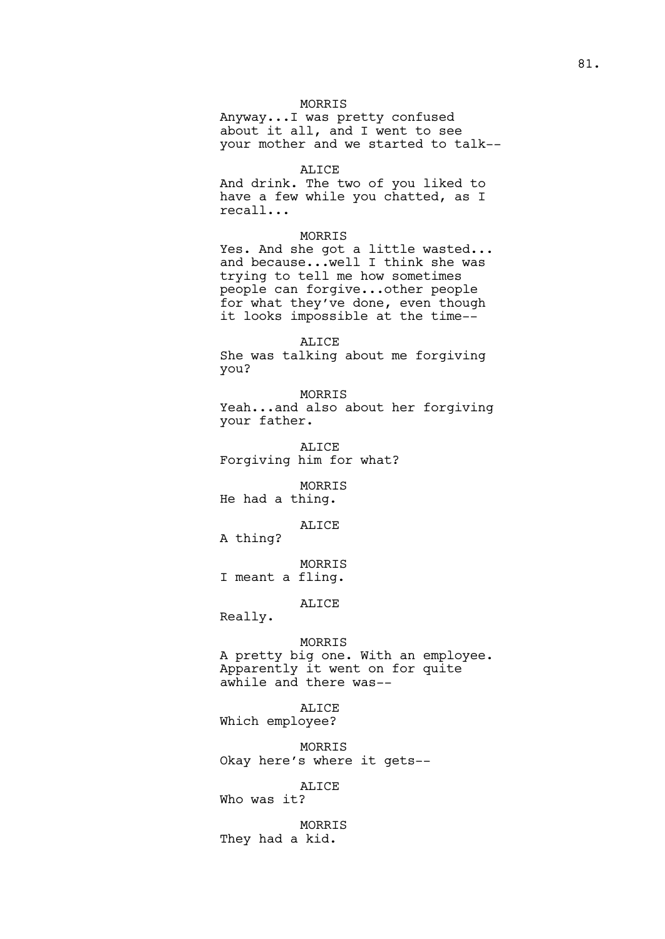### MORRIS

Anyway...I was pretty confused about it all, and I went to see your mother and we started to talk--

#### ALICE

And drink. The two of you liked to have a few while you chatted, as I recall...

## MORRIS

Yes. And she got a little wasted... and because...well I think she was trying to tell me how sometimes people can forgive...other people for what they've done, even though it looks impossible at the time--

ALICE She was talking about me forgiving you?

MORRIS Yeah...and also about her forgiving your father.

ALICE Forgiving him for what?

MORRIS He had a thing.

ALICE

A thing?

MORRIS I meant a fling.

ALICE

Really.

MORRIS A pretty big one. With an employee. Apparently it went on for quite awhile and there was--

ALICE Which employee?

MORRIS Okay here's where it gets--

ALICE

Who was it?

MORRIS They had a kid.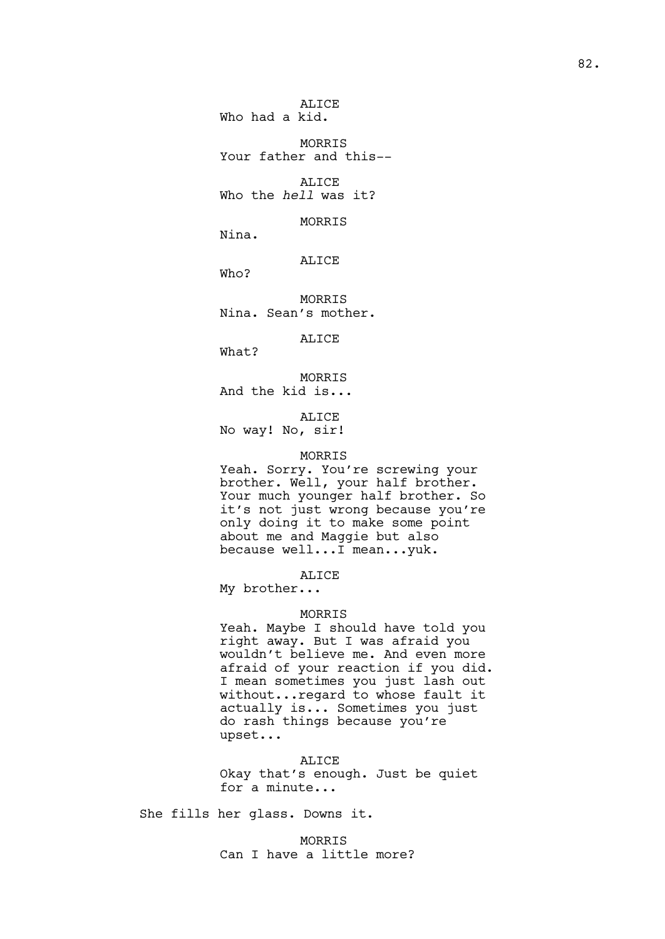ALICE Who had a kid.

MORRIS Your father and this--

ALICE Who the *hell* was it?

MORRIS

Nina.

ALICE

Who?

MORRIS Nina. Sean's mother.

ALICE

What?

MORRIS And the kid is...

ALICE No way! No, sir!

#### MORRIS

Yeah. Sorry. You're screwing your brother. Well, your half brother. Your much younger half brother. So it's not just wrong because you're only doing it to make some point about me and Maggie but also because well...I mean...yuk.

ALICE

My brother...

### MORRIS

Yeah. Maybe I should have told you right away. But I was afraid you wouldn't believe me. And even more afraid of your reaction if you did. I mean sometimes you just lash out without...regard to whose fault it actually is... Sometimes you just do rash things because you're upset...

ALICE

Okay that's enough. Just be quiet for a minute...

She fills her glass. Downs it.

MORRIS Can I have a little more?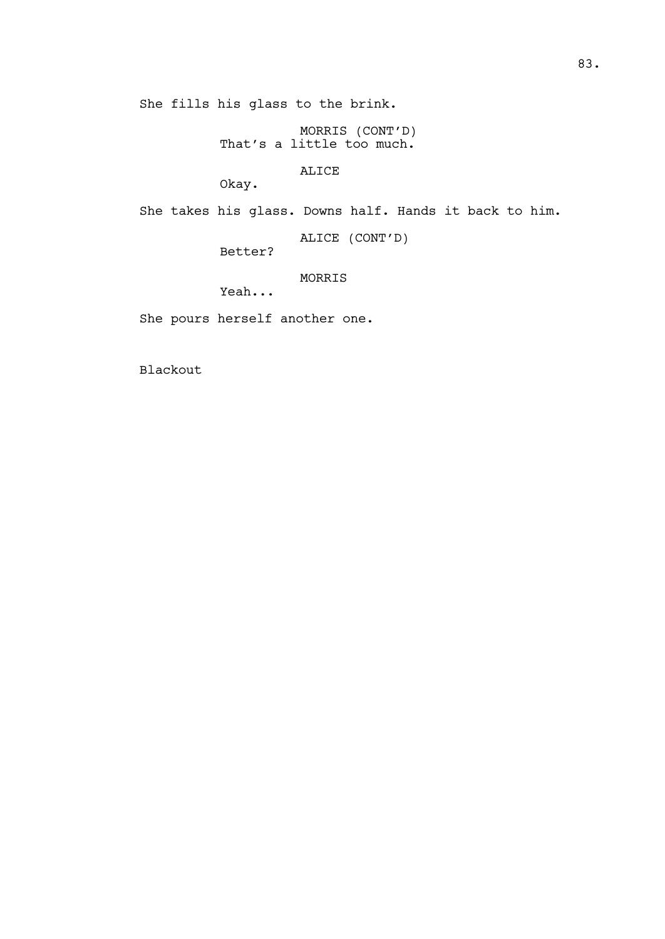She fills his glass to the brink.

MORRIS (CONT'D) That's a little too much.

ALICE

Okay.

She takes his glass. Downs half. Hands it back to him.

ALICE (CONT'D)

Better?

MORRIS

Yeah...

She pours herself another one.

Blackout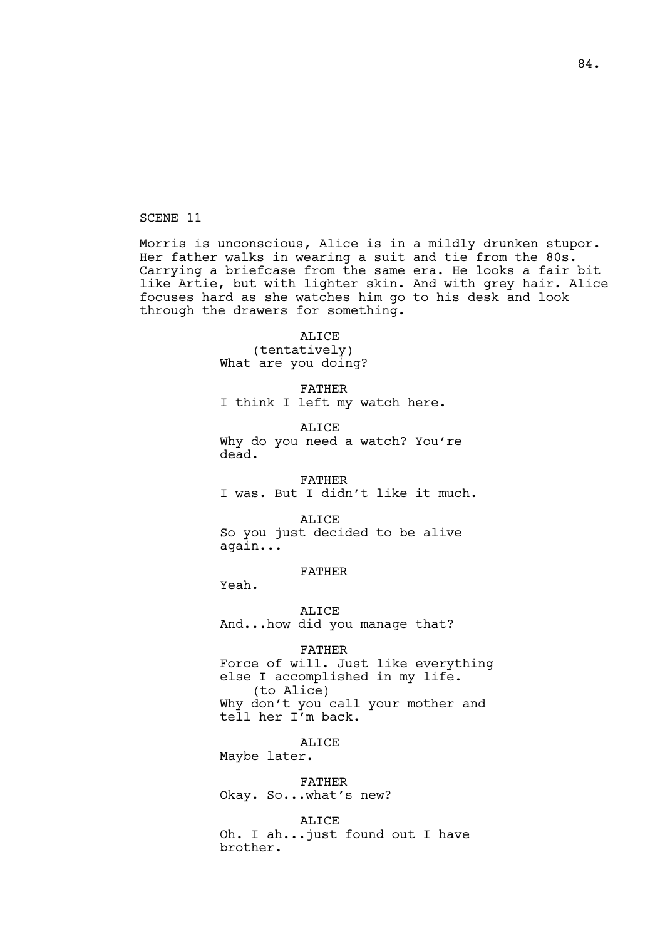SCENE 11

Morris is unconscious, Alice is in a mildly drunken stupor. Her father walks in wearing a suit and tie from the 80s. Carrying a briefcase from the same era. He looks a fair bit like Artie, but with lighter skin. And with grey hair. Alice focuses hard as she watches him go to his desk and look through the drawers for something.

> ALICE (tentatively) What are you doing?

FATHER I think I left my watch here.

ALICE Why do you need a watch? You're dead.

FATHER I was. But I didn't like it much.

ALICE So you just decided to be alive again...

FATHER

Yeah.

ALICE And...how did you manage that?

FATHER

Force of will. Just like everything else I accomplished in my life. (to Alice) Why don't you call your mother and tell her I'm back.

ALICE Maybe later.

FATHER Okay. So...what's new?

ALICE Oh. I ah...just found out I have brother.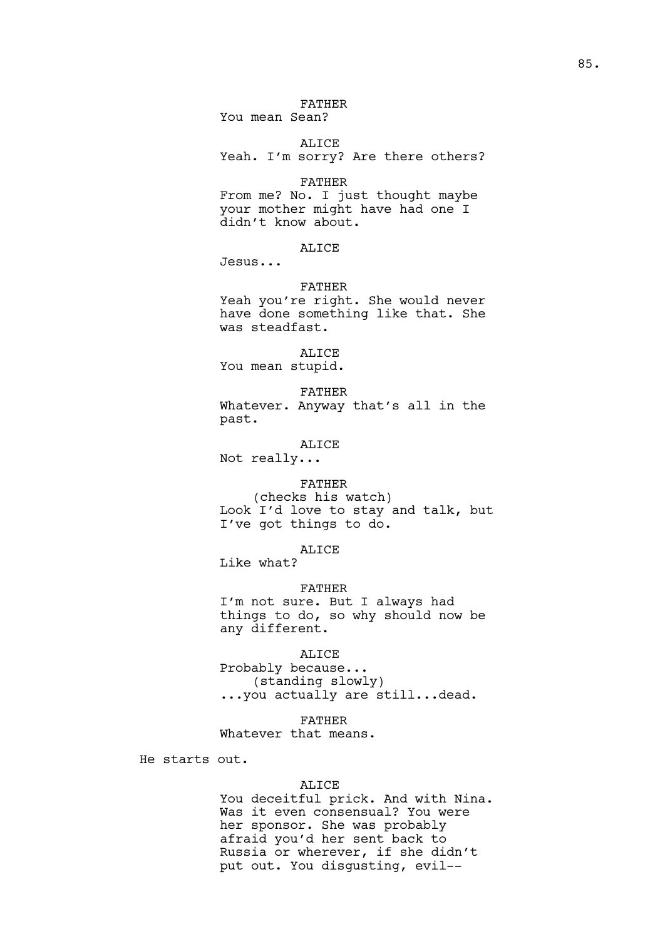### FATHER

You mean Sean?

ALICE

Yeah. I'm sorry? Are there others?

#### FATHER

From me? No. I just thought maybe your mother might have had one I didn't know about.

## ALICE

Jesus...

#### FATHER

Yeah you're right. She would never have done something like that. She was steadfast.

ALICE You mean stupid.

FATHER Whatever. Anyway that's all in the past.

ALICE

Not really...

#### FATHER

(checks his watch) Look I'd love to stay and talk, but I've got things to do.

### ALICE

Like what?

### FATHER

I'm not sure. But I always had things to do, so why should now be any different.

## ALICE

Probably because... (standing slowly) ...you actually are still...dead.

#### FATHER

Whatever that means.

He starts out.

#### ALICE

You deceitful prick. And with Nina. Was it even consensual? You were her sponsor. She was probably afraid you'd her sent back to Russia or wherever, if she didn't put out. You disgusting, evil--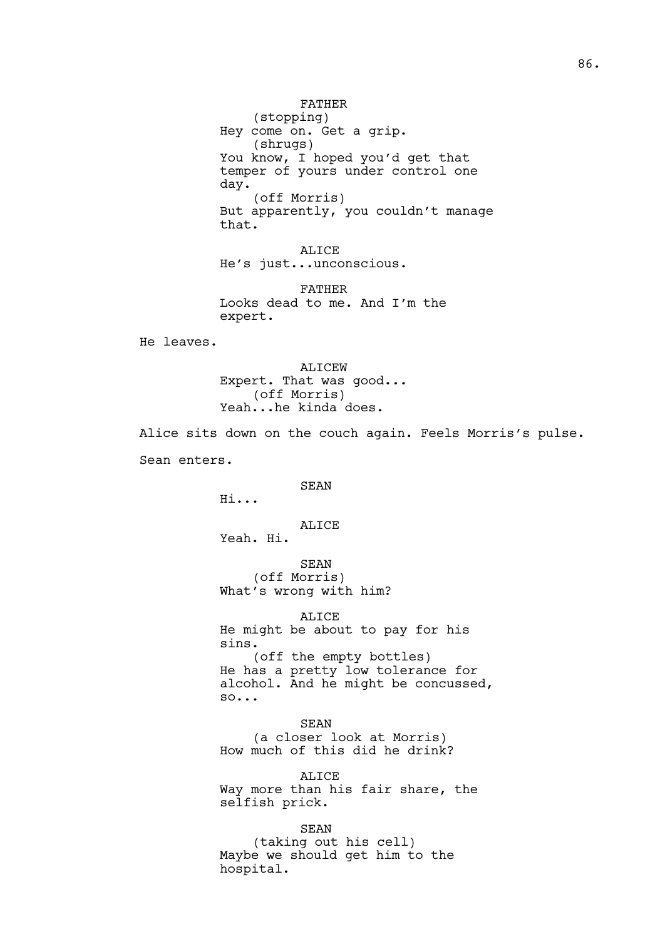(stopping) Hey come on. Get a grip. (shrugs) You know, I hoped you'd get that temper of yours under control one day. (off Morris) But apparently, you couldn't manage that.

ALICE He's just...unconscious.

FATHER Looks dead to me. And I'm the expert.

He leaves.

ALICEW Expert. That was good... (off Morris) Yeah...he kinda does.

Alice sits down on the couch again. Feels Morris's pulse. Sean enters.

SEAN

Hi...

ALICE Yeah. Hi.

SEAN

(off Morris) What's wrong with him?

ALICE He might be about to pay for his sins. (off the empty bottles) He has a pretty low tolerance for alcohol. And he might be concussed, so...

SEAN (a closer look at Morris) How much of this did he drink?

ALICE Way more than his fair share, the selfish prick.

SEAN (taking out his cell) Maybe we should get him to the hospital.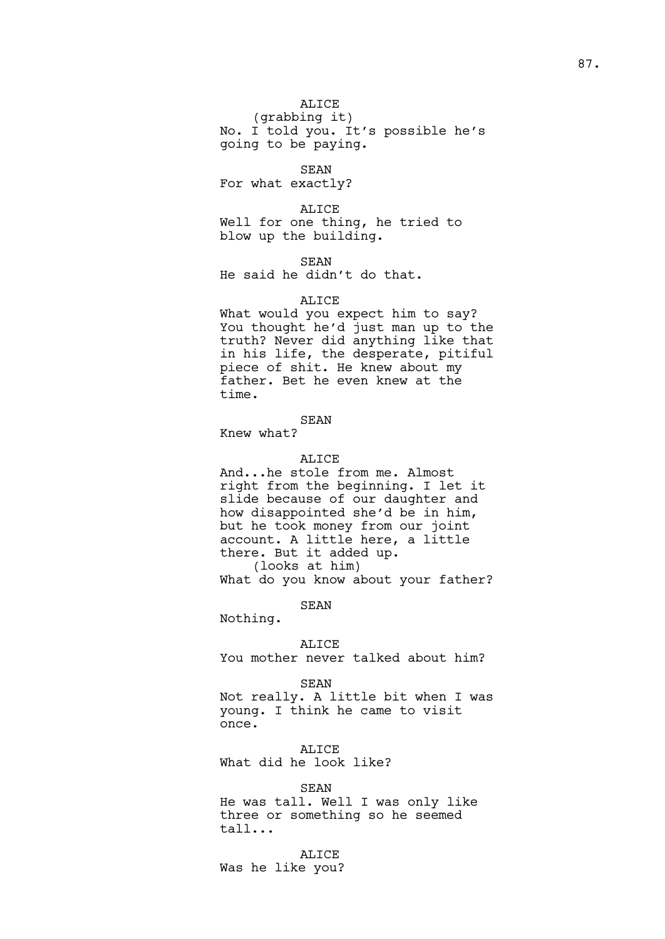(grabbing it) No. I told you. It's possible he's going to be paying.

SEAN

For what exactly?

ALICE

Well for one thing, he tried to blow up the building.

SEAN

He said he didn't do that.

ALICE

What would you expect him to say? You thought he'd just man up to the truth? Never did anything like that in his life, the desperate, pitiful piece of shit. He knew about my father. Bet he even knew at the time.

### SEAN

Knew what?

## ALICE

And...he stole from me. Almost right from the beginning. I let it slide because of our daughter and how disappointed she'd be in him, but he took money from our joint account. A little here, a little there. But it added up. (looks at him)

What do you know about your father?

SEAN

Nothing.

ALICE You mother never talked about him?

#### SEAN

Not really. A little bit when I was young. I think he came to visit once.

ALICE

What did he look like?

### SEAN

He was tall. Well I was only like three or something so he seemed tall...

ALICE Was he like you?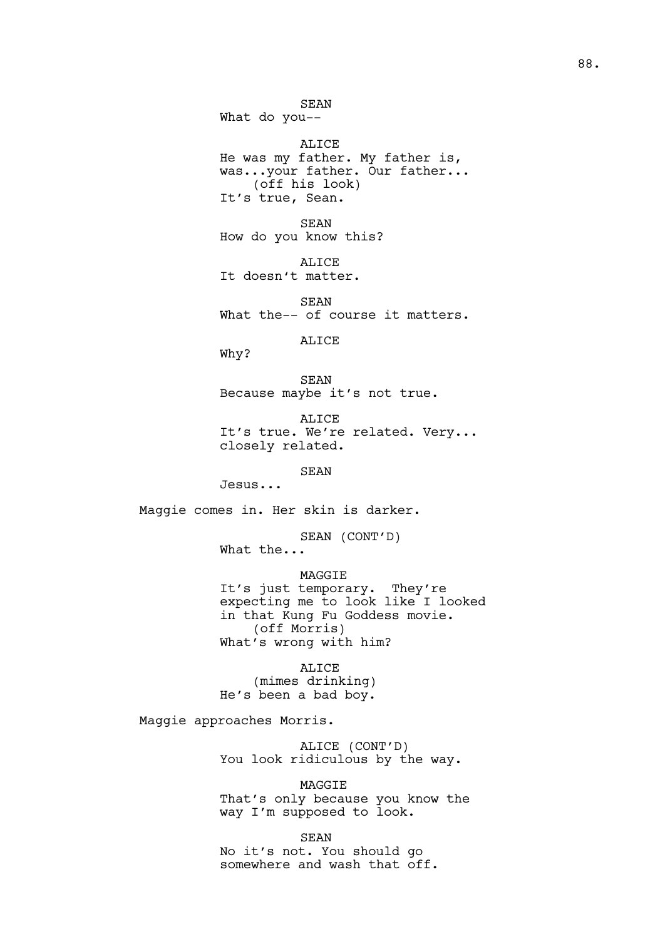SEAN What do you-- ALICE He was my father. My father is, was...your father. Our father... (off his look) It's true, Sean. SEAN How do you know this? ALICE It doesn't matter. SEAN What the-- of course it matters. ALICE Why? SEAN Because maybe it's not true. ALICE It's true. We're related. Very... closely related. SEAN Jesus... Maggie comes in. Her skin is darker. SEAN (CONT'D) What the... MAGGIE It's just temporary. They're expecting me to look like I looked in that Kung Fu Goddess movie. (off Morris) What's wrong with him? ALICE (mimes drinking) He's been a bad boy. Maggie approaches Morris. ALICE (CONT'D) You look ridiculous by the way. MAGGIE That's only because you know the way I'm supposed to look.

SEAN No it's not. You should go somewhere and wash that off.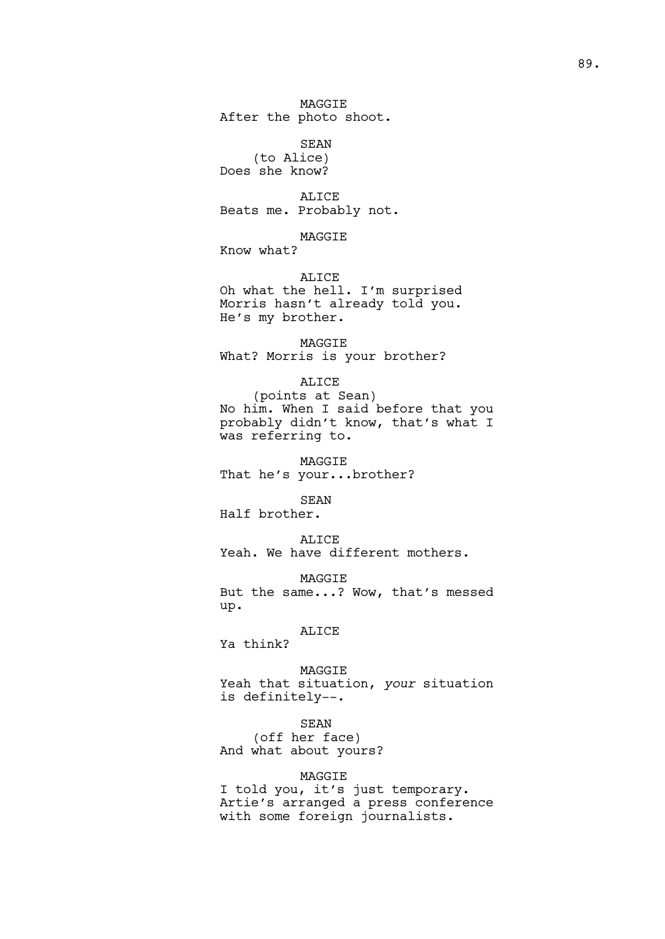MAGGIE After the photo shoot.

SEAN (to Alice) Does she know?

ALICE Beats me. Probably not.

MAGGIE

Know what?

ALICE Oh what the hell. I'm surprised Morris hasn't already told you. He's my brother.

MAGGIE What? Morris is your brother?

## ALICE

(points at Sean) No him. When I said before that you probably didn't know, that's what I was referring to.

MAGGIE That he's your...brother?

SEAN

Half brother.

ALICE Yeah. We have different mothers.

MAGGIE But the same...? Wow, that's messed up.

## ALICE

Ya think?

MAGGIE Yeah that situation, *your* situation is definitely--.

### SEAN

(off her face) And what about yours?

## MAGGIE

I told you, it's just temporary. Artie's arranged a press conference with some foreign journalists.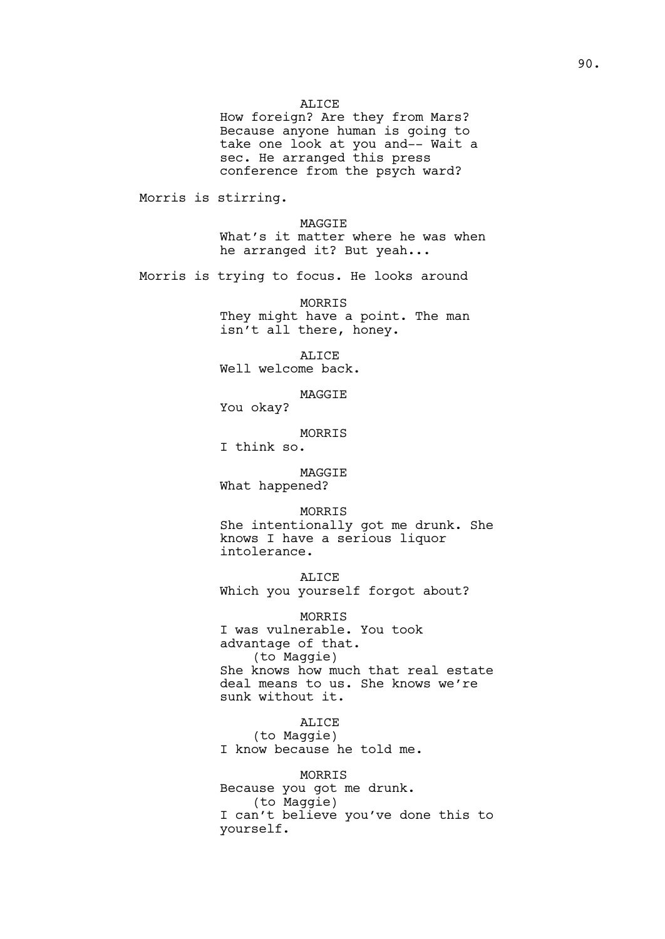#### ALICE

How foreign? Are they from Mars? Because anyone human is going to take one look at you and-- Wait a sec. He arranged this press conference from the psych ward?

Morris is stirring.

MAGGIE What's it matter where he was when he arranged it? But yeah...

Morris is trying to focus. He looks around

MORRIS They might have a point. The man isn't all there, honey.

ALICE Well welcome back.

MAGGIE

You okay?

MORRIS

I think so.

MAGGIE What happened?

## MORRIS

She intentionally got me drunk. She knows I have a serious liquor intolerance.

ALICE

Which you yourself forgot about?

MORRIS I was vulnerable. You took advantage of that. (to Maggie) She knows how much that real estate deal means to us. She knows we're sunk without it.

ALICE (to Maggie) I know because he told me.

MORRIS Because you got me drunk. (to Maggie) I can't believe you've done this to yourself.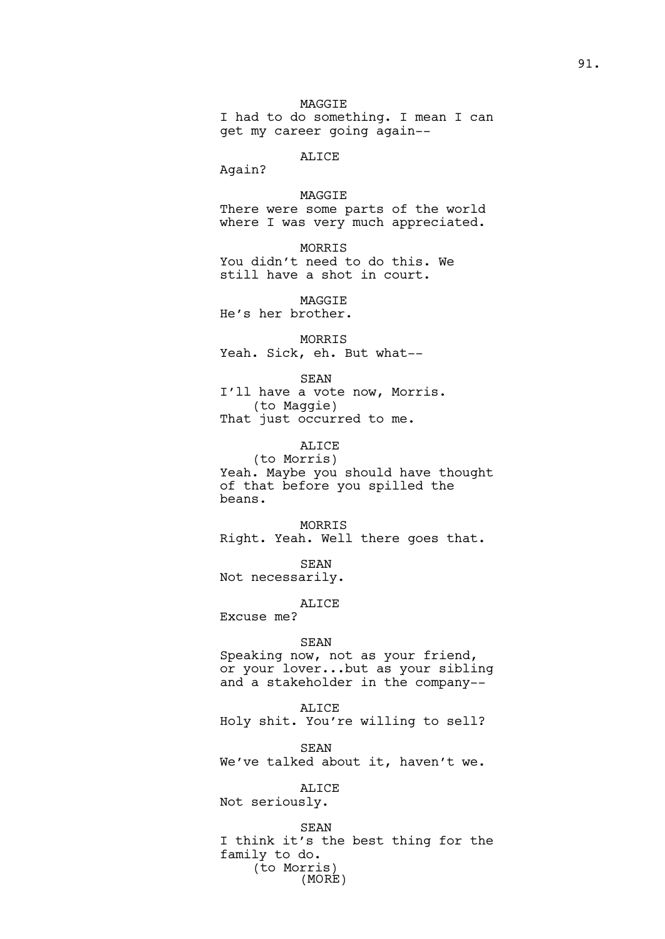## ALICE

Again?

## MAGGIE

There were some parts of the world where I was very much appreciated.

MORRIS You didn't need to do this. We still have a shot in court.

**MAGGTE** He's her brother.

MORRIS

Yeah. Sick, eh. But what--

SEAN I'll have a vote now, Morris. (to Maggie) That just occurred to me.

ALICE

(to Morris) Yeah. Maybe you should have thought of that before you spilled the beans.

MORRIS Right. Yeah. Well there goes that.

SEAN

Not necessarily.

ALICE

Excuse me?

#### SEAN

Speaking now, not as your friend, or your lover...but as your sibling and a stakeholder in the company--

ALICE

Holy shit. You're willing to sell?

SEAN

We've talked about it, haven't we.

ALICE

Not seriously.

SEAN I think it's the best thing for the family to do. (to Morris) (MORE)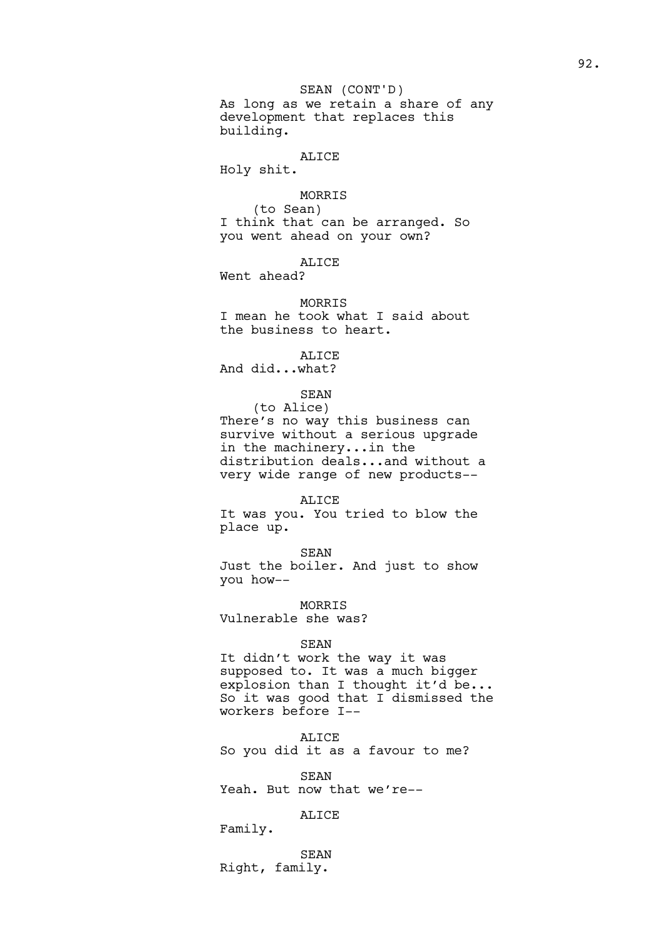## SEAN (CONT'D)

As long as we retain a share of any development that replaces this building.

## ALICE

Holy shit.

## MORRIS

(to Sean) I think that can be arranged. So you went ahead on your own?

## ALICE

Went ahead?

### MORRIS

I mean he took what I said about the business to heart.

ALICE

And did...what?

## SEAN

(to Alice) There's no way this business can survive without a serious upgrade in the machinery...in the distribution deals...and without a very wide range of new products--

### ALICE

It was you. You tried to blow the place up.

SEAN

Just the boiler. And just to show you how--

MORRIS Vulnerable she was?

### SEAN

It didn't work the way it was supposed to. It was a much bigger explosion than I thought it'd be... So it was good that I dismissed the workers before I--

ALICE

So you did it as a favour to me?

SEAN

Yeah. But now that we're--

## ALICE

Family.

SEAN Right, family.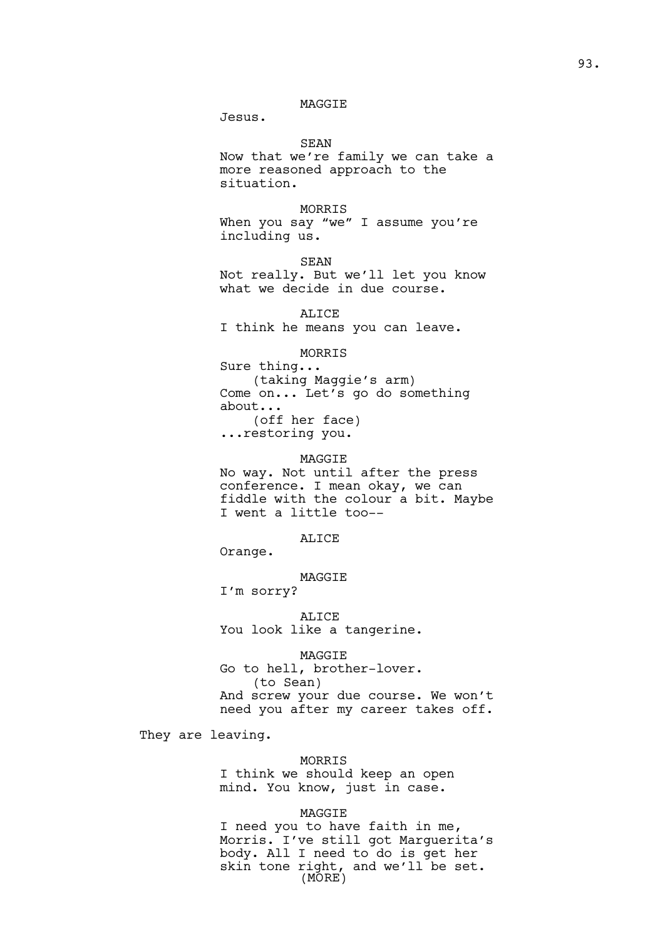### MAGGIE

Jesus.

SEAN

Now that we're family we can take a more reasoned approach to the situation.

### MORRIS

When you say "we" I assume you're including us.

SEAN Not really. But we'll let you know what we decide in due course.

ALICE I think he means you can leave.

### MORRIS

Sure thing... (taking Maggie's arm) Come on... Let's go do something about... (off her face) ...restoring you.

## MAGGIE

No way. Not until after the press conference. I mean okay, we can fiddle with the colour a bit. Maybe I went a little too--

### ALICE

Orange.

#### MAGGIE

I'm sorry?

ALICE You look like a tangerine.

MAGGIE Go to hell, brother-lover. (to Sean) And screw your due course. We won't need you after my career takes off.

They are leaving.

#### MORRIS

I think we should keep an open mind. You know, just in case.

### MAGGIE

I need you to have faith in me, Morris. I've still got Marguerita's body. All I need to do is get her skin tone right, and we'll be set. (MORE)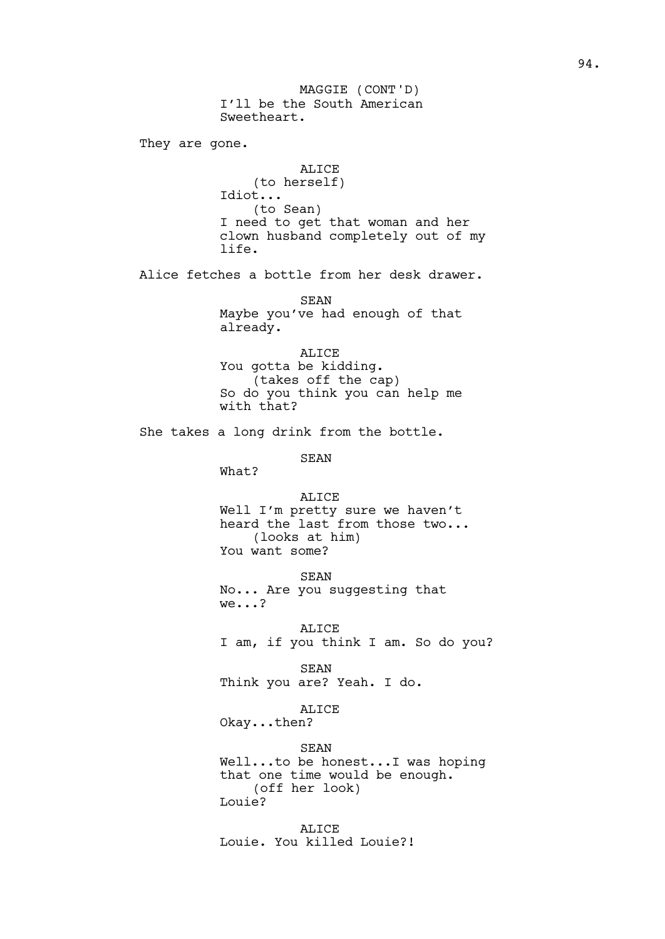I'll be the South American Sweetheart. They are gone. ALICE (to herself) Idiot... (to Sean) I need to get that woman and her clown husband completely out of my life. Alice fetches a bottle from her desk drawer. SEAN Maybe you've had enough of that already. ALICE You gotta be kidding. (takes off the cap) So do you think you can help me with that? She takes a long drink from the bottle. SEAN What? ALICE Well I'm pretty sure we haven't heard the last from those two... (looks at him) You want some? SEAN No... Are you suggesting that we...? ALICE I am, if you think I am. So do you? SEAN Think you are? Yeah. I do. ALICE Okay...then? SEAN Well...to be honest...I was hoping that one time would be enough. (off her look) Louie? ALICE Louie. You killed Louie?! MAGGIE (CONT'D)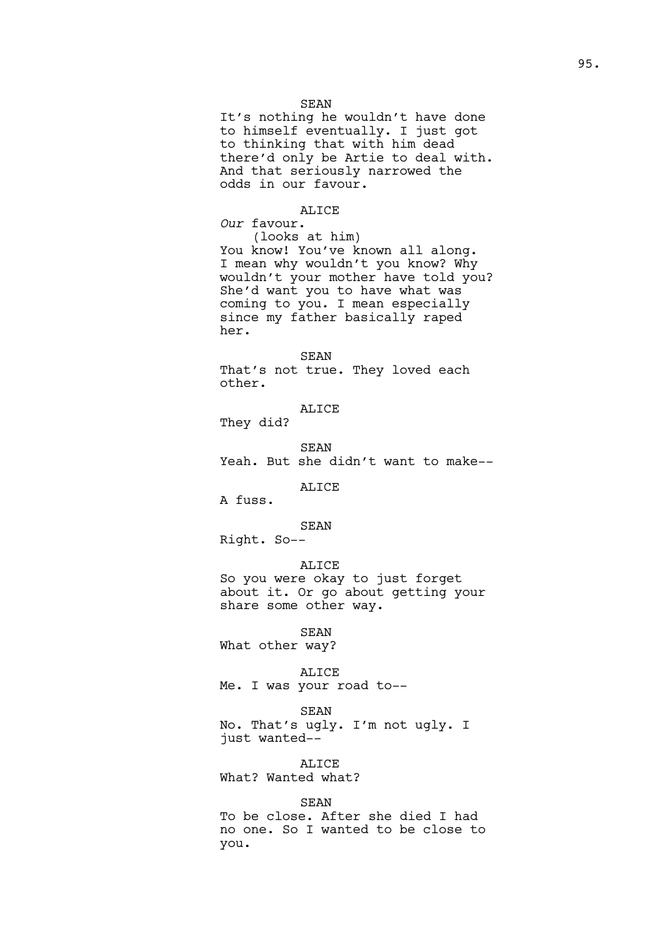#### SEAN

It's nothing he wouldn't have done to himself eventually. I just got to thinking that with him dead there'd only be Artie to deal with. And that seriously narrowed the odds in our favour.

## ALICE

*Our* favour. (looks at him) You know! You've known all along. I mean why wouldn't you know? Why wouldn't your mother have told you? She'd want you to have what was coming to you. I mean especially since my father basically raped her.

SEAN That's not true. They loved each other.

ALICE

They did?

SEAN

Yeah. But she didn't want to make--

ALICE

A fuss.

SEAN Right. So--

#### ALICE

So you were okay to just forget about it. Or go about getting your share some other way.

SEAN

What other way?

#### ALICE

Me. I was your road to--

## SEAN

No. That's ugly. I'm not ugly. I just wanted--

### ALICE

What? Wanted what?

### SEAN

To be close. After she died I had no one. So I wanted to be close to you.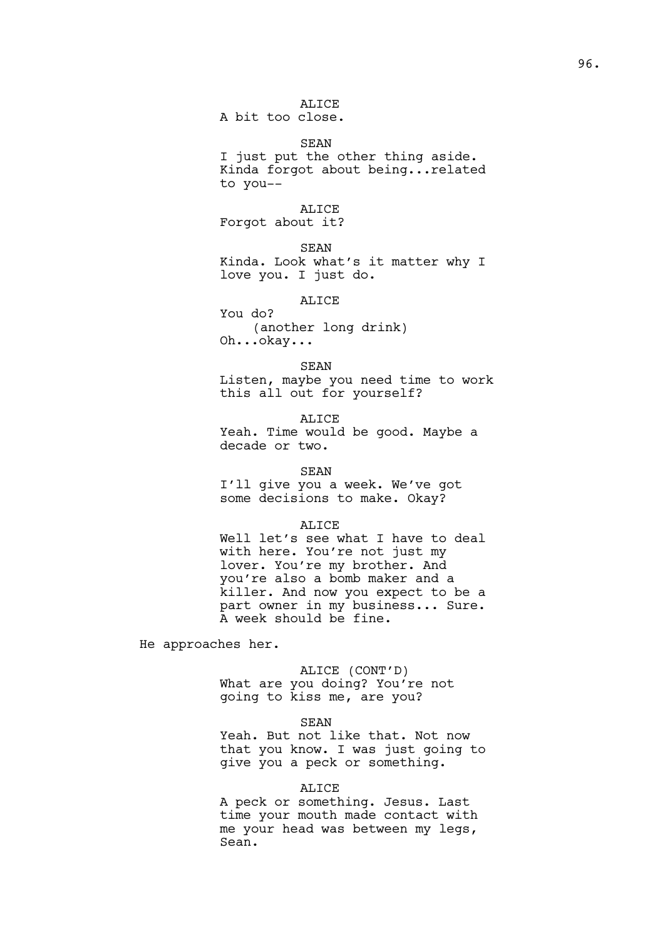## ALICE

A bit too close.

SEAN I just put the other thing aside. Kinda forgot about being...related to you--

## ALICE

Forgot about it?

SEAN

Kinda. Look what's it matter why I love you. I just do.

ALICE

You do? (another long drink) Oh...okay...

#### SEAN

Listen, maybe you need time to work this all out for yourself?

ALICE Yeah. Time would be good. Maybe a decade or two.

### SEAN

I'll give you a week. We've got some decisions to make. Okay?

#### ALICE

Well let's see what I have to deal with here. You're not just my lover. You're my brother. And you're also a bomb maker and a killer. And now you expect to be a part owner in my business... Sure. A week should be fine.

He approaches her.

## ALICE (CONT'D)

What are you doing? You're not going to kiss me, are you?

SEAN

Yeah. But not like that. Not now that you know. I was just going to give you a peck or something.

## ALICE

A peck or something. Jesus. Last time your mouth made contact with me your head was between my legs, Sean.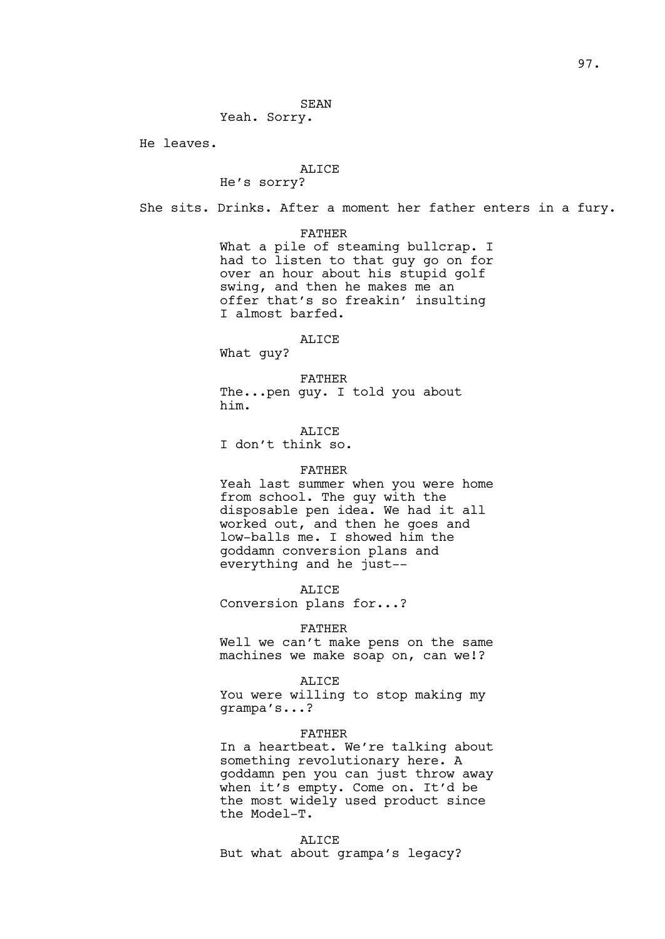### SEAN

Yeah. Sorry.

He leaves.

### ALICE

He's sorry?

She sits. Drinks. After a moment her father enters in a fury.

FATHER

What a pile of steaming bullcrap. I had to listen to that guy go on for over an hour about his stupid golf swing, and then he makes me an offer that's so freakin' insulting I almost barfed.

#### ALICE

What guy?

FATHER The...pen guy. I told you about him.

ALICE

I don't think so.

#### FATHER

Yeah last summer when you were home from school. The guy with the disposable pen idea. We had it all worked out, and then he goes and low-balls me. I showed him the goddamn conversion plans and everything and he just--

ALICE

Conversion plans for...?

#### FATHER

Well we can't make pens on the same machines we make soap on, can we!?

#### ALICE

You were willing to stop making my grampa's...?

### FATHER

In a heartbeat. We're talking about something revolutionary here. A goddamn pen you can just throw away when it's empty. Come on. It'd be the most widely used product since the Model-T.

#### ALICE

But what about grampa's legacy?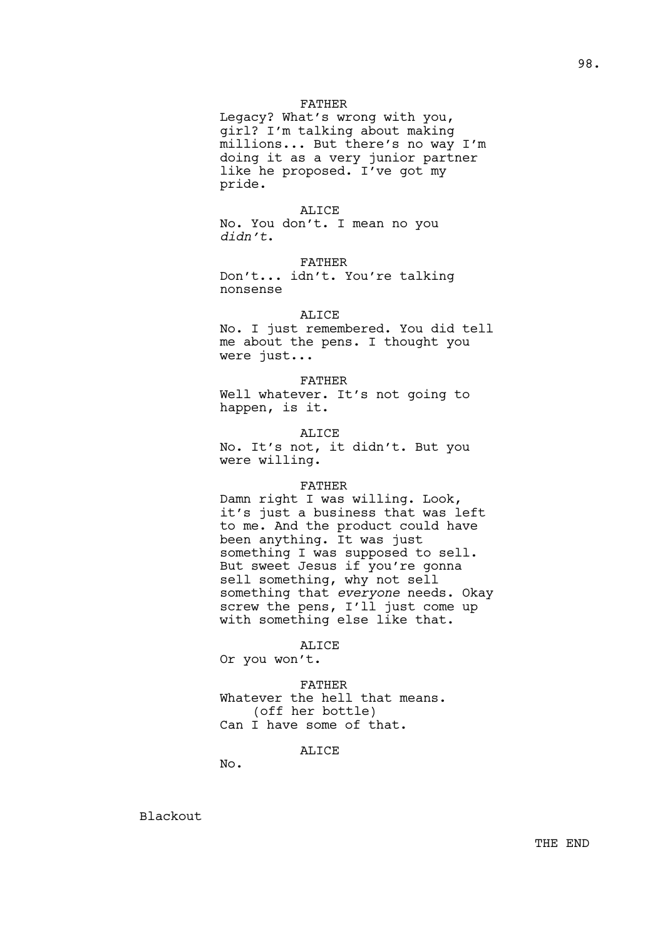### FATHER

Legacy? What's wrong with you, girl? I'm talking about making millions... But there's no way I'm doing it as a very junior partner like he proposed. I've got my pride.

ALICE No. You don't. I mean no you *didn't*.

FATHER Don't... idn't. You're talking nonsense

ALICE

No. I just remembered. You did tell me about the pens. I thought you were just...

FATHER Well whatever. It's not going to happen, is it.

ALICE No. It's not, it didn't. But you were willing.

#### FATHER

Damn right I was willing. Look, it's just a business that was left to me. And the product could have been anything. It was just something I was supposed to sell. But sweet Jesus if you're gonna sell something, why not sell something that *everyone* needs. Okay screw the pens, I'll just come up with something else like that.

ALICE

Or you won't.

FATHER Whatever the hell that means. (off her bottle) Can I have some of that.

ALICE

No.

Blackout

THE END